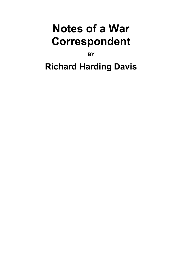# **Notes of a War Correspondent**

**BY** 

## **Richard Harding Davis**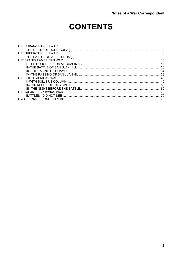### **CONTENTS**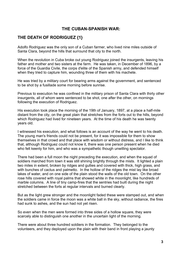#### **THE CUBAN-SPANISH WAR:**

#### <span id="page-2-0"></span>**THE DEATH OF RODRIGUEZ {1}**

Adolfo Rodriguez was the only son of a Cuban farmer, who lived nine miles outside of Santa Clara, beyond the hills that surround that city to the north.

When the revolution in Cuba broke out young Rodriguez joined the insurgents, leaving his father and mother and two sisters at the farm. He was taken, in December of 1896, by a force of the Guardia Civile, the corps d'elite of the Spanish army, and defended himself when they tried to capture him, wounding three of them with his machete.

He was tried by a military court for bearing arms against the government, and sentenced to be shot by a fusillade some morning before sunrise.

Previous to execution he was confined in the military prison of Santa Clara with thirty other insurgents, all of whom were sentenced to be shot, one after the other, on mornings following the execution of Rodriguez.

His execution took place the morning of the 19th of January, 1897, at a place a half-mile distant from the city, on the great plain that stretches from the forts out to the hills, beyond which Rodriguez had lived for nineteen years. At the time of his death he was twenty years old.

I witnessed his execution, and what follows is an account of the way he went to his death. The young man's friends could not be present, for it was impossible for them to show themselves in that crowd and that place with wisdom or without distress, and I like to think that, although Rodriguez could not know it, there was one person present when he died who felt keenly for him, and who was a sympathetic though unwilling spectator.

There had been a full moon the night preceding the execution, and when the squad of soldiers marched from town it was still shining brightly through the mists. It lighted a plain two miles in extent, broken by ridges and gullies and covered with thick, high grass, and with bunches of cactus and palmetto. In the hollow of the ridges the mist lay like broad lakes of water, and on one side of the plain stood the walls of the old town. On the other rose hills covered with royal palms that showed white in the moonlight, like hundreds of marble columns. A line of tiny camp-fires that the sentries had built during the night stretched between the forts at regular intervals and burned clearly.

But as the light grew stronger and the moonlight faded these were stamped out, and when the soldiers came in force the moon was a white ball in the sky, without radiance, the fires had sunk to ashes, and the sun had not yet risen.

So even when the men were formed into three sides of a hollow square, they were scarcely able to distinguish one another in the uncertain light of the morning.

There were about three hundred soldiers in the formation. They belonged to the volunteers, and they deployed upon the plain with their band in front playing a jaunty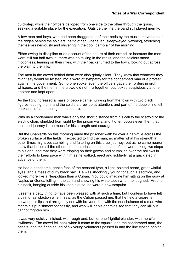quickstep, while their officers galloped from one side to the other through the grass, seeking a suitable place for the execution. Outside the line the band still played merrily.

A few men and boys, who had been dragged out of their beds by the music, moved about the ridges behind the soldiers, half-clothed, unshaven, sleepy-eyed, yawning, stretching themselves nervously and shivering in the cool, damp air of the morning.

Either owing to discipline or on account of the nature of their errand, or because the men were still but half awake, there was no talking in the ranks, and the soldiers stood motionless, leaning on their rifles, with their backs turned to the town, looking out across the plain to the hills.

The men in the crowd behind them were also grimly silent. They knew that whatever they might say would be twisted into a word of sympathy for the condemned man or a protest against the government. So no one spoke; even the officers gave their orders in gruff whispers, and the men in the crowd did not mix together, but looked suspiciously at one another and kept apart.

As the light increased a mass of people came hurrying from the town with two black figures leading them, and the soldiers drew up at attention, and part of the double line fell back and left an opening in the square.

With us a condemned man walks only the short distance from his cell to the scaffold or the electric chair, shielded from sight by the prison walls, and it often occurs even then that the short journey is too much for his strength and courage.

But the Spaniards on this morning made the prisoner walk for over a half-mile across the broken surface of the fields. I expected to find the man, no matter what his strength at other times might be, stumbling and faltering on this cruel journey; but as he came nearer I saw that he led all the others, that the priests on either side of him were taking two steps to his one, and that they were tripping on their gowns and stumbling over the hollows in their efforts to keep pace with him as he walked, erect and soldierly, at a quick step in advance of them.

He had a handsome, gentle face of the peasant type, a light, pointed beard, great wistful eyes, and a mass of curly black hair. He was shockingly young for such a sacrifice, and looked more like a Neapolitan than a Cuban. You could imagine him sitting on the quay at Naples or Genoa lolling in the sun and showing his white teeth when he laughed. Around his neck, hanging outside his linen blouse, he wore a new scapular.

It seems a petty thing to have been pleased with at such a time, but I confess to have felt a thrill of satisfaction when I saw, as the Cuban passed me, that he held a cigarette between his lips, not arrogantly nor with bravado, but with the nonchalance of a man who meets his punishment fearlessly, and who will let his enemies see that they can kill but cannot frighten him.

It was very quickly finished, with rough and, but for one frightful blunder, with merciful swiftness. The crowd fell back when it came to the square, and the condemned man, the priests, and the firing squad of six young volunteers passed in and the line closed behind them.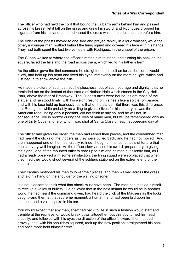The officer who had held the cord that bound the Cuban's arms behind him and passed across his breast, let it fall on the grass and drew his sword, and Rodriguez dropped his cigarette from his lips and bent and kissed the cross which the priest held up before him.

The elder of the priests moved to one side and prayed rapidly in a loud whisper, while the other, a younger man, walked behind the firing squad and covered his face with his hands. They had both spent the last twelve hours with Rodriguez in the chapel of the prison.

The Cuban walked to where the officer directed him to stand, and turning his back on the square, faced the hills and the road across them, which led to his father's farm.

As the officer gave the first command he straightened himself as far as the cords would allow, and held up his head and fixed his eyes immovably on the morning light, which had just begun to show above the hills.

He made a picture of such pathetic helplessness, but of such courage and dignity, that he reminded me on the instant of that statue of Nathan Hale which stands in the City Hall Park, above the roar of Broadway. The Cuban's arms were bound, as are those of the statue, and he stood firmly, with his weight resting on his heels like a soldier on parade, and with his face held up fearlessly, as is that of the statue. But there was this difference, that Rodriguez, while probably as willing to give six lives for his country as was the American rebel, being only a peasant, did not think to say so, and he will not, in consequence, live in bronze during the lives of many men, but will be remembered only as one of thirty Cubans, one of whom was shot at Santa Clara on each succeeding day at sunrise.

The officer had given the order, the men had raised their pieces, and the condemned man had heard the clicks of the triggers as they were pulled back, and he had not moved. And then happened one of the most cruelly refined, though unintentional, acts of torture that one can very well imagine. As the officer slowly raised his sword, preparatory to giving the signal, one of the mounted officers rode up to him and pointed out silently that, as I had already observed with some satisfaction, the firing squad were so placed that when they fired they would shoot several of the soldiers stationed on the extreme end of the square.

Their captain motioned his men to lower their pieces, and then walked across the grass and laid his hand on the shoulder of the waiting prisoner.

It is not pleasant to think what that shock must have been. The man had steeled himself to receive a volley of bullets. He believed that in the next instant he would be in another world; he had heard the command given, had heard the click of the Mausers as the locks caught--and then, at that supreme moment, a human hand had been laid upon his shoulder and a voice spoke in his ear.

You would expect that any man, snatched back to life in such a fashion would start and tremble at the reprieve, or would break down altogether, but this boy turned his head steadily, and followed with his eyes the direction of the officer's sword, then nodded gravely, and, with his shoulders squared, took up the new position, straightened his back, and once more held himself erect.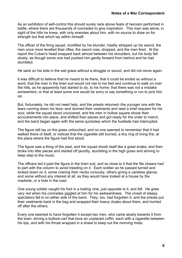As an exhibition of self-control this should surely rank above feats of heroism performed in battle, where there are thousands of comrades to give inspiration. This man was alone, in sight of the hills he knew, with only enemies about him, with no source to draw on for strength but that which lay within himself.

The officer of the firing squad, mortified by his blunder, hastily whipped up his sword, the men once more levelled their rifles, the sword rose, dropped, and the men fired. At the report the Cuban's head snapped back almost between his shoulders, but his body fell slowly, as though some one had pushed him gently forward from behind and he had stumbled.

He sank on his side in the wet grass without a struggle or sound, and did not move again.

It was difficult to believe that he meant to lie there, that it could be ended so without a word, that the man in the linen suit would not rise to his feet and continue to walk on over the hills, as he apparently had started to do, to his home; that there was not a mistake somewhere, or that at least some one would be sorry or say something or run to pick him up.

But, fortunately, he did not need help, and the priests returned--the younger one with the tears running down his face--and donned their vestments and read a brief requiem for his soul, while the squad stood uncovered, and the men in hollow square shook their accoutrements into place, and shifted their pieces and got ready for the order to march, and the band began again with the same quickstep which the fusillade had interrupted.

The figure still lay on the grass untouched, and no one seemed to remember that it had walked there of itself, or noticed that the cigarette still burned, a tiny ring of living fire, at the place where the figure had first stood.

The figure was a thing of the past, and the squad shook itself like a great snake, and then broke into little pieces and started off jauntily, stumbling in the high grass and striving to keep step to the music.

The officers led it past the figure in the linen suit, and so close to it that the file closers had to part with the column to avoid treading on it. Each soldier as he passed turned and looked down on it, some craning their necks curiously, others giving a careless glance, and some without any interest at all, as they would have looked at a house by the roadside, or a hole in the road.

One young soldier caught his foot in a trailing vine, just opposite to it, and fell. He grew very red when his comrades giggled at him for his awkwardness. The crowd of sleepy spectators fell in on either side of the band. They, too, had forgotten it, and the priests put their vestments back in the bag and wrapped their heavy cloaks about them, and hurried off after the others.

Every one seemed to have forgotten it except two men, who came slowly towards it from the town, driving a bullock-cart that bore an unplaned coffin, each with a cigarette between his lips, and with his throat wrapped in a shawl to keep out the morning mists.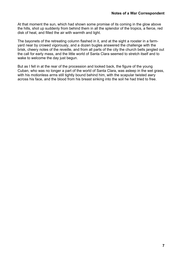At that moment the sun, which had shown some promise of its coming in the glow above the hills, shot up suddenly from behind them in all the splendor of the tropics, a fierce, red disk of heat, and filled the air with warmth and light.

The bayonets of the retreating column flashed in it, and at the sight a rooster in a farmyard near by crowed vigorously, and a dozen bugles answered the challenge with the brisk, cheery notes of the reveille, and from all parts of the city the church bells jangled out the call for early mass, and the little world of Santa Clara seemed to stretch itself and to wake to welcome the day just begun.

But as I fell in at the rear of the procession and looked back, the figure of the young Cuban, who was no longer a part of the world of Santa Clara, was asleep in the wet grass, with his motionless arms still tightly bound behind him, with the scapular twisted awry across his face, and the blood from his breast sinking into the soil he had tried to free.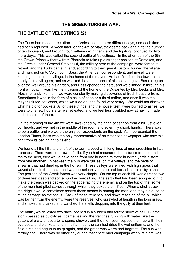#### **THE GREEK-TURKISH WAR:**

#### <span id="page-7-0"></span>**THE BATTLE OF VELESTINOS {2}**

The Turks had made three attacks on Velestinos on three different days, and each time had been repulsed. A week later, on the 4th of May, they came back again, to the number of ten thousand, and brought four batteries with them, and the fighting continued for two more days. This was called the second battle of Velestinos. In the afternoon of the 5th the Crown Prince withdrew from Pharsala to take up a stronger position at Domokos, and the Greeks under General Smolenski, the military hero of the campaign, were forced to retreat, and the Turks came in, and, according to their quaint custom, burned the village and marched on to Volo. John Bass, the American correspondent, and myself were keeping house in the village, in the home of the mayor. He had fled from the town, as had nearly all the villagers; and as we liked the appearance of his house, I gave Bass a leg up over the wall around his garden, and Bass opened the gate, and we climbed in through his front window. It was like the invasion of the home of the Dusantes by Mrs. Lecks and Mrs. Aleshine, and, like them, we were constantly making discoveries of fresh treasure-trove. Sometimes it was in the form of a cake of soap or a tin of coffee, and once it was the mayor's fluted petticoats, which we tried on, and found very heavy. We could not discover what he did for pockets. All of these things, and the house itself, were burned to ashes, we were told, a few hours after we retreated, and we feel less troubled now at having made such free use of them.

On the morning of the 4th we were awakened by the firing of cannon from a hill just over our heads, and we met in the middle of the room and solemnly shook hands. There was to be a battle, and we were the only correspondents on the spot. As I represented the London Times, Bass was the only representative of an American newspaper who saw this fight from its beginning to its end.

We found all the hills to the left of the town topped with long lines of men crouching in little trenches. There were four rows of hills. If you had measured the distance from one hilltop to the next, they would have been from one hundred to three hundred yards distant from one another. In between the hills were gullies, or little valleys, and the beds of streams that had dried up in the hot sun. These valleys were filled with high grass that waved about in the breeze and was occasionally torn up and tossed in the air by a shell. The position of the Greek forces was very simple. On the top of each hill was a trench two or three feet deep and some hundred yards long. The earth that had been scooped out to make the trench was packed on the edge facing the enemy, and on the top of that some of the men had piled stones, through which they poked their rifles. When a shell struck the ridge it would sometimes scatter these stones in among the men, and they did quite as much damage as the shells. Back of these trenches, and down that side of the hill which was farther from the enemy, were the reserves, who sprawled at length in the long grass, and smoked and talked and watched the shells dropping into the gully at their feet.

The battle, which lasted two days, opened in a sudden and terrific storm of hail. But the storm passed as quickly as it came, leaving the trenches running with water, like the gutters of a city street after a spring shower; and the men soon sopped them up with their overcoats and blankets, and in half an hour the sun had dried the wet uniforms, and the field-birds had begun to chirp again, and the grass was warm and fragrant. The sun was terribly hot. There was no other day during that entire brief campaign when its glare was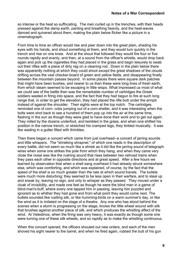so intense or the heat so suffocating. The men curled up in the trenches, with their heads pressed against the damp earth, panting and breathing heavily, and the heat-waves danced and quivered about them, making the plain below flicker like a picture in a cinematograph.

From time to time an officer would rise and peer down into the great plain, shading his eyes with his hands, and shout something at them, and they would turn quickly in the trench and rise on one knee. And at the shout that followed they would fire four or five rounds rapidly and evenly, and then, at a sound from the officer's whistle, would drop back again and pick up the cigarettes they had placed in the grass and begin leisurely to swab out their rifles with a piece of dirty rag on a cleaning rod. Down in the plain below there was apparently nothing at which they could shoot except the great shadows of the clouds drifting across the vast checker-board of green and yellow fields, and disappearing finally between the mountain passes beyond. In some places there were square dark patches that might have been bushes, and nearer to us than these were long lines of fresh earth, from which steam seemed to be escaping in little wisps. What impressed us most of what we could see of the battle then was the remarkable number of cartridges the Greek soldiers wasted in firing into space, and the fact that they had begun to fire at such long range that, in order to get the elevation, they had placed the rifle butt under the armpit instead of against the shoulder. Their sights were at the top notch. The cartridges reminded one of corn- cobs jumping out of a corn-sheller, and it was interesting when the bolts were shot back to see a hundred of them pop up into the air at the same time, flashing in the sun as though they were glad to have done their work and to get out again. They rolled by the dozens underfoot, and twinkled in the grass, and when one shifted his position in the narrow trench, or stretched his cramped legs, they tinkled musically. It was like wading in a gutter filled with thimbles.

Then there began a concert which came from just overhead--a concert of jarring sounds and little whispers. The "shrieking shrapnel," of which one reads in the description of every battle, did not seem so much like a shriek as it did like the jarring sound of telegraph wires when some one strikes the pole from which they hang, and when they came very close the noise was like the rushing sound that rises between two railroad trains when they pass each other in opposite directions and at great speed. After a few hours we learned by observation that when a shell sang overhead it had already struck somewhere else, which was comforting, and which was explained, of course, by the fact that the speed of the shell is so much greater than the rate at which sound travels. The bullets were much more disturbing; they seemed to be less open in their warfare, and to steal up and sneak by, leaving no sign, and only to whisper as they passed. They moved under a cloak of invisibility, and made one feel as though he were the blind man in a game of blind-man's-buff, where every one tapped him in passing, leaving him puzzled and ignorant as to whither they had gone and from what point they would come next. The bullets sounded like rustling silk, or like humming-birds on a warm summer's day, or like the wind as it is imitated on the stage of a theatre. Any one who has stood behind the scenes when a storm is progressing on the stage, knows the little wheel wound with silk that brushes against another piece of silk, and which produces the whistling effect of the wind. At Velestinos, when the firing was very heavy, it was exactly as though some one were turning one of these silk wheels, and so rapidly as to make the whistling continuous.

When this concert opened, the officers shouted out new orders, and each of the men shoved his sight nearer to the barrel, and when he fired again, rubbed the butt of his gun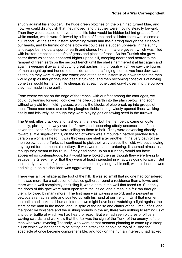snugly against his shoulder. The huge green blotches on the plain had turned blue, and now we could distinguish that they moved, and that they were moving steadily forward. Then they would cease to move, and a little later would be hidden behind great puffs of white smoke, which were followed by a flash of flame; and still later there would come a dull report. At the same instant something would hurl itself jarring through the air above our heads, and by turning on one elbow we could see a sudden upheaval in the sunny landscape behind us, a spurt of earth and stones like a miniature geyser, which was filled with broken branches and tufts of grass and pieces of rock. As the Turkish aim grew better these volcanoes appeared higher up the hill, creeping nearer and nearer to the rampart of fresh earth on the second trench until the shells hammered it at last again and again, sweeping it away and cutting great gashes in it, through which we saw the figures of men caught up and hurled to one side, and others flinging themselves face downward as though they were diving into water; and at the same instant in our own trench the men would gasp as though they had been struck too, and then becoming conscious of having done this would turn and smile sheepishly at each other, and crawl closer into the burrows they had made in the earth.

From where we sat on the edge of the trench, with our feet among the cartridges, we could, by leaning forward, look over the piled-up earth into the plain below, and soon, without any aid from field- glasses, we saw the blocks of blue break up into groups of men. These men came across the ploughed fields in long, widely opened lines, walking easily and leisurely, as though they were playing golf or sowing seed in the furrows.

The Greek rifles crackled and flashed at the lines, but the men below came on quite steadily, picking their way over the furrows and appearing utterly unconscious of the seven thousand rifles that were calling on them to halt. They were advancing directly toward a little sugar-loaf hill, on the top of which was a mountain battery perched like a tiara on a woman's head. It was throwing one shell after another in the very path of the men below, but the Turks still continued to pick their way across the field, without showing any regard for the mountain battery. It was worse than threatening; it seemed almost as though they meant to insult us. If they had come up on a run they would not have appeared so contemptuous, for it would have looked then as though they were trying to escape the Greek fire, or that they were at least interested in what was going forward. But the steady advance of so many men, each plodding along by himself, with his head bowed and his gun on his shoulder, was aggravating.

There was a little village at the foot of the hill. It was so small that no one had considered it. It was more like a collection of stables gathered round a residence than a town, and there was a wall completely encircling it, with a gate in the wall that faced us. Suddenly the doors of this gate were burst open from the inside, and a man in a fez ran through them, followed by many more. The first man was waving a sword, and a peasant in petticoats ran at his side and pointed up with his hand at our trench. Until that moment the battle had lacked all human interest; we might have been watching a fight against the stars or the man in the moon, and, in spite of the noise and clatter of the Greek rifles, and the ghostlike whispers and the rushing sounds in the air, there was nothing to remind us of any other battle of which we had heard or read. But we had seen pictures of officers waving swords, and we knew that the fez was the sign of the Turk--of the enemy--of the men who were invading Thessaly, who were at that moment planning to come up a steep hill on which we happened to be sitting and attack the people on top of it. And the spectacle at once became comprehensible, and took on the human interest it had lacked.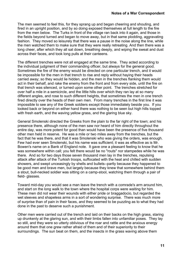The men seemed to feel this, for they sprang up and began cheering and shouting, and fired in an upright position, and by so doing exposed themselves at full length to the fire from the men below. The Turks in front of the village ran back into it again, and those in the fields beyond turned and began to move away, but in that same plodding, aggravating fashion. They moved so leisurely that there was a pause in the noise along the line, while the men watched them to make sure that they were really retreating. And then there was a long cheer, after which they all sat down, breathing deeply, and wiping the sweat and dust across their faces, and took long pulls at their canteens.

The different trenches were not all engaged at the same time. They acted according to the individual judgment of their commanding officer, but always for the general good. Sometimes the fire of the enemy would be directed on one particular trench, and it would be impossible for the men in that trench to rise and reply without haying their heads carried away; so they would lie hidden, and the men in the trenches flanking them would act in their behalf, and rake the enemy from the front and from every side, until the fire on that trench was silenced, or turned upon some other point. The trenches stretched for over half a mile in a semicircle, and the little hills over which they ran lay at so many different angles, and rose to such different heights, that sometimes the men in one trench fired directly over the heads of their own men. From many trenches in the first line it was impossible to see any of the Greek soldiers except those immediately beside you. If you looked back or beyond on either hand there was nothing to be seen but high hills topped with fresh earth, and the waving yellow grass, and the glaring blue sky.

General Smolenski directed the Greeks from the plain to the far right of the town; and his presence there, although none of the men saw nor heard of him directly throughout the entire day, was more potent for good than would have been the presence of five thousand other men held in reserve. He was a mile or two miles away from the trenches, but the fact that he was there, and that it was Smolenski who was giving the orders, was enough. Few had ever seen Smolenski, but his name was sufficient; it was as effective as is Mr. Bowen's name on a Bank of England note. It gave one a pleasant feeling to know that he was somewhere within call; you felt there would be no "routs" nor stampedes while he was there. And so for two days those seven thousand men lay in the trenches, repulsing attack after attack of the Turkish troops, suffocated with the heat and chilled with sudden showers, and swept unceasingly by shells and bullets--partly because they happened to be good men and brave men, but largely because they knew that somewhere behind them a stout, bull-necked soldier was sitting on a camp-stool, watching them through a pair of field- glasses.

Toward mid-day you would see a man leave the trench with a comrade's arm around him, and start on the long walk to the town where the hospital corps were waiting for him. These men did not wear their wounds with either pride or braggadocio, but regarded the wet sleeves and shapeless arms in a sort of wondering surprise. There was much more of surprise than of pain in their faces, and they seemed to be puzzling as to what they had done in the past to deserve such a punishment.

Other men were carried out of the trench and laid on their backs on the high grass, staring up drunkenly at the glaring sun, and with their limbs fallen into unfamiliar poses. They lay so still, and they were so utterly oblivious of the roar and rattle and the anxious energy around them that one grew rather afraid of them and of their superiority to their surroundings. The sun beat on them, and the insects in the grass waving above them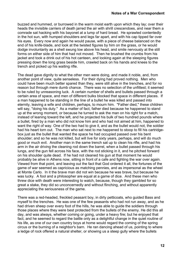buzzed and hummed, or burrowed in the warm moist earth upon which they lay; over their heads the invisible carriers of death jarred the air with shrill crescendoes, and near them a comrade sat hacking with his bayonet at a lump of hard bread. He sprawled contentedly in the hot sun, with humped shoulders and legs far apart, and with his cap tipped far over his eyes. Every now and again he would pause, with a piece of cheese balanced on the end of his knife-blade, and look at the twisted figures by him on the grass, or he would dodge involuntarily as a shell swung low above his head, and smile nervously at the still forms on either side of him that had not moved. Then he brushed the crumbs from his jacket and took a drink out of his hot canteen, and looking again at the sleeping figures pressing down the long grass beside him, crawled back on his hands and knees to the trench and picked up his waiting rifle.

The dead gave dignity to what the other men were doing, and made it noble, and, from another point of view, quite senseless. For their dying had proved nothing. Men who could have been much better spared than they, were still alive in the trenches, and for no reason but through mere dumb chance. There was no selection of the unfittest; it seemed to be ruled by unreasoning luck. A certain number of shells and bullets passed through a certain area of space, and men of different bulks blocked that space in different places. If a man happened to be standing in the line of a bullet he was killed and passed into eternity, leaving a wife and children, perhaps, to mourn him. "Father died," these children will say, "doing his duty." As a matter of fact, father died because he happened to stand up at the wrong moment, or because he turned to ask the man on his right for a match, instead of leaning toward the left, and he projected his bulk of two hundred pounds where a bullet, fired by a man who did not know him and who had not aimed at him, happened to want the right of way. One of the two had to give it, and as the bullet would not, the soldier had his heart torn out. The man who sat next to me happened to stoop to fill his cartridgebox just as the bullet that wanted the space he had occupied passed over his bent shoulder; and so he was not killed, but will live for sixty years, perhaps, and will do much good or much evil. Another man in the same trench sat up to clean his rifle, and had his arm in the air driving the cleaning rod down the barrel, when a bullet passed through his lungs, and the gun fell across his face, with the rod sticking in it, and he pitched forward on his shoulder quite dead. If he had not cleaned his gun at that moment he would probably be alive in Athens now, sitting in front of a cafe and fighting the war over again. Viewed from that point, and leaving out the fact that God ordered it all, the fortunes of the game of war seemed as capricious as matching pennies, and as impersonal as the wheel at Monte Carlo. In it the brave man did not win because he was brave, but because he was lucky. A fool and a philosopher are equal at a game of dice. And these men who threw dice with death were interesting to watch, because, though they gambled for so great a stake, they did so unconcernedly and without flinching, and without apparently appreciating the seriousness of the game.

There was a red-headed, freckled peasant boy, in dirty petticoats, who guided Bass and myself to the trenches. He was one of the few peasants who had not run away, and as he had driven sheep over every foot of the hills, he was able to guide the soldiers through those places where they were best protected from the bullets of the enemy. He did this all day, and was always, whether coming or going, under a heavy fire; but he enjoyed that fact, and he seemed to regard the battle only as a delightful change in the quiet routine of his life, as one of our own country boys at home would regard the coming of the spring circus or the burning of a neighbor's barn. He ran dancing ahead of us, pointing to where a ledge of rock offered a natural shelter, or showing us a steep gully where the bullets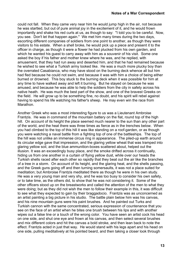could not fall. When they came very near him he would jump high in the air, not because he was startled, but out of pure animal joy in the excitement of it, and he would frown importantly and shake his red curls at us, as though to say: "I told you to be careful. Now, you see. Don't let that happen again." We met him many times during the two days, escorting different companies of soldiers from one point to another, as though they were visitors to his estate. When a shell broke, he would pick up a piece and present it to the officer in charge, as though it were a flower he had plucked from his own garden, and which he wanted his guest to carry away with him as a souvenir of his visit. Some one asked the boy if his father and mother knew where he was, and he replied, with amusement, that they had run away and deserted him, and that he had remained because he wished to see what a Turkish army looked like. He was a much more plucky boy than the overrated Casabianca, who may have stood on the burning deck whence all but him had fled because he could not swim, and because it was with him a choice of being either burned or drowned. This boy stuck to the burning deck when it was possible for him at any time to have walked away and left it burning. But he stayed on because he was amused, and because he was able to help the soldiers from the city in safety across his native heath. He was much the best part of the show, and one of the bravest Greeks on the field. He will grow up to be something fine, no doubt, and his spirit will rebel against having to spend his life watching his father's sheep. He may even win the race from Marathon.

Another Greek who was a most interesting figure to us was a Lieutenant Ambroise Frantzis. He was in command of the mountain battery on the flat, round top of the high hill. On account of its height the place seemed much nearer to the sun than any other part of the world, and the heat there was three times as fierce as in the trenches below. When you had climbed to the top of this hill it was like standing on a roof-garden, or as though you were watching a naval battle from a fighting top of one of the battleships. The top of the hill was not unlike an immense circus ring in appearance. The piled-up earth around its circular edge gave that impression, and the glaring yellow wheat that was tramped into glaring yellow soil, and the blue ammunition-boxes scattered about, helped out the illusion. It was an exceedingly busy place, and the smoke drifted across it continually, hiding us from one another in a curtain of flying yellow dust, while over our heads the Turkish shells raced after each other so rapidly that they beat out the air like the branches of a tree in a storm. On account of its height, and the glaring heat, and the shells passing, and the Greek guns going off and then turning somersaults, it was not a place suited for meditation; but Ambroise Frantzis meditated there as though he were in his own study. He was a very young man and very shy, and he was too busy to consider his own safety, or to take time, as the others did, to show that he was not considering it. Some of the other officers stood up on the breastworks and called the attention of the men to what they were doing; but as they did not wish the men to follow their example in this, it was difficult to see what they expected to gain by their braggadocio. Frantzis was as unconcerned as an artist painting a big picture in his studio. The battle plain below him was his canvas, and his nine mountain guns were his paint brushes. And he painted out Turks and Turkish cannon with the same concentrated, serious expression of countenance that you see on the face of an artist when he bites one brush between his lips and with another wipes out a false line or a touch of the wrong color. You have seen an artist cock his head on one side, and shut one eye and frown at his canvas, and then select several brushes and mix different colors and hit the canvas a bold stroke, and then lean back to note the effect. Frantzis acted in just that way. He would stand with his legs apart and his head on one side, pulling meditatively at his pointed beard, and then taking a closer look through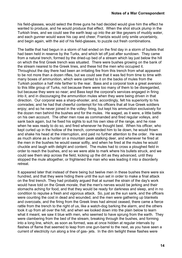his field-glasses, would select the three guns he had decided would give him the effect he wanted to produce, and he would produce that effect. When the shot struck plump in the Turkish lines, and we could see the earth leap up into the air like geysers of muddy water, and each gunner would wave his cap and cheer, Frantzis would only smile uncertainly, and begin again, with the aid of his field-glasses, to puzzle out fresh combinations.

The battle that had begun in a storm of hail ended on the first day in a storm of bullets that had been held in reserve by the Turks, and which let off just after sundown. They came from a natural trench, formed by the dried-up bed of a stream which lay just below the hill on which the first Greek trench was situated. There were bushes growing on the bank of the stream nearest to the Greek lines, and these hid the men who occupied it. Throughout the day there had been an irritating fire from this trench from what appeared to be not more than a dozen rifles, but we could see that it was fed from time to time with many boxes of ammunition, which were carried to it on the backs of mules from the Turkish position a half mile farther to the rear. Bass and a corporal took a great aversion to this little group of Turks, not because there were too many of them to be disregarded, but because they were so near; and Bass kept the corporal's services engaged in firing into it, and in discouraging the ammunition mules when they were being driven in that direction. Our corporal was a sharp-shooter, and, accordingly, felt his superiority to his comrades; and he had that cheerful contempt for his officers that all true Greek soldiers enjoy; and so he never joined in the volley- firing, but kept his ammunition exclusively for the dozen men behind the bushes and for the mules. He waged, as it were, a little battle on his own account. The other men rose as commanded and fired regular volleys, and sank back again, but he fixed his sights to suit his own idea of the range, and he rose when he was ready to do so, and fired whenever he thought best. When his officer, who kept curled up in the hollow of the trench, commanded him to lie down, he would frown and shake his head at the interruption, and paid no further attention to the order. He was as much alone as a hunter on a mountain peak stalking deer, and whenever he fired at the men in the bushes he would swear softly, and when he fired at the mules he would chuckle and laugh with delight and content. The mules had to cross a ploughed field in order to reach the bushes, and so we were able to mark where his bullets struck, and we could see them skip across the field, kicking up the dirt as they advanced, until they stopped the mule altogether, or frightened the man who was leading it into a disorderly retreat.

It appeared later that instead of there being but twelve men in these bushes there were six hundred, and that they were hiding there until the sun set in order to make a final attack on the first trench. They had probably argued that at sunset the strain of the day's work would have told on the Greek morale, that the men's nerves would be jerking and their stomachs aching for food, and that they would be ready for darkness and sleep, and in no condition to repulse a fresh and vigorous attack. So, just as the sun sank, and the officers were counting the cost in dead and wounded, and the men were gathering up blankets and overcoats, and the firing from the Greek lines had almost ceased, there came a fierce rattle from the trench to the right of us, like a watch-dog barking the alarm, and the others took it up from all over the hill, and when we looked down into the plain below to learn what it meant, we saw it blue with men, who seemed to have sprung from the earth. They were clambering from the bed of the stream, breaking through the bushes, and forming into a long line, which, as soon as formed, was at once hidden at regular intervals by flashes of flame that seemed to leap from one gun-barrel to the next, as you have seen a current of electricity run along a line of gas- jets. In the dim twilight these flashes were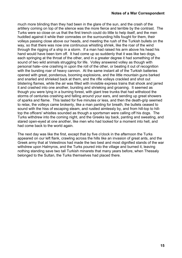much more blinding than they had been in the glare of the sun, and the crash of the artillery coming on top of the silence was the more fierce and terrible by the contrast. The Turks were so close on us that the first trench could do little to help itself, and the men huddled against it while their comrades on the surrounding hills fought for them, their volleys passing close above our heads, and meeting the rush of the Turkish bullets on the way, so that there was now one continuous whistling shriek, like the roar of the wind through the rigging of a ship in a storm. If a man had raised his arm above his head his hand would have been torn off. It had come up so suddenly that it was like two dogs, each springing at the throat of the other, and in a greater degree it had something of the sound of two wild animals struggling for life. Volley answered volley as though with personal hate--one crashing in upon the roll of the other, or beating it out of recognition with the bursting roar of heavy cannon. At the same instant all of the Turkish batteries opened with great, ponderous, booming explosions, and the little mountain guns barked and snarled and shrieked back at them, and the rifle volleys crackled and shot out blistering flames, while the air was filled with invisible express trains that shook and jarred it and crashed into one another, bursting and shrieking and groaning. It seemed as though you were lying in a burning forest, with giant tree trunks that had withstood the storms of centuries crashing and falling around your ears, and sending up great showers of sparks and flame. This lasted for five minutes or less, and then the death-grip seemed to relax, the volleys came brokenly, like a man panting for breath, the bullets ceased to sound with the hiss of escaping steam, and rustled aimlessly by, and from hill-top to hilltop the officers' whistles sounded as though a sportsman were calling off his dogs. The Turks withdrew into the coming night, and the Greeks lay back, panting and sweating, and stared open-eyed at one another, like men who had looked for a moment into hell, and had come back to the world again.

The next day was like the first, except that by five o'clock in the afternoon the Turks appeared on our left flank, crawling across the hills like an invasion of great ants, and the Greek army that at Velestinos had made the two best and most dignified stands of the war withdrew upon Halmyros, and the Turks poured into the village and burned it, leaving nothing standing save two tall Turkish minarets that many years before, when Thessaly belonged to the Sultan, the Turks themselves had placed there.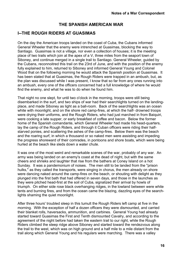#### **THE SPANISH AMERICAN WAR**

#### <span id="page-15-0"></span>**I--THE ROUGH RIDERS AT GUASIMAS**

On the day the American troops landed on the coast of Cuba, the Cubans informed General Wheeler that the enemy were intrenched at Guasimas, blocking the way to Santiago. Guasimas is not a village, nor even a collection of houses; it is the meeting place of two trails which join at the apex of a V, three miles from the seaport town of Siboney, and continue merged in a single trail to Santiago. General Wheeler, guided by the Cubans, reconnoitred this trail on the 23rd of June, and with the position of the enemy fully explained to him, returned to Siboney and informed General Young and Colonel Wood that on the following morning he would attack the Spanish position at Guasimas. It has been stated that at Guasimas, the Rough Riders were trapped in an ambush, but, as the plan was discussed while I was present, I know that so far from any ones running into an ambush, every one of the officers concerned had a full knowledge of where he would find the enemy, and what he was to do when he found him.

That night no one slept, for until two o'clock in the morning, troops were still being disembarked in the surf, and two ships of war had their searchlights turned on the landingplace, and made Siboney as light as a ball-room. Back of the searchlights was an ocean white with moonlight, and on the shore red camp-fires, at which the half- drowned troops were drying their uniforms, and the Rough Riders, who had just marched in from Baiquiri, were cooking a late supper, or early breakfast of coffee and bacon. Below the former home of the Spanish comandante, which General Wheeler had made his head-quarters, lay the camp of the Rough Riders, and through it Cuban officers were riding their halfstarved ponies, and scattering the ashes of the camp-fires. Below them was the beach and the roaring surf, in which a thousand or so naked men were assisting and impeding the progress shoreward of their comrades, in pontoons and shore boats, which were being hurled at the beach like sleds down a water chute.

It was one of the most weird and remarkable scenes of the war, probably of any war. An army was being landed on an enemy's coast at the dead of night, but with the same cheers and shrieks and laughter that rise from the bathers at Coney Island on a hot Sunday. It was a pandemonium of noises. The men still to be landed from the "prison hulks," as they called the transports, were singing in chorus, the men already on shore were dancing naked around the camp-fires on the beach, or shouting with delight as they plunged into the first bath that had offered in seven days, and those in the launches as they were pitched head-first at the soil of Cuba, signalized their arrival by howls of triumph. On either side rose black overhanging ridges, in the lowland between were white tents and burning fires, and from the ocean came the blazing, dazzling eyes of the searchlights shaming the quiet moonlight.

After three hours' troubled sleep in this tumult the Rough Riders left camp at five in the morning. With the exception of half a dozen officers they were dismounted, and carried their blanket rolls, haversacks, ammunition, and carbines. General Young had already started toward Guasimas the First and Tenth dismounted Cavalry, and according to the agreement of the night before had taken the eastern trail to our right, while the Rough Riders climbed the steep ridge above Siboney and started toward the rendezvous along the trail to the west, which was on high ground and a half mile to a mile distant from the trail along which General Young and his regulars were marching. There was a valley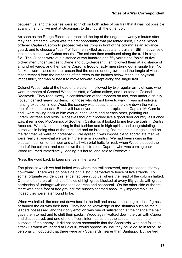between us, and the bushes were so thick on both sides of our trail that it was not possible at any time, until we met at Guasimas, to distinguish the other column.

As soon as the Rough Riders had reached the top of the ridge, not twenty minutes after they had left camp, which was the first opportunity that presented itself, Colonel Wood ordered Captain Capron to proceed with his troop in front of the column as an advance guard, and to choose a "point" of five men skilled as scouts and trailers. Still in advance of these he placed two Cuban scouts. The column then continued along the trail in single file. The Cubans were at a distance of two hundred and fifty yards; the "point" of five picked men under Sergeant Byrne and duty-Sergeant Fish followed them at a distance of a hundred yards, and then came Capron's troop of sixty men strung out in single file. No flankers were placed for the reason that the dense undergrowth and the tangle of vines that stretched from the branches of the trees to the bushes below made it a physical impossibility for man or beast to move forward except along the single trail.

Colonel Wood rode at the head of the column, followed by two regular army officers who were members of General Wheeler's staff, a Cuban officer, and Lieutenant-Colonel Roosevelt. They rode slowly in consideration of the troopers on foot, who under a cruelly hot sun carried heavy burdens. To those who did not have to walk, it was not unlike a hunting excursion in our West; the scenery was beautiful and the view down the valley one of luxuriant peace. Roosevelt had never been in the tropics and Captain McCormick and I were talking back at him over our shoulders and at each other, pointing out unfamiliar trees and birds. Roosevelt thought it looked like a good deer country, as it once was; it reminded McCormick of Southern California; it looked to me like the trails in Central America. We advanced, talking in that fashion and in high spirits, and congratulating ourselves in being shut of the transport and on breathing fine mountain air again, and on the fact that we were on horseback. We agreed it was impossible to appreciate that we were really at war--that we were in the enemy's country. We had been riding in this pleasant fashion for an hour and a half with brief halts for rest, when Wood stopped the head of the column, and rode down the trail to meet Capron, who was coming back. Wood returned immediately, leading his horse, and said to Roosevelt:

"Pass the word back to keep silence in the ranks."

The place at which we had halted was where the trail narrowed, and proceeded sharply downward. There was on one side of it a stout barbed-wire fence of five strands. By some fortunate accident this fence had been cut just where the head of the column halted. On the left of the trail it shut off fields of high grass blocked at every fifty yards with great barricades of undergrowth and tangled trees and chapparal. On the other side of the trail there was not a foot of free ground; the bushes seemed absolutely impenetrable, as indeed they were later found to be.

When we halted, the men sat down beside the trail and chewed the long blades of grass, or fanned the air with their hats. They had no knowledge of the situation such as their leaders possessed, and their only emotion was one of satisfaction at the chance the halt gave them to rest and to shift their packs. Wood again walked down the trail with Capron and disappeared, and one of the officers informed us that the scouts had seen the outposts of the enemy. It did not seem reasonable that the Spaniards, who had failed to attack us when we landed at Baiquiri, would oppose us until they could do so in force, so, personally, I doubted that there were any Spaniards nearer than Santiago. But we tied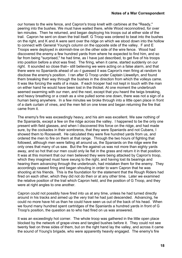our horses to the wire fence, and Capron's troop knelt with carbines at the "Ready," peering into the bushes. We must have waited there, while Wood reconnoitred, for over ten minutes. Then he returned, and began deploying his troops out at either side of the trail. Capron he sent on down the trail itself. G Troop was ordered to beat into the bushes on the right, and K and A were sent over the ridge on which we stood down into the hollow to connect with General Young's column on the opposite side of the valley. F and E Troops were deployed in skirmish-line on the other side of the wire fence. Wood had discovered the enemy a few hundred yards from where he expected to find him, and so far from being "surprised," he had time, as I have just described, to get five of his troops into position before a shot was fired. The firing, when it came, started suddenly on our right. It sounded so close that-- still believing we were acting on a false alarm, and that there were no Spaniards ahead of us--I guessed it was Capron's men firing at random to disclose the enemy's position. I ran after G Troop under Captain Llewellyn, and found them breaking their way through the bushes in the direction from which the volleys came. It was like forcing the walls of a maze. If each trooper had not kept in touch with the man on either hand he would have been lost in the thicket. At one moment the underbrush seemed swarming with our men, and the next, except that you heard the twigs breaking, and heavy breathing or a crash as a vine pulled some one down, there was not a sign of a human being anywhere. In a few minutes we broke through into a little open place in front of a dark curtain of vines, and the men fell on one knee and began returning the fire that came from it.

The enemy's fire was exceedingly heavy, and his aim was excellent. We saw nothing of the Spaniards, except a few on the ridge across the valley. I happened to be the only one present with field glasses, and when I discovered this force on the ridge, and had made sure, by the cockades in their sombreros, that they were Spaniards and not Cubans, I showed them to Roosevelt. He calculated they were five hundred yards from us, and ordered the men to fire on them at that range. Through the two hours of fighting that followed, although men were falling all around us, the Spaniards on the ridge were the only ones that many of us saw. But the fire against us was not more than eighty yards away, and so hot that our men could only lie flat in the grass and return it in that position. It was at this moment that our men believed they were being attacked by Capron's troop, which they imagined must have swung to the right, and having lost its bearings and hearing them advancing through the underbrush, had mistaken them for the enemy. They accordingly ceased firing and began shouting in order to warn Capron that he was shooting at his friends. This is the foundation for the statement that the Rough Riders had fired on each other, which they did not do then or at any other time. Later we examined the relative position of the trail which Capron held, and the position of G Troop, and they were at right angles to one another.

Capron could not possibly have fired into us at any time, unless he had turned directly around in his tracks and aimed up the very trail he had just descended. Advancing, he could no more have hit us than he could have seen us out of the back of his head. When we found many hundred spent cartridges of the Spaniards a hundred yards in front of G Troop's position, the question as to who had fired on us was answered.

It was an exceedingly hot corner. The whole troop was gathered in the little open place blocked by the network of grape-vines and tangled bushes before it. They could not see twenty feet on three sides of them, but on the right hand lay the valley, and across it came the sound of Young's brigade, who were apparently heavily engaged. The enemy's fire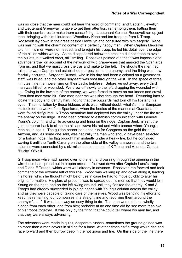was so close that the men could not hear the word of command, and Captain Llewellyn and Lieutenant Greenway, unable to get their attention, ran among them, batting them with their sombreros to make them cease firing. Lieutenant-Colonel Roosevelt ran up just then, bringing with him Lieutenant Woodbury Kane and ten troopers from K Troop. Roosevelt lay down in the grass beside Llewellyn and consulted with him eagerly. Kane was smiling with the charming content of a perfectly happy man. When Captain Llewellyn told him his men were not needed, and to rejoin his troop, he led his detail over the edge of the hill on which we lay. As he disappeared below the crest he did not stoop to avoid the bullets, but walked erect, still smiling. Roosevelt pointed out that it was impossible to advance farther on account of the network of wild grape-vines that masked the Spaniards from us, and that we must cross the trail and make to the left. The shouts the men had raised to warn Capron had established our position to the enemy, and the firing was now fearfully accurate. Sergeant Russell, who in his day had been a colonel on a governor's staff, was killed, and the other sergeant was shot through the wrist. In the space of three minutes nine men were lying on their backs helpless. Before we got away, every third man was killed, or wounded. We drew off slowly to the left, dragging the wounded with us. Owing to the low aim of the enemy, we were forced to move on our knees and crawl. Even then men were hit. One man near me was shot through the head. Returning later to locate the body and identify him, I found that the buzzards had torn off his lips and his eyes. This mutilation by these hideous birds was, without doubt, what Admiral Sampson mistook for the work of the Spaniards, when the bodies of the marines at Guantanamo were found disfigured. K Troop meantime had deployed into the valley under the fire from the enemy on the ridge. It had been ordered to establish communication with General Young's column, and while advancing and firing on the ridge, Captain Jenkins sent the guidon bearer back to climb the hill and wave his red and white banner where Young's men could see it. The guidon bearer had once run for Congress on the gold ticket in Arizona, and, as some one said, was naturally the man who should have been selected for a forlorn hope. His flag brought him instantly under a heavy fire, but he continued waving it until the Tenth Cavalry on the other side of the valley answered, and the two columns were connected by a skirmish-line composed of K Troop and A, under Captain "Bucky" O'Neill.

G Troop meanwhile had hurried over to the left, and passing through the opening in the wire fence had spread out into open order. It followed down after Captain Luna's troop and D and E Troops, which were well already in advance. Roosevelt ran forward and took command of the extreme left of this line. Wood was walking up and down along it, leading his horse, which he thought might be of use in case he had to move quickly to alter his original formation. His plan, at present, was to spread out his men so that they would join Young on the right, and on the left swing around until they flanked the enemy. K and A Troops had already succeeded in joining hands with Young's column across the valley, and as they were capable of taking care of themselves, Wood was bending his efforts to keep his remaining four companies in a straight line and revolving them around the enemy's "end." It was in no way an easy thing to do. The men were at times wholly hidden from each other, and from him; probably at no one time did he see more than two of his troops together. It was only by the firing that he could tell where his men lay, and that they were always advancing.

The advances were made in quick, desperate rushes--sometimes the ground gained was no more than a man covers in sliding for a base. At other times half a troop would rise and race forward and then burrow deep in the hot grass and fire. On this side of the line there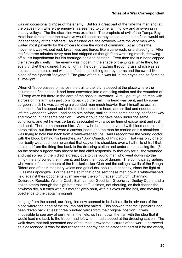was an occasional glimpse of the enemy. But for a great part of the time the men shot at the places from where the enemy's fire seemed to come, aiming low and answering in steady volleys. The fire discipline was excellent. The prophets of evil of the Tampa Bay Hotel had foretold that the cowboys would shoot as they chose, and, in the field, would act independently of their officers. As it turned out, the cowboys were the very men who waited most patiently for the officers to give the word of command. At all times the movement was without rest, breathless and fierce, like a cane-rush, or a street fight. After the first three minutes every man had stripped as though for a wrestling match, throwing off all his impedimenta but his cartridge-belt and canteen. Even then the sun handicapped their strength cruelly. The enemy was hidden in the shade of the jungle, while they, for every thicket they gained, had to fight in the open, crawling through grass which was as hot as a steam bath, and with their flesh and clothing torn by thorns and the sword-like blade of the Spanish "bayonet." The glare of the sun was full in their eyes and as fierce as a lime-light.

When G Troop passed on across the trail to the left I stopped at the place where the column had first halted--it had been converted into a dressing station and the wounded of G Troop were left there in the care of the hospital stewards. A tall, gaunt young man with a cross on his arm was just coming back up the trail. His head was bent, and by some surgeon's trick he was carrying a wounded man much heavier than himself across his shoulders. As I stepped out of the trail he raised his head, and smiled and nodded, and left me wondering where I had seen him before, smiling in the same cheery, confident way and moving in that same position. I knew it could not have been under the same conditions, and yet he was certainly associated with another time of excitement and rush and heat. Then I remembered him. As now he had been covered with blood and dirt and perspiration, but then he wore a canvas jacket and the man he carried on his shoulders was trying to hold him back from a white-washed line. And I recognized the young doctor, with the blood bathing his breeches, as "Bob" Church, of Princeton. That was only one of four badly wounded men he carried that day on his shoulders over a half-mile of trail that stretched from the firing-line back to the dressing station and under an unceasing fire. {3} As the senior surgeon was absent he had chief responsibility that day for all the wounded, and that so few of them died is greatly due to this young man who went down into the firing- line and pulled them from it, and bore them out of danger. The comic paragraphers who wrote of the members of the Knickerbocker Club and the college swells of the Rough Riders and of their imaginary valets and golf clubs, should, in decency, since the fight at Guasimas apologize. For the same spirit that once sent these men down a white-washed field against their opponents' rush line was the spirit that sent Church, Channing, Devereux, Ronalds, Wrenn, Cash, Bull, Lamed, Goodrich, Greenway, Dudley Dean, and a dozen others through the high hot grass at Guasimas, not shouting, as their friends the cowboys did, but each with his mouth tightly shut, with his eyes on the ball, and moving in obedience to the captain's signals.

Judging from the sound, our firing-line now seemed to be half a mile in advance of the place where the head of the column had first halted. This showed that the Spaniards had been driven back at least three hundred yards from their original position. It was impossible to see any of our men in the field, so I ran down the trail with the idea that it would lead me back to the troop I had left when I had stopped at the dressing station. The walk down that trail presented one of the most grewsome pictures of the war. It narrowed as it descended; it was for that reason the enemy had selected that part of it for the attack,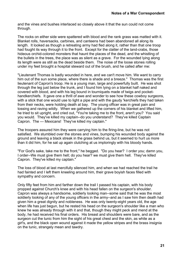and the vines and bushes interlaced so closely above it that the sun could not come through.

The rocks on either side were spattered with blood and the rank grass was matted with it. Blanket rolls, haversacks, carbines, and canteens had been abandoned all along its length. It looked as though a retreating army had fled along it, rather than that one troop had fought its way through it to the front. Except for the clatter of the land-crabs, those hideous orchid-colored monsters that haunt the places of the dead, and the whistling of the bullets in the trees, the place was as silent as a grave. For the wounded lying along its length were as still as the dead beside them. The noise of the loose stones rolling under my feet brought a hospital steward out of the brush, and he called after me:

"Lieutenant Thomas is badly wounded in here, and we can't move him. We want to carry him out of the sun some place, where there is shade and a breeze." Thomas was the first lieutenant of Capron's troop. He is a young man, large and powerfully built. He was shot through the leg just below the trunk, and I found him lying on a blanket half naked and covered with blood, and with his leg bound in tourniquets made of twigs and pockethandkerchiefs. It gave one a thrill of awe and wonder to see how these cowboy surgeons, with a stick that one would use to light a pipe and with the gaudy 'kerchiefs they had taken from their necks, were holding death at bay. The young officer was in great pain and tossing and raving wildly. When we gathered up the corners of his blanket and lifted him, he tried to sit upright, and cried out, "You're taking me to the front, aren't you? You said you would. They've killed my captain--do you understand? They've killed Captain Capron. The --- Mexicans! They've killed my captain."

The troopers assured him they were carrying him to the firing-line, but he was not satisfied. We stumbled over the stones and vines, bumping his wounded body against the ground and leaving a black streak in the grass behind us, but it seemed to hurt us more than it did him, for he sat up again clutching at us imploringly with his bloody hands.

"For God's sake, take me to the front," he begged. "Do you hear? I order you; damn you, I order--We must give them hell; do you hear? we must give them hell. They've killed Capron. They've killed my captain."

The loss of blood at last mercifully silenced him, and when we had reached the trail he had fainted and I left them kneeling around him, their grave boyish faces filled with sympathy and concern.

Only fifty feet from him and farther down the trail I passed his captain, with his body propped against Church's knee and with his head fallen on the surgeon's shoulder. Capron was always a handsome, soldierly looking man--some said that he was the most soldierly looking of any of the young officers in the army--and as I saw him then death had given him a great dignity and nobleness. He was only twenty-eight years old, the age when life has just begun, but he rested his head on the surgeon's shoulder like a man who knew he was already through with it and that, though they might peck and mend at the body, he had received his final orders. His breast and shoulders were bare, and as the surgeon cut the tunic from him the sight of his great chest and the skin, as white as a girl's, and the black open wound against it made the yellow stripes and the brass insignia on the tunic, strangely mean and tawdry.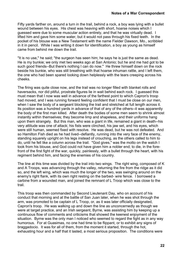Fifty yards farther on, around a turn in the trail, behind a rock, a boy was lying with a bullet wound between his eyes. His chest was heaving with short, hoarse noises which I guessed were due to some muscular action entirely, and that he was virtually dead. I lifted him and gave him some water, but it would not pass through his fixed teeth. In the pocket of his blouse was a New Testament with the name Fielder Dawson, Mo., scribbled in it in pencil. While I was writing it down for identification, a boy as young as himself came from behind me down the trail.

"It is no use," he said; "the surgeon has seen him; he says he is just the same as dead. He is my bunkie; we only met two weeks ago at San Antonio; but he and me had got to be such good friends--But there's nothing I can do now." He threw himself down on the rock beside his bunkie, who was still breathing with that hoarse inhuman rattle, and I left them, the one who had been spared looking down helplessly with the tears creeping across his cheeks.

The firing was quite close now, and the trail was no longer filled with blanket rolls and haversacks, nor did pitiful, prostrate figures lie in wait behind each rock. I guessed this must mean that I now was well in advance of the farthest point to which Capron's troop had moved, and I was running forward feeling confident that I must be close on our men, when I saw the body of a sergeant blocking the trail and stretched at full length across it. Its position was a hundred yards in advance of that of any of the others--it was apparently the body of the first man killed. After death the bodies of some men seem to shrink almost instantly within themselves; they become limp and shapeless, and their uniforms hang upon them strangely. But this man, who was a giant in life, remained a giant in death--his very attitude was one of attack; his fists were clinched, his jaw set, and his eyes, which were still human, seemed fixed with resolve. He was dead, but he was not defeated. And so Hamilton Fish died as he had lived--defiantly, running into the very face of the enemy, standing squarely upright on his legs instead of crouching, as the others called to him to do, until he fell like a column across the trail. "God gives," was the motto on the watch I took from his blouse, and God could not have given him a nobler end; to die, in the forefront of the first fight of the war, quickly, painlessly, with a bullet through the heart, with his regiment behind him, and facing the enemies of his country.

The line at this time was divided by the trail into two wings. The right wing, composed of K and A Troops, was advancing through the valley, returning the fire from the ridge as it did so, and the left wing, which was much the longer of the two, was swinging around on the enemy's right flank, with its own right resting on the barbed- wire fence. I borrowed a carbine from a wounded man, and joined the remnant of L Troop which was close to the trail.

This troop was then commanded by Second Lieutenant Day, who on account of his conduct that morning and at the battle of San Juan later, when he was shot through the arm, was promoted to be captain of L Troop, or, as it was later officially designated, Capron's troop. He was walking up and down the line as unconcernedly as though we were at target practice, and an Irish sergeant, Byrne, was assisting him by keeping up a continuous flow of comments and criticisms that showed the keenest enjoyment of the situation. Byrne was the only man I noticed who seemed to regard the fight as in any way humorous. For at Guasimas, no one had time to be flippant, or to exhibit any signs of braggadocio. It was for all of them, from the moment it started, through the hot, exhausting hour and a half that it lasted, a most serious proposition. The conditions were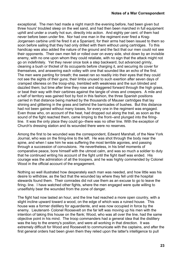exceptional. The men had made a night march the evening before, had been given but three hours' troubled sleep on the wet sand, and had then been marched in full equipment uphill and under a cruelly hot sun, directly into action. And eighty per cent. of them had never before been under fire. Nor had one man in the regiment ever fired a Krag-Jorgensen carbine until he fired it at a Spaniard, for their arms had been issued to them so soon before sailing that they had only drilled with them without using cartridges. To this handicap was also added the nature of the ground and the fact that our men could not see their opponents. Their own men fell or rolled over on every side, shot down by an invisible enemy, with no one upon whom they could retaliate, with no sign that the attack might not go on indefinitely. Yet they never once took a step backward, but advanced grimly, cleaning a bush or thicket of its occupants before charging it, and securing its cover for themselves, and answering each volley with one that sounded like an echo of the first. The men were panting for breath; the sweat ran so readily into their eyes that they could not see the sights of their guns; their limbs unused to such exertion after seven days of cramped idleness on the troop-ship, trembled with weakness and the sun blinded and dazzled them; but time after time they rose and staggered forward through the high grass, or beat their way with their carbines against the tangle of vines and creepers. A mile and a half of territory was gained foot by foot in this fashion, the three Spanish positions carried in that distance being marked by the thousands of Mauser cartridges that lay shining and glittering in the grass and behind the barricades of bushes. But this distance had not been gained without many losses, for every one in the regiment was engaged. Even those who, on account of the heat, had dropped out along the trail, as soon as the sound of the fight reached them, came limping to the front--and plunged into the firingline. It was the only place they could go--there was no other line. With the exception of Church's dressing station and its wounded there were no reserves.

Among the first to be wounded was the correspondent, Edward Marshall, of the New York Journal, who was on the firing-line to the left. He was shot through the body near the spine, and when I saw him he was suffering the most terrible agonies, and passing through a succession of convulsions. He nevertheless, in his brief moments of comparative peace, bore himself with the utmost calm, and was so much a soldier to duty that he continued writing his account of the fight until the fight itself was ended. His courage was the admiration of all the troopers, and he was highly commended by Colonel Wood in the official account of the engagement.

Nothing so well illustrated how desperately each man was needed, and how little was his desire to withdraw, as the fact that the wounded lay where they fell until the hospital stewards found them. Their comrades did not use them as an excuse to go to leave the firing- line. I have watched other fights, where the men engaged were quite willing to unselfishly bear the wounded from the zone of danger.

The fight had now lasted an hour, and the line had reached a more open country, with a slight incline upward toward a wood, on the edge of which was a ruined house. This house was a former distillery for aguardiente, and was now occupied in force by the enemy. Lieutenant- Colonel Roosevelt on the far left was moving up his men with the intention of taking this house on the flank; Wood, who was all over the line, had the same objective point in his mind. The troop commanders had a general idea that the distillery was the key to the enemy's position, and were all working in that direction. It was extremely difficult for Wood and Roosevelt to communicate with the captains, and after the first general orders had been given them they relied upon the latter's intelligence to pull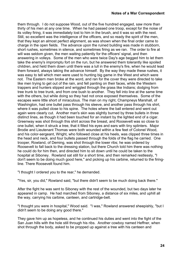them through. I do not suppose Wood, out of the five hundred engaged, saw more than thirty of his men at any one time. When he had passed one troop, except for the noise of its volley firing, it was immediately lost to him in the brush, and it was so with the next. Still, so excellent was the intelligence of the officers, and so ready the spirit of the men, that they kept an almost perfect alignment, as was shown when the final order came to charge in the open fields. The advance upon the ruined building was made in stubborn, short rushes, sometimes in silence, and sometimes firing as we ran. The order to fire at will was seldom given, the men waiting patiently for the officers' signal, and then answering in volleys. Some of the men who were twice Day's age begged him to let them take the enemy's impromptu fort on the run, but he answered them tolerantly like spoiled children, and held them down until there was a lull in the enemy's fire, when he would lead them forward, always taking the advance himself. By the way they made these rushes, it was easy to tell which men were used to hunting big game in the West and which were not. The Eastern men broke at the word, and ran for the cover they were directed to take like men trying to get out of the rain, and fell panting on their faces, while the Western trappers and hunters slipped and wriggled through the grass like Indians; dodging from tree trunk to tree trunk, and from one bush to another. They fell into line at the same time with the others, but while doing so they had not once exposed themselves. Some of the escapes were little short of miraculous. The man on my right, Champneys Marshall, of Washington, had one bullet pass through his sleeve, and another pass through his shirt, where it was pulled close to his spine. The holes where the ball entered and went out again were clearly cut. Another man's skin was slightly burned by three bullets in three distinct lines, as though it had been touched for an instant by the lighted end of a cigar. Greenway was shot through this shirt across the breast, and Roosevelt was so close to one bullet, when it struck a tree, that it filled his eyes and ears with tiny splinters. Major Brodie and Lieutenant Thomas were both wounded within a few feet of Colonel Wood, and his color-sergeant, Wright, who followed close at his heels, was clipped three times in the head and neck, and four bullets passed through the folds of the flag he carried. One trooper, Rowland, of Deming, was shot through the lower ribs; he was ordered by Roosevelt to fall back to the dressing station, but there Church told him there was nothing he could do for him then, and directed him to sit down until he could be taken to the hospital at Siboney. Rowland sat still for a short time, and then remarked restlessly, "I don't seem to be doing much good here," and picking up his carbine, returned to the firingline. There Roosevelt found him.

"I thought I ordered you to the rear," he demanded.

"Yes, sir, you did," Rowland said, "but there didn't seem to be much doing back there."

After the fight he was sent to Siboney with the rest of the wounded, but two days later he appeared in camp. He had marched from Siboney, a distance of six miles, and uphill all the way, carrying his carbine, canteen, and cartridge-belt.

"I thought you were in hospital," Wood said. "I was," Rowland answered sheepishly, "but I didn't seem to be doing any good there."

They gave him up as hopeless, and he continued his duties and went into the fight of the San Juan hills with the hole still through his ribs. Another cowboy named Heffner, when shot through the body, asked to be propped up against a tree with his canteen and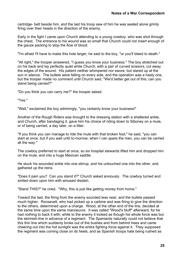cartridge- belt beside him, and the last his troop saw of him he was seated alone grimly firing over their heads in the direction of the enemy.

Early in the fight I came upon Church attending to a young cowboy, who was shot through the chest. The entrance to his wound was so small that Church could not insert enough of the gauze packing to stop the flow of blood.

"I'm afraid I'll have to make this hole larger, he said to the boy, "or you'll bleed to death."

"All right," the trooper answered, "I guess you know your business." The boy stretched out on his back and lay perfectly quiet while Church, with a pair of curved scissors, cut away the edges of the wound. His patient neither whimpered nor swore, but stared up at the sun in silence. The bullets were falling on every side, and the operation was a hasty one, but the trooper made no comment until Church said, "We'd better get out of this; can you stand being carried?"

"Do you think you can carry me?" the trooper asked.

"Yes."

"Well," exclaimed the boy admiringly, "you certainly know your business!"

Another of the Rough Riders was brought to the dressing station with a shattered ankle, and Church, after bandaging it, gave him his choice of riding down to Siboney on a mule, or of being carried, a day later, on a litter.

"If you think you can manage to ride the mule with that broken foot," he said, "you can start at once, but if you wait until to-morrow, when I can spare the men, you can be carried all the way."

The cowboy preferred to start at once, so six hospital stewards lifted him and dropped him on the mule, and into a huge Mexican saddle.

He stuck his wounded ankle into one stirrup, and his untouched one into the other, and gathered up the reins.

"Does it pain you? Can you stand it?" Church asked anxiously. The cowboy turned and smiled down upon him with amused disdain.

"Stand THIS?" he cried. "Why, this is just like getting money from home."

Toward the last, the firing from the enemy sounded less near, and the bullets passed much higher. Roosevelt, who had picked up a carbine and was firing to give the direction to the others, determined upon a charge. Wood, at the other end of the line, decided at the same time upon the same manoeuvre. It was called "Wood's bluff" afterward, for he had nothing to back it with; while to the enemy it looked as though his whole force was but the skirmish-line in advance of a regiment. The Spaniards naturally could not believe that this thin line which suddenly broke out of the bushes and from behind trees and came cheering out into the hot sunlight was the entire fighting force against it. They supposed the regiment was coming close on its heels, and as Spanish troops hate being rushed as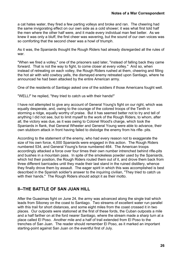<span id="page-25-0"></span>a cat hates water, they fired a few parting volleys and broke and ran. The cheering had the same invigorating effect on our own side as a cold shower; it was what first told half the men where the other half were, and it made every individual man feel better. As we knew it was only a bluff, the first cheer was wavering, but the sound of our own voices was so comforting that the second cheer was a howl of triumph.

As it was, the Spaniards thought the Rough Riders had already disregarded all the rules of war.

"When we fired a volley," one of the prisoners said later, "instead of falling back they came forward. That is not the way to fight, to come closer at every volley." And so, when instead of retreating on each volley, the Rough Riders rushed at them, cheering and filling the hot air with wild cowboy yells, the dismayed enemy retreated upon Santiago, where he announced he had been attacked by the entire American army.

One of the residents of Santiago asked one of the soldiers if those Americans fought well.

"WELL!" he replied, "they tried to catch us with their hands!"

I have not attempted to give any account of General Young's fight on our right, which was equally desperate, and, owing to the courage of the colored troops of the Tenth in storming a ridge, equally worthy of praise. But it has seemed better not to try and tell of anything I did not see, but to limit myself to the work of the Rough Riders, to whom, after all, the victory was due, as it was owing to Colonel Wood's charge, which took the Spaniards in flank, that General Wheeler and General Young were able to advance, their own stubborn attack in front having failed to dislodge the enemy from his rifle- pits.

According to the statement of the enemy, who had every reason not to exaggerate the size of his own force, 4,000 Spaniards were engaged in this action. The Rough Riders numbered 534, and General Young's force numbered 464. The American troops accordingly attacked a force over four times their own number intrenched behind rifle-pits and bushes in a mountain pass. In spite of the smokeless powder used by the Spaniards, which hid their position, the Rough Riders routed them out of it, and drove them back from three different barricades until they made their last stand in the ruined distillery, whence they finally drove them by assault. The eager spirit in which this was accomplished is best described in the Spanish soldier's answer to the inquiring civilian, "They tried to catch us with their hands." The Rough Riders should adopt it as their motto.

#### **II--THE BATTLE OF SAN JUAN HILL**

After the Guasimas fight on June 24, the army was advanced along the single trail which leads from Siboney on the coast to Santiago. Two streams of excellent water run parallel with this trail for short distances, and some eight miles from the coast crossed it in two places. Our outposts were stationed at the first of these fords, the Cuban outposts a mile and a half farther on at the ford nearer Santiago, where the stream made a sharp turn at a place called El Poso. Another mile and a half of trail extended from El Poso to the trenches of San Juan. The reader should remember El Poso, as it marked an important starting-point against San Juan on the eventful first of July.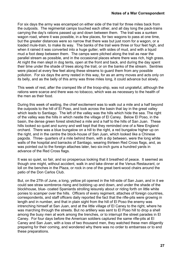For six days the army was encamped on either side of the trail for three miles back from the outposts. The regimental camps touched each other, and all day long the pack-trains carrying the day's rations passed up and down between them. The trail was a sunken wagon road, where it was possible, in a few places, for two wagons to pass at one time, but the greater distances were so narrow that there was but just room for a wagon, or a loaded mule-train, to make its way. The banks of the trail were three or four feet high, and when it rained it was converted into a huge gutter, with sides of mud, and with a liquid mud a foot deep between them. The camps were pitched along the trail as near the parallel stream as possible, and in the occasional places where there was rich, high grass. At night the men slept in dog tents, open at the front and back, and during the day spent their time under the shade of trees along the trail, or on the banks of the stream. Sentries were placed at every few feet along these streams to guard them from any possible pollution. For six days the army rested in this way, for as an army moves and acts only on its belly, and as the belly of this army was three miles long, it could advance but slowly.

This week of rest, after the cramped life of the troop-ship, was not ungrateful, although the rations were scarce and there was no tobacco, which was as necessary to the health of the men as their food.

During this week of waiting, the chief excitement was to walk out a mile and a half beyond the outposts to the hill of El Poso, and look across the basin that lay in the great valley which leads to Santiago. The left of the valley was the hills which hide the sea. The right of the valley was the hills in which nestle the village of El Caney. Below El Poso, in the basin, the dense green forest stretched a mile and a half to the hills of San Juan. These hills looked so quiet and sunny and well kept that they reminded one of a New England orchard. There was a blue bungalow on a hill to the right, a red bungalow higher up on the right, and in the centre the block-house of San Juan, which looked like a Chinese pagoda. Three- quarters of a mile behind them, with a dip between, were the long white walls of the hospital and barracks of Santiago, wearing thirteen Red Cross flags, and, as was pointed out to the foreign attaches later, two six-inch guns a hundred yards in advance of the Red Cross flags.

It was so quiet, so fair, and so prosperous looking that it breathed of peace. It seemed as though one might, without accident, walk in and take dinner at the Venus Restaurant, or loll on the benches in the Plaza, or rock in one of the great bent-wood chairs around the patio of the Don Carlos Club.

But, on the 27th of June, a long, yellow pit opened in the hill-side of San Juan, and in it we could see straw sombreros rising and bobbing up and down, and under the shade of the blockhouse, blue- coated Spaniards strolling leisurely about or riding forth on little white ponies to scamper over the hills. Officers of every regiment, attaches of foreign countries, correspondents, and staff officers daily reported the fact that the rifle-pits were growing in length and in number, and that in plain sight from the hill of El Poso the enemy was intrenching himself at San Juan, and at the little village of El Caney to the right, where he was marching through the streets. But no artillery was sent to El Poso hill to drop a shell among the busy men at work among the trenches, or to interrupt the street parades in El Caney. For four days before the American soldiers captured the same rifle-pits at El Caney and San Juan, with a loss of two thousand men, they watched these men diligently preparing for their coming, and wondered why there was no order to embarrass or to end these preparations.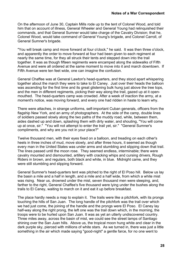On the afternoon of June 30, Captain Mills rode up to the tent of Colonel Wood, and told him that on account of illness, General Wheeler and General Young had relinquished their commands, and that General Sumner would take charge of the Cavalry Division; that he, Colonel Wood, would take command of General Young's brigade, and Colonel Carroll, of General Sumner's brigade.

"You will break camp and move forward at four o'clock," he said. It was then three o'clock, and apparently the order to move forward at four had been given to each regiment at nearly the same time, for they all struck their tents and stepped down into the trail together. It was as though fifteen regiments were encamped along the sidewalks of Fifth Avenue and were all ordered at the same moment to move into it and march downtown. If Fifth Avenue were ten feet wide, one can imagine the confusion.

General Chaffee was at General Lawton's head-quarters, and they stood apart whispering together about the march they were to take to El Caney. Just over their heads the balloon was ascending for the first time and its great glistening bulk hung just above the tree tops, and the men in different regiments, picking their way along the trail, gazed up at it openmouthed. The head-quarters camp was crowded. After a week of inaction the army, at a moment's notice, was moving forward, and every one had ridden in haste to learn why.

There were attaches, in strange uniforms, self-important Cuban generals, officers from the flagship New York, and an army of photographers. At the side of the camp, double lines of soldiers passed slowly along the two paths of the muddy road, while, between them, aides dashed up and down, splashing them with dirty water, and shouting, "You will come up at once, sir." "You will not attempt to enter the trail yet, sir." "General Sumner's compliments, and why are you not in your place?"

Twelve thousand men, with their eyes fixed on a balloon, and treading on each other's heels in three inches of mud, move slowly, and after three hours, it seemed as though every man in the United States was under arms and stumbling and slipping down that trail. The lines passed until the moon rose. They seemed endless, interminable; there were cavalry mounted and dismounted, artillery with cracking whips and cursing drivers, Rough Riders in brown, and regulars, both black and white, in blue. Midnight came, and they were still stumbling and slipping forward.

General Sumner's head-quarters tent was pitched to the right of El Poso hill. Below us lay the basin a mile and a half in length, and a mile and a half wide, from which a white mist was rising. Near us, drowned under the mist, seven thousand men were sleeping, and, farther to the right, General Chaffee's five thousand were lying under the bushes along the trails to El Caney, waiting to march on it and eat it up before breakfast.

The place hardly needs a map to explain it. The trails were like a pitchfork, with its prongs touching the hills of San Juan. The long handle of the pitchfork was the trail over which we had just come, the joining of the handle and the prongs were El Poso. El Caney lay half-way along the right prong, the left one was the trail down which, in the morning, the troops were to be hurled upon San Juan. It was as yet an utterly undiscovered country. Three miles away, across the basin of mist, we could see the street lamps of Santiago shining over the San Juan hills. Above us, the tropical moon hung white and clear in the dark purple sky, pierced with millions of white stars. As we turned in, there was just a little something in the air which made saying "good-night" a gentle farce, for no one went to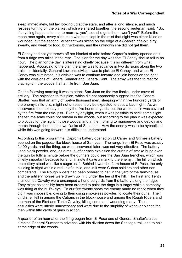sleep immediately, but lay looking up at the stars, and after a long silence, and much restless turning on the blanket which we shared together, the second lieutenant said: "So, if anything happens to me, to-morrow, you'll see she gets them, won't you?" Before the moon rose again, every sixth man who had slept in the mist that night was either killed or wounded; but the second lieutenant was sitting on the edge of a Spanish rifle-pit, dirty, sweaty, and weak for food, but victorious, and the unknown she did not get them.

El Caney had not yet thrown off her blanket of mist before Capron's battery opened on it from a ridge two miles in the rear. The plan for the day was that El Caney should fall in an hour. The plan for the day is interesting chiefly because it is so different from what happened. According to the plan the army was to advance in two divisions along the two trails. Incidentally, General Lawton's division was to pick up El Caney, and when El Caney was eliminated, his division was to continue forward and join hands on the right with the divisions of General Sumner and General Kent. The army was then to rest for that night in the woods, half a mile from San Juan.

On the following morning it was to attack San Juan on the two flanks, under cover of artillery. The objection to this plan, which did not apparently suggest itself to General Shafter, was that an army of twelve thousand men, sleeping within five hundred yards of the enemy's rifle-pits, might not unreasonably be expected to pass a bad night. As we discovered the next day, not only the five hundred yards, but the whole basin was covered by the fire from the rifle- pits. Even by daylight, when it was possible to seek some slight shelter, the army could not remain in the woods, but according to the plan it was expected to bivouac for the night in those woods, and in the morning to manoeuvre and deploy and march through them to the two flanks of San Juan. How the enemy was to be hypnotized while this was going forward it is difficult to understand.

According to this programme, Capron's battery opened on El Caney and Grimes's battery opened on the pagoda-like block-house of San Juan. The range from El Poso was exactly 2,400 yards, and the firing, as was discovered later, was not very effective. The battery used black powder, and, as a result, after each explosion the curtain of smoke hung over the gun for fully a minute before the gunners could see the San Juan trenches, which was chiefly important because for a full minute it gave a mark to the enemy. The hill on which the battery stood was like a sugar-loaf. Behind it was the farm-house of El Poso, the only building in sight within a radius of a mile, and in it were Cuban soldiers and other noncombatants. The Rough Riders had been ordered to halt in the yard of the farm-house and the artillery horses were drawn up in it, under the lee of the hill. The First and Tenth dismounted Cavalry were encamped a hundred yards from the battery along the ridge. They might as sensibly have been ordered to paint the rings in a target while a company was firing at the bull's- eye. To our first twenty shots the enemy made no reply; when they did it was impossible, owing to their using smokeless powder, to locate their guns. Their third shell fell in among the Cubans in the block-house and among the Rough Riders and the men of the First and Tenth Cavalry, killing some and wounding many. These casualties were utterly unnecessary and were due to the stupidity of whoever placed the men within fifty yards of guns in action.

A quarter of an hour after the firing began from El Poso one of General Shafter's aides directed General Sumner to advance with his division down the Santiago trail, and to halt at the edge of the woods.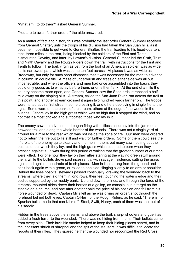"What am I to do then?" asked General Sumner.

"You are to await further orders," the aide answered.

As a matter of fact and history this was probably the last order General Sumner received from General Shafter, until the troops of his division had taken the San Juan hills, as it became impossible to get word to General Shafter, the trail leading to his head-quarters tent, three miles in the rear, being blocked by the soldiers of the First and Tenth dismounted Cavalry, and later, by Lawton's division. General Sumner led the Sixth, Third, and Ninth Cavalry and the Rough Riders down the trail, with instructions for the First and Tenth to follow. The trail, virgin as yet from the foot of an American soldier, was as wide as its narrowest part, which was some ten feet across. At places it was as wide as Broadway, but only for such short distances that it was necessary for the men to advance in column, in double file. A maze of underbrush and trees on either side was all but impenetrable, and when the officers and men had once assembled into the basin, they could only guess as to what lay before them, or on either flank. At the end of a mile the country became more open, and General Sumner saw the Spaniards intrenched a halfmile away on the sloping hills. A stream, called the San Juan River, ran across the trail at this point, and another stream crossed it again two hundred yards farther on. The troops were halted at this first stream, some crossing it, and others deploying in single file to the right. Some were on the banks of the stream, others at the edge of the woods in the bushes. Others lay in the high grass which was so high that it stopped the wind, and so hot that it almost choked and suffocated those who lay in it.

The enemy saw the advance and began firing with pitiless accuracy into the jammed and crowded trail and along the whole border of the woods. There was not a single yard of ground for a mile to the rear which was not inside the zone of fire. Our men were ordered not to return the fire but to lie still and wait for further orders. Some of them could see the rifle-pits of the enemy quite clearly and the men in them, but many saw nothing but the bushes under which they lay, and the high grass which seemed to burn when they pressed against it. It was during this period of waiting that the greater number of our men were killed. For one hour they lay on their rifles staring at the waving green stuff around them, while the bullets drove past incessantly, with savage insistence, cutting the grass again and again in hundreds of fresh places. Men in line sprang from the ground and sank back again with a groan, or rolled to one side clinging silently to an arm or shoulder. Behind the lines hospital stewards passed continually, drawing the wounded back to the streams, where they laid them in long rows, their feet touching the water's edge and their bodies supported by the muddy bank. Up and down the lines, and through the fords of the streams, mounted aides drove their horses at a gallop, as conspicuous a target as the steeple on a church, and one after another paid the price of his position and fell from his horse wounded or dead. Captain Mills fell as he was giving an order, shot through the forehead behind both eyes; Captain O'Neill, of the Rough Riders, as he said, "There is no Spanish bullet made that can kill me." Steel, Swift, Henry, each of them was shot out of his saddle.

Hidden in the trees above the streams, and above the trail, sharp- shooters and guerillas added a fresh terror to the wounded. There was no hiding from them. Their bullets came from every side. Their invisible smoke helped to keep their hiding-places secret, and in the incessant shriek of shrapnel and the spit of the Mausers, it was difficult to locate the reports of their rifles. They spared neither the wounded nor recognized the Red Cross;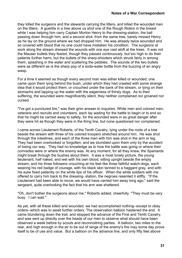they killed the surgeons and the stewards carrying the litters, and killed the wounded men on the litters. A guerilla in a tree above us shot one of the Rough Riders in the breast while I was helping him carry Captain Morton Henry to the dressing-station, the ball passing down through him, and a second shot, from the same tree, barely missed Henry as he lay on the ground where we had dropped him. He was already twice wounded and so covered with blood that no one could have mistaken his condition. The surgeons at work along the stream dressed the wounds with one eve cast aloft at the trees. It was not the Mauser bullets they feared, though they passed continuously, but too high to do their patients further harm, but the bullets of the sharp-shooters which struck fairly in among them, splashing in the water and scattering the pebbles. The sounds of the two bullets were as different as is the sharp pop of a soda-water bottle from the buzzing of an angry wasp.

For a time it seemed as though every second man was either killed or wounded; one came upon them lying behind the bush, under which they had crawled with some strange idea that it would protect them, or crouched under the bank of the stream, or lying on their stomachs and lapping up the water with the eagerness of thirsty dogs. As to their suffering, the wounded were magnificently silent, they neither complained nor groaned nor cursed.

"I've got a punctured tire," was their grim answer to inquiries. White men and colored men, veterans and recruits and volunteers, each lay waiting for the battle to begin or to end so that he might be carried away to safety, for the wounded were in as great danger after they were hit as though they were in the firing line, but none questioned nor complained.

I came across Lieutenant Roberts, of the Tenth Cavalry, lying under the roots of a tree beside the stream with three of his colored troopers stretched around him. He was shot through the intestines, and each of the three men with him was shot in the arm or leg. They had been overlooked or forgotten, and we stumbled upon them only by the accident of losing our way. They had no knowledge as to how the battle was going or where their comrades were or where the enemy was. At any moment, for all they knew, the Spaniards might break through the bushes about them. It was a most lonely picture, the young lieutenant, half naked, and wet with his own blood, sitting upright beside the empty stream, and his three followers crouching at his feet like three faithful watch-dogs, each wearing his red badge of courage, with his black skin tanned to a haggard gray, and with his eyes fixed patiently on the white lips of his officer. When the white soldiers with me offered to carry him back to the dressing- station, the negroes resented it stiffly. "If the Lieutenant had been able to move, we would have carried him away long ago," said the sergeant, quite overlooking the fact that his arm was shattered.

"Oh, don't bother the surgeons about me," Roberts added, cheerfully. "They must be very busy. I can wait."

As yet, with all these killed and wounded, we had accomplished nothing--except to obey orders--which was to await further orders. The observation balloon hastened the end. It came blundering down the trail, and stopped the advance of the First and Tenth Cavalry, and was sent up directly over the heads of our men to observe what should have been observed a week before by scouts and reconnoitring parties. A balloon, two miles to the rear, and high enough in the air to be out of range of the enemy's fire may some day prove itself to be of use and value. But a balloon on the advance line, and only fifty feet above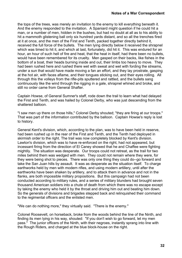the tops of the trees, was merely an invitation to the enemy to kill everything beneath it. And the enemy responded to the invitation. A Spaniard might question if he could hit a man, or a number of men, hidden in the bushes, but had no doubt at all as to his ability to hit a mammoth glistening ball only six hundred yards distant, and so all the trenches fired at it at once, and the men of the First and Tenth, packed together directly behind it, received the full force of the bullets. The men lying directly below it received the shrapnel which was timed to hit it, and which at last, fortunately, did hit it. This was endured for an hour, an hour of such hell of fire and heat, that the heat in itself, had there been no bullets, would have been remembered for its cruelty. Men gasped on their backs, like fishes in the bottom of a boat, their heads burning inside and out, their limbs too heavy to move. They had been rushed here and rushed there wet with sweat and wet with fording the streams, under a sun that would have made moving a fan an effort, and they lay prostrate, gasping at the hot air, with faces aflame, and their tongues sticking out, and their eyes rolling. All through this the volleys from the rifle-pits sputtered and rattled, and the bullets sang continuously like the wind through the rigging in a gale, shrapnel whined and broke, and still no order came from General Shafter.

Captain Howse, of General Sumner's staff, rode down the trail to learn what had delayed the First and Tenth, and was hailed by Colonel Derby, who was just descending from the shattered balloon.

"I saw men up there on those hills," Colonel Derby shouted; "they are firing at our troops." That was part of the information contributed by the balloon. Captain Howse's reply is lost to history.

General Kent's division, which, according to the plan, was to have been held in reserve, had been rushed up in the rear of the First and Tenth, and the Tenth had deployed in skirmish order to the right. The trail was now completely blocked by Kent's division. Lawton's division, which was to have re-enforced on the right, had not appeared, but incessant firing from the direction of El Caney showed that he and Chaffee were fighting mightily. The situation was desperate. Our troops could not retreat, as the trail for two miles behind them was wedged with men. They could not remain where they were, for they were being shot to pieces. There was only one thing they could do--go forward and take the San Juan hills by assault. It was as desperate as the situation itself. To charge earthworks held by men with modern rifles, and using modern artillery, until after the earthworks have been shaken by artillery, and to attack them in advance and not in the flanks, are both impossible military propositions. But this campaign had not been conducted according to military rules, and a series of military blunders had brought seven thousand American soldiers into a chute of death from which there was no escape except by taking the enemy who held it by the throat and driving him out and beating him down. So the generals of divisions and brigades stepped back and relinquished their command to the regimental officers and the enlisted men.

"We can do nothing more," they virtually said. "There is the enemy."

Colonel Roosevelt, on horseback, broke from the woods behind the line of the Ninth, and finding its men lying in his way, shouted: "If you don't wish to go forward, let my men pass." The junior officers of the Ninth, with their negroes, instantly sprang into line with the Rough Riders, and charged at the blue block-house on the right.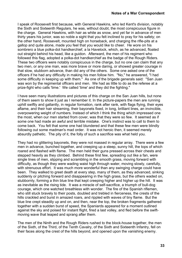I speak of Roosevelt first because, with General Hawkins, who led Kent's division, notably the Sixth and Sixteenth Regulars, he was, without doubt, the most conspicuous figure in the charge. General Hawkins, with hair as white as snow, and yet far in advance of men thirty years his junior, was so noble a sight that you felt inclined to pray for his safety; on the other hand, Roosevelt, mounted high on horseback, and charging the rifle-pits at a gallop and quite alone, made you feel that you would like to cheer. He wore on his sombrero a blue polka-dot handkerchief, a la Havelock, which, as he advanced, floated out straight behind his head, like a guidon. Afterward, the men of his regiment who followed this flag, adopted a polka-dot handkerchief as the badge of the Rough Riders. These two officers were notably conspicuous in the charge, but no one can claim that any two men, or any one man, was more brave or more daring, or showed greater courage in that slow, stubborn advance, than did any of the others. Some one asked one of the officers if he had any difficulty in making his men follow him. "No," he answered, "I had some difficulty in keeping up with them." As one of the brigade generals said: "San Juan was won by the regimental officers and men. We had as little to do as the referee at a prize-fight who calls 'time.' We called 'time' and they did the fighting."

I have seen many illustrations and pictures of this charge on the San Juan hills, but none of them seem to show it just as I remember it. In the picture-papers the men are running uphill swiftly and gallantly, in regular formation, rank after rank, with flags flying, their eyes aflame, and their hair streaming, their bayonets fixed, in long, brilliant lines, an invincible, overpowering weight of numbers. Instead of which I think the thing which impressed one the most, when our men started from cover, was that they were so few. It seemed as if some one had made an awful and terrible mistake. One's instinct was to call to them to come back. You felt that some one had blundered and that these few men were blindly following out some madman's mad order. It was not heroic then, it seemed merely absurdly pathetic. The pity of it, the folly of such a sacrifice was what held you.

They had no glittering bayonets, they were not massed in regular array. There were a few men in advance, bunched together, and creeping up a steep, sunny hill, the tops of which roared and flashed with flame. The men held their guns pressed across their chests and stepped heavily as they climbed. Behind these first few, spreading out like a fan, were single lines of men, slipping and scrambling in the smooth grass, moving forward with difficulty, as though they were wading waist high through water, moving slowly, carefully, with strenuous effort. It was much more wonderful than any swinging charge could have been. They walked to greet death at every step, many of them, as they advanced, sinking suddenly or pitching forward and disappearing in the high grass, but the others waded on, stubbornly, forming a thin blue line that kept creeping higher and higher up the hill. It was as inevitable as the rising tide. It was a miracle of self-sacrifice, a triumph of bull-dog courage, which one watched breathless with wonder. The fire of the Spanish riflemen, who still stuck bravely to their posts, doubled and trebled in fierceness, the crests of the hills crackled and burst in amazed roars, and rippled with waves of tiny flame. But the blue line crept steadily up and on, and then, near the top, the broken fragments gathered together with a sudden burst of speed, the Spaniards appeared for a moment outlined against the sky and poised for instant flight, fired a last volley, and fled before the swiftmoving wave that leaped and sprang after them.

The men of the Ninth and the Rough Riders rushed to the block-house together, the men of the Sixth, of the Third, of the Tenth Cavalry, of the Sixth and Sixteenth Infantry, fell on their faces along the crest of the hills beyond, and opened upon the vanishing enemy.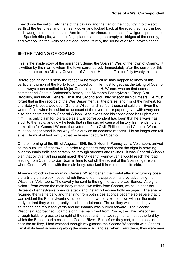<span id="page-33-0"></span>They drove the yellow silk flags of the cavalry and the flag of their country into the soft earth of the trenches, and then sank down and looked back at the road they had climbed and swung their hats in the air. And from far overhead, from these few figures perched on the Spanish rifle-pits, with their flags planted among the empty cartridges of the enemy, and overlooking the walls of Santiago, came, faintly, the sound of a tired, broken cheer.

#### **III--THE TAKING OF COAMO**

This is the inside story of the surrender, during the Spanish War, of the town of Coamo. It is written by the man to whom the town surrendered. Immediately after the surrender this same man became Military Governor of Coamo. He held office for fully twenty minutes.

Before beginning this story the reader must forget all he may happen to know of this particular triumph of the Porto Rican Expedition. He must forget that the taking of Coamo has always been credited to Major-General James H. Wilson, who on that occasion commanded Captain Anderson's Battery, the Sixteenth Pennsylvania, Troop C of Brooklyn, and under General Ernst, the Second and Third Wisconsin Volunteers. He must forget that in the records of the War Department all the praise, and it is of the highest, for this victory is bestowed upon General Wilson and his four thousand soldiers. Even the writer of this, when he cabled an account of the event to his paper, gave, with every one else, the entire credit to General Wilson. And ever since his conscience has upbraided him. His only claim for tolerance as a war correspondent has been that he always has stuck to the facts, and now he feels that in the sacred cause of history his friendship and admiration for General Wilson, that veteran of the Civil, Philippine, and Chinese Wars, must no longer stand in the way of his duty as an accurate reporter. He no longer can tell a lie. He must at last own up that he himself captured Coamo.

On the morning of the 9th of August, 1898, the Sixteenth Pennsylvania Volunteers arrived on the outskirts of that town. In order to get there they had spent the night in crawling over mountain trails and scrambling through streams and ravines. It was General Wilson's plan that by this flanking night march the Sixteenth Pennsylvania would reach the road leading from Coamo to San Juan in time to cut off the retreat of the Spanish garrison, when General Wilson, with the main body, attacked it from the opposite side.

At seven o'clock in the morning General Wilson began the frontal attack by turning loose the artillery on a block-house, which threatened his approach, and by advancing the Wisconsin Volunteers. The cavalry he sent to the right to capture Los Banos. At eight o'clock, from where the main body rested, two miles from Coamo, we could hear the Sixteenth Pennsylvania open its attack and instantly become hotly engaged. The enemy returned the fire fiercely, and the firing from both sides at once became so severe that it was evident the Pennsylvania Volunteers either would take the town without the main body, or that they would greatly need its assistance. The artillery was accordingly advanced one thousand yards and the infantry was hurried forward. The Second Wisconsin approached Coamo along the main road from Ponce, the Third Wisconsin through fields of grass to the right of the road, until the two regiments met at the ford by which the Banos road crosses the Coamo River. But before they met, from a position near the artillery, I had watched through my glasses the Second Wisconsin with General Ernst at its head advancing along the main road, and as, when I saw them, they were near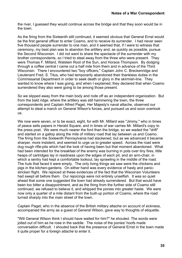the river, I guessed they would continue across the bridge and that they soon would be in the town.

As the firing from the Sixteenth still continued, it seemed obvious that General Ernst would be the first general officer to enter Coamo, and to receive its surrender. I had never seen five thousand people surrender to one man, and it seemed that, if I were to witness that ceremony, my best plan was to abandon the artillery and, as quickly as possible, pursue the Second Wisconsin. I did not want to share the spectacle of the surrender with my brother correspondents, so I tried to steal away from the three who were present. They were Thomas F. Millard, Walstein Root of the Sun, and Horace Thompson. By dodging through a coffee central I came out a half mile from them and in advance of the Third Wisconsin. There I encountered two "boy officers," Captain John C. Breckenridge and Lieutenant Fred. S. Titus, who had temporarily abandoned their thankless duties in the Commissariat Department in order to seek death or glory in the skirmish-line. They wanted to know where I was going, and when I explained, they declared that when Coamo surrendered they also were going to be among those present.

So we slipped away from the main body and rode off as an independent organization. But from the bald ridge, where the artillery was still hammering the town, the three correspondents and Captain Alfred Paget, Her Majesty's naval attache, observed our attempt to steal a march on General Wilson's forces, and pursued us and soon overtook us.

We now were seven, or to be exact, eight, for with Mr. Millard was "Jimmy," who in times of peace sells papers in Herald Square, and in times of war carries Mr. Millard's copy to the press post. We were much nearer the ford than the bridge, so we waded the "drift" and started on a gallop along the mile of military road that lay between us and Coamo. The firing from the Sixteenth Pennsylvania had slackened, but as we advanced it became sharper, more insistent, and seemed to urge us to greater speed. Across the road were dug rough rifle-pits which had the look of having been but that moment abandoned. What had been intended for the breakfast of the enemy was burning in pots over tiny fires, little heaps of cartridges lay in readiness upon the edges of each pit, and an arm-chair, in which a sentry had kept a comfortable lookout, lay sprawling in the middle of the road. The huts that faced it were empty. The only living things we saw were the chickens and pigs in the kitchen-gardens. On either hand was every evidence of hasty and panicstricken flight. We rejoiced at these evidences of the fact that the Wisconsin Volunteers had swept all before them. Our rejoicings were not entirely unselfish. It was so quiet ahead that some one suggested the town had already surrendered. But that would have been too bitter a disappointment, and as the firing from the further side of Coamo still continued, we refused to believe it, and whipped the ponies into greater haste. We were now only a quarter of a mile distant from the built-up portion of Coamo, where the road turned sharply into the main street of the town.

Captain Paget, who in the absence of the British military attache on account of sickness, accompanied the army as a guest of General Wilson, gave way to thoughts of etiquette.

"Will General Wilson think I should have waited for him?" he shouted. The words were jolted out of him as he rose in the saddle. The noise of the ponies' hoofs made conversation difficult. I shouted back that the presence of General Ernst in the town made it quite proper for a foreign attache to enter it.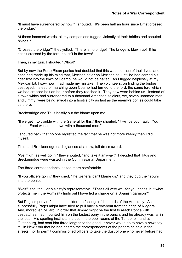"It must have surrendered by now," I shouted. "It's been half an hour since Ernst crossed the bridge."

At these innocent words, all my companions tugged violently at their bridles and shouted "Whoa!"

"Crossed the bridge?" they yelled. "There is no bridge! The bridge is blown up! If he hasn't crossed by the ford, he isn't in the town!"

Then, in my turn, I shouted "Whoa!"

But by now the Porto Rican ponies had decided that this was the race of their lives, and each had made up his mind that, Mexican bit or no Mexican bit, until he had carried his rider first into the town of Coamo, he would not be halted. As I tugged helplessly at my Mexican bit, I saw how I had made my mistake. The volunteers, on finding the bridge destroyed, instead of marching upon Coamo had turned to the ford, the same ford which we had crossed half an hour before they reached it. They now were behind us. Instead of a town which had surrendered to a thousand American soldiers, we, seven unarmed men and Jimmy, were being swept into a hostile city as fast as the enemy's ponies could take us there.

Breckenridge and Titus hastily put the blame upon me.

"If we get into trouble with the General for this," they shouted, "it will be your fault. You told us Ernst was in the town with a thousand men."

I shouted back that no one regretted the fact that he was not more keenly than I did myself.

Titus and Breckenridge each glanced at a new, full-dress sword.

"We might as well go in," they shouted, "and take it anyway!" I decided that Titus and Breckenridge were wasted in the Commissariat Department.

The three correspondents looked more comfortable.

"If you officers go in," they cried, "the General can't blame us," and they dug their spurs into the ponies.

"Wait!" shouted Her Majesty's representative. "That's all very well for you chaps, but what protects me if the Admiralty finds out I have led a charge on a Spanish garrison?"

But Paget's pony refused to consider the feelings of the Lords of the Admiralty. As successfully Paget might have tried to pull back a row-boat from the edge of Niagara. And, moreover, Millard, in order that Jimmy might be the first to reach Ponce with despatches, had mounted him on the fastest pony in the bunch, and he already was far in the lead. His sporting instincts, nursed in the pool-rooms of the Tenderloin and at Guttenburg, had sent him three lengths to the good. It never would do to have a newsboy tell in New York that he had beaten the correspondents of the papers he sold in the streets; nor to permit commissioned officers to take the dust of one who never before had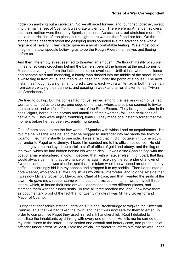ridden on anything but a cable car. So we all raced forward and, bunched together, swept into the main street of Coamo. It was gratefully empty. There were no American soldiers, but, then, neither were there any Spanish soldiers. Across the street stretched more riflepits and barricades of iron pipes, but in sight there was neither friend nor foe. On the stones of the deserted street the galloping hoofs sounded like the advance of a whole regiment of cavalry. Their clatter gave us a most comfortable feeling. We almost could imagine the townspeople believing us to be the Rough Riders themselves and fleeing before us.

And then, the empty street seemed to threaten an ambush. We thought hastily of sunken mines, of soldiers crouching behind the barriers, behind the houses at the next corner, of Mausers covering us from the latticed balconies overhead. Until at last, when the silence had become alert and menacing, a lonely man dashed into the middle of the street, hurled a white flag in front of us, and then dived headlong under the porch of a house. The next instant, as though at a signal, a hundred citizens, each with a white flag in both hands, ran from cover, waving their banners, and gasping in weak and terror-shaken tones, "Vivan los Americanos."

We tried to pull up, but the ponies had not yet settled among themselves which of us had won, and carried us to the extreme edge of the town, where a precipice seemed to invite them to stop, and we fell off into the arms of the Porto Ricans. They brought us wine in tin cans, cigars, borne in the aprons and mantillas of their women- folk, and demijohns of native rum. They were abject, trembling, tearful. They made one instantly forget that the moment before he had been extremely frightened.

One of them spoke to me the few words of Spanish with which I had an acquaintance. He told me he was the Alcalde, and that he begged to surrender into my hands the town of Coamo. I led him instantly to one side. I was afraid that if I did not take him up he would surrender to Paget or to Jimmy. I bade him conduct me to his official residence. He did so, and gave me the key to the cartel, a staff of office of gold and ebony, and the flag of the town, which he had hidden behind his writing-desk. It was a fine Spanish flag with the coat of arms embroidered in gold. I decided that, with whatever else I might part, that flag would always be mine, that the chance of my again receiving the surrender of a town of five thousand people was slender, and that this token would be wrapped around me in my coffin. I accordingly hid it in my poncho and strapped it to my saddle. Then I appointed a hotel-keeper, who spoke a little English, as my official interpreter, and told the Alcalde that I was now Military Governor, Mayor, and Chief of Police, and that I wanted the seals of the town. He gave me a rubber stamp with a coat of arms cut in it, and I wrote myself three letters, which, to insure their safe arrival, I addressed to three different places, and stamped them with the rubber seals. In time all three reached me, and I now have them as documentary proof of the fact that for twenty minutes I was Military Governor and Mayor of Coamo.

During that brief administration I detailed Titus and Breckenridge to wigwag the Sixteenth Pennsylvania that we had taken the town, and that it was now safe for them to enter. In order to compromise Paget they used his red silk handkerchief. Root I detailed to conciliate the inhabitants by drinking with every one of them. He tells me he carried out my instructions to the letter. I also settled one assault and battery case, and put the chief offender under arrest. At least, I told the official interpreter to inform him that he was under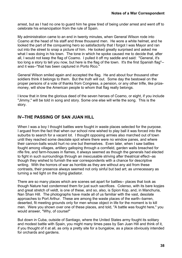arrest, but as I had no one to guard him he grew tired of being under arrest and went off to celebrate his emancipation from the rule of Spain.

My administration came to an end in twenty minutes, when General Wilson rode into Coamo at the head of his staff and three thousand men. He wore a white helmet, and he looked the part of the conquering hero so satisfactorily that I forgot I was Mayor and ran out into the street to snap a picture of him. He looked greatly surprised and asked me what I was doing in his town. The tone in which he spoke caused me to decide that, after all, I would not keep the flag of Coamo. I pulled it off my saddle and said: "General, it's too long a story to tell you now, but here is the flag of the town. It's the first Spanish flag"- and it was--"that has been captured in Porto Rico."

General Wilson smiled again and accepted the flag. He and about four thousand other soldiers think it belongs to them. But the truth will out. Some day the bestowal on the proper persons of a vote of thanks from Congress, a pension, or any other trifle, like prizemoney, will show the American people to whom that flag really belongs.

I know that in time the glorious deed of the seven heroes of Coamo, or eight, if you include "Jimmy," will be told in song and story. Some one else will write the song. This is the story.

# **IV--THE PASSING OF SAN JUAN HILL**

When I was a boy I thought battles were fought in waste places selected for the purpose. I argued from the fact that when our school nine wished to play ball it was forced into the suburbs to search for a vacant lot. I thought opposing armies also marched out of town until they reached some desolate spot where there were no window panes, and where their cannon-balls would hurt no one but themselves. Even later, when I saw battles fought among villages, artillery galloping through a cornfield, garden walls breached for rifle fire, and farm-houses in flames, it always seemed as though the generals had elected to fight in such surroundings through an inexcusable striving after theatrical effect--as though they wished to furnish the war correspondents with a chance for descriptive writing. With the horrors of war as horrible as they are without any aid from these contrasts, their presence always seemed not only sinful but bad art; as unnecessary as turning a red light on the dying gladiator.

There are so many places which are scenes set apart for battles-- places that look as though Nature had condemned them for just such sacrifices. Colenso, with its bare kopjes and great stretch of veldt, is one of these, and so, also, is Spion Kop, and, in Manchuria, Nan Shan Hill. The photographs have made all of us familiar with the vast, desolate approaches to Port Arthur. These are among the waste places of the earth--barren, deserted, fit meeting grounds only for men whose object in life for the moment is to kill men. Were you shown over one of these places, and told, "A battle was fought here," you would answer, "Why, of course!"

But down in Cuba, outside of Santiago, where the United States army fought its solitary and modest battle with Spain, you might many times pass by San Juan Hill and think of it, if you thought of it at all, as only a pretty site for a bungalow, as a place obviously intended for orchards and gardens.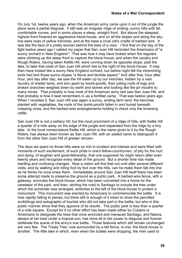On July 1st, twelve years ago, when the American army came upon it out of the jungle the place wore a partial disguise. It still was an irregular ridge of smiling, sunny hills with fat, comfortable curves, and in some places a steep, straight front. But above the steepest, highest front frowned an aggressive block-house, and on all the slopes and along the skyline were rows of yellow trenches, and at the base a cruel cat's cradle of barbed wire. It was like the face of a pretty woman behind the bars of a visor. I find that on the day of the fight twelve years ago I cabled my paper that San Juan Hill reminded the Americans of "a sunny orchard in New England." That was how it may have looked when the regulars were climbing up the steep front to capture the block-house, and when the cavalry and Rough Riders, having taken Kettle Hill, were running down its opposite slope, past the lake, to take that crest of San Juan Hill which lies to the right of the block-house. It may then have looked like a sunny New England orchard, but before night fell the intrenching tools had lent those sunny slopes "a fierce and terrible aspect." And after that, hour after hour, and day after day, we saw the hill eaten up by our trenches, hidden by a vast laundry of shelter tents, and torn apart by bomb-proofs, their jutting roofs of logs and broken branches weighed down by earth and stones and looking like the pit mouths to many mines. That probably is how most of the American army last saw San Juan Hill, and that probably is how it best remembers it--as a fortified camp. That was twelve years ago. When I revisited it, San Juan Hill was again a sunny, smiling farm land, the trenches planted with vegetables, the roofs of the bomb-proofs fallen in and buried beneath creeping vines, and the barbed-wire entanglements holding in check only the browsing cattle.

San Juan Hill is not a solitary hill, but the most prominent of a ridge of hills, with Kettle Hill a quarter of a mile away on the edge of the jungle and separated from the ridge by a tiny lake. In the local nomenclature Kettle Hill, which is the name given to it by the Rough Riders, has always been known as San Juan Hill, with an added name to distinguish it from the other San Juan Hill of greater renown.

The days we spent on those hills were so rich in incident and interest and were filled with moments of such excitement, of such pride in one's fellow-countrymen, of pity for the hurt and dying, of laughter and good-fellowship, that one supposed he might return after even twenty years and recognize every detail of the ground. But a shorter time has made startling and confusing changes. Now a visitor will find that not until after several different visits, and by walking and riding foot by foot over the hills, can he make them fall into line as he thinks he once knew them. Immediately around San Juan Hill itself there has been some attempt made to preserve the ground as a public park. A barbed-wire fence, with a gateway, encircles the block-house, which has been converted into a home for the caretaker of the park, and then, skirting the road to Santiago to include the tree under which the surrender was arranged, stretches to the left of the block-house to protect a monument. This monument was erected by Americans to commemorate the battle. It is now rapidly falling to pieces, but there still is enough of it intact to show the pencilled scribblings and autographs of tourists who did not take part in the battle, but who in this public manner show that they approve of its results. The public park is less than a quarter of a mile square. Except for it no other effort has been made either by Cubans or Americans to designate the lines that once encircled and menaced Santiago, and Nature, always at her best under a tropical sun, has done all in her power to disguise and forever obliterate the scene of the army's one battle. Those features which still remain unchanged are very few. The Treaty Tree, now surrounded by a tall fence, is one, the block-house is another. The little lake in which, even when the bullets were dropping, the men used to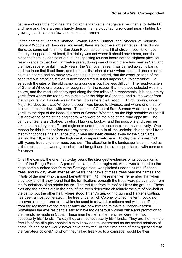bathe and wash their clothes, the big iron sugar kettle that gave a new name to Kettle Hill, and here and there a trench hardly deeper than a ploughed furrow, and nearly hidden by growing plants, are the few landmarks that remain.

Of the camps of Generals Chaffee, Lawton, Bates, Sumner, and Wheeler, of Colonels Leonard Wood and Theodore Roosevelt, there are but the slightest traces. The Bloody Bend, as some call it, in the San Juan River, as some call that stream, seems to have entirely disappeared. At least, it certainly was not where it should have been, and the place the hotel guides point out to unsuspecting tourists bears not the slightest physical resemblance to that ford. In twelve years, during one of which there has been in Santiago the most severe rainfall in sixty years, the San Juan stream has carried away its banks and the trees that lined them, and the trails that should mark where the ford once crossed have so altered and so many new ones have been added, that the exact location of the once famous dressing station is now most difficult, if not impossible, to determine. To establish the sites of the old camping grounds is but little less difficult. The head-quarters of General Wheeler are easy to recognize, for the reason that the place selected was in a hollow, and the most unhealthy spot along the five miles of intrenchments. It is about thirty yards from where the road turns to rise over the ridge to Santiago, and all the water from the hill pours into it as into a rain barrel. It was here that Troop G, Third Cavalry, under Major Hardee, as it was Wheeler's escort, was forced to bivouac, and where one-third of its number came down with fever. The camp of General Sam Sumner was some sixty yards to the right of the head- quarters of General Wheeler, on the high shoulder of the hill just above the camp of the engineers, who were on the side of the road opposite. The camps of Generals Chaffee, Lawton, Hawkins, Ludlow, and the positions and trenches taken and held by the different regiments under them one can place only relatively. One reason for this is that before our army attacked the hills all the underbrush and small trees that might conceal the advance of our men had been cleared away by the Spaniards, leaving the hill, except for the high crest, comparatively bare. To-day the hills are thick with young trees and enormous bushes. The alteration in the landscape is as marked as is the difference between ground cleared for golf and the same spot planted with corn and fruit-trees.

Of all the camps, the one that to-day bears the strongest evidences of its occupation is that of the Rough Riders. A part of the camp of that regiment, which was situated on the ridge some hundred feet from the Santiago road, was pitched under a clump of shade trees, and to- day, even after seven years, the trunks of these trees bear the names and initials of the men who camped beneath them. {4} These men will remember that when they took this hill they found that the fortifications beneath the trees were partly made from the foundations of an adobe house. The red tiles from its roof still litter the ground. These tiles and the names cut in the bark of the trees determine absolutely the site of one-half of the camp, but the other half, where stood Tiffany's quick-firing gun and Parker's Gatling, has been almost obliterated. The tree under which Colonel pitched his tent I could not discover, and the trenches in which he used to sit with his officers and with the officers from the regiments of the regular army are now levelled to make a kitchen- garden. Sometimes the ex-President is said to have too generously given office and promotion to the friends he made in Cuba. These men he met in the trenches were then not necessarily his friends. To-day they are not necessarily his friends. They are the men the free life of the rifle-pits enabled him to know and to understand as the settled relations of home life and peace would never have permitted. At that time none of them guessed that the "amateur colonel," to whom they talked freely as to a comrade, would be their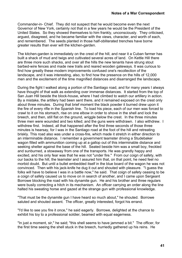Commander-in- Chief. They did not suspect that he would become even the next Governor of New York, certainly not that in a few years he would be the President of the United States. So they showed themselves to him frankly, unconsciously. They criticised, argued, disagreed, and he became familiar with the views, character, and worth of each, and remembered. The seeds planted in those half-obliterated trenches have borne greater results than ever will the kitchen-garden.

The kitchen-garden is immediately on the crest of the hill, and near it a Cuban farmer has built a shack of mud and twigs and cultivated several acres of land. On Kettle Hill there are three more such shacks, and over all the hills the new tenants have strung stout barbed-wire fences and made new trails and reared wooden gateways. It was curious to find how greatly these modern improvements confused one's recollection of the landscape, and it was interesting, also, to find how the presence on the hills of 12,000 men and the excitement of the time magnified distances and disarranged the landscape.

During the fight I walked along a portion of the Santiago road, and for many years I always have thought of that walk as extending over immense distances. It started from the top of San Juan Hill beside the block-house, where I had climbed to watch our artillery in action. By a mistake, the artillery had been sent there, and it remained exposed on the crest only about three minutes. During that brief moment the black powder it burned drew upon it the fire of every rifle in the Spanish line. To load his piece, each of our men was forced to crawl to it on his stomach, rise on one elbow in order to shove in the shell and lock the breech, and then, still flat on the ground, wriggle below the crest. In the three minutes three men were wounded and two killed; and the guns were withdrawn. I also withdrew. I withdrew first. Indeed, all that happened after the first three seconds of those three minutes is hearsay, for I was in the Santiago road at the foot of the hill and retreating briskly. This road also was under a cross-fire, which made it stretch in either direction to an interminable distance. I remember a government teamster driving a Studebaker wagon filled with ammunition coming up at a gallop out of this interminable distance and seeking shelter against the base of the hill. Seated beside him was a small boy, freckled and sunburned, a stowaway from one of the transports. He was grandly happy and excited, and his only fear was that he was not "under fire." From our coign of safety, with our backs to the hill, the teamster and I assured him that, on that point, he need feel no morbid doubt. But until a bullet embedded itself in the blue board of the wagon he was not convinced. Then with his jack-knife he dug it out and shouted with pleasure. "I guess the folks will have to believe I was in a battle now," he said. That coign of safety ceasing to be a coign of safety caused us to move on in search of another, and I came upon Sergeant Borrowe blocking the road with his dynamite gun. He and his brother and three regulars were busily correcting a hitch in its mechanism. An officer carrying an order along the line halted his sweating horse and gazed at the strange gun with professional knowledge.

"That must be the dynamite gun I have heard so much about," he shouted. Borrowe saluted and shouted assent. The officer, greatly interested, forgot his errand.

"I'd like to see you fire it once," he said eagerly. Borrowe, delighted at the chance to exhibit his toy to a professional soldier, beamed with equal eagerness.

"In just a moment, sir," he said; "this shell seems to have jammed a bit." The officer, for the first time seeing the shell stuck in the breech, hurriedly gathered up his reins. He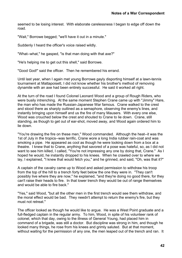seemed to be losing interest. With elaborate carelessness I began to edge off down the road.

"Wait," Borrowe begged; "we'll have it out in a minute."

Suddenly I heard the officer's voice raised wildly.

"What--what," he gasped, "is that man doing with that axe?"

"He's helping me to get out this shell," said Borrowe.

"Good God!" said the officer. Then he remembered his errand.

Until last year, when I again met young Borrowe gayly disporting himself at a lawn-tennis tournament at Mattapoisett, I did not know whether his brother's method of removing dynamite with an axe had been entirely successful. He said it worked all right.

At the turn of the road I found Colonel Leonard Wood and a group of Rough Riders, who were busily intrenching. At the same moment Stephen Crane came up with "Jimmy" Hare, the man who has made the Russian-Japanese War famous. Crane walked to the crest and stood there as sharply outlined as a semaphore, observing the enemy's lines, and instantly bringing upon himself and us the fire of many Mausers. With every one else, Wood was crouched below the crest and shouted to Crane to lie down. Crane, still standing, as though to get out of ear-shot, moved away, and Wood again ordered him to lie down.

"You're drawing the fire on these men," Wood commanded. Although the heat--it was the 1st of July in the tropics--was terrific, Crane wore a long India rubber rain-coat and was smoking a pipe. He appeared as cool as though he were looking down from a box at a theatre. I knew that to Crane, anything that savored of a pose was hateful, so, as I did not want to see him killed, I called, "You're not impressing any one by doing that, Crane." As I hoped he would, he instantly dropped to his knees. When he crawled over to where we lay, I explained, "I knew that would fetch you," and he grinned, and said, "Oh, was that it?"

A captain of the cavalry came up to Wood and asked permission to withdraw his troop from the top of the hill to a trench forty feet below the one they were in. "They can't possibly live where they are now," he explained, "and they're doing no good there, for they can't raise their heads to fire. In that lower trench they would be out of range themselves and would be able to fire back."

"Yes," said Wood, "but all the other men in the first trench would see them withdraw, and the moral effect would be bad. They needn't attempt to return the enemy's fire, but they must not retreat."

The officer looked as though he would like to argue. He was a West Point graduate and a full-fledged captain in the regular army. To him, Wood, in spite of his volunteer rank of colonel, which that day, owing to the illness of General Young, had placed him in command of a brigade, was still a doctor. But discipline was strong in him, and though he looked many things, he rose from his knees and grimly saluted. But at that moment, without waiting for the permission of any one, the men leaped out of the trench and ran. It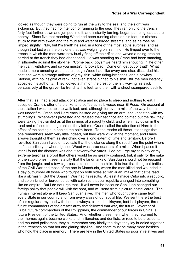looked as though they were going to run all the way to the sea, and the sight was sickening. But they had no intention of running to the sea. They ran only to the trench forty feet farther down and jumped into it, and instantly turning, began pumping lead at the enemy. Since five that morning Wood had been running about on his feet, his clothes stuck to him with sweat and the mud and water of forded streams, and as he rose he limped slightly. "My, but I'm tired!" he said, in a tone of the most acute surprise, and as though that fact was the only one that was weighing on his mind. He limped over to the trench in which the men were now busily firing off their rifles and waved a riding-crop he carried at the trench they had abandoned. He was standing as Crane had been standing, in silhouette against the sky-line. "Come back, boys," we heard him shouting. "The other men can't withdraw, and so you mustn't. It looks bad. Come on, get out of that!" What made it more amusing was that, although Wood had, like every one else, discarded his coat and wore a strange uniform of gray shirt, white riding-breeches, and a cowboy Stetson, with no insignia of rank, not even straps pinned to his shirt, still the men instantly accepted his authority. They looked at him on the crest of the hill, waving his stick persuasively at the grave-like trench at his feet, and then with a shout scampered back to it.

After that, as I had a bad attack of sciatica and no place to sleep and nothing to eat, I accepted Crane's offer of a blanket and coffee at his bivouac near El Poso. On account of the sciatica I was not able to walk fast, and, although for over a mile of the way the trail was under fire, Crane and Hare each insisted on giving me an arm, and kept step with my stumblings. Whenever I protested and refused their sacrifice and pointed out the risk they were taking they smiled as at the ravings of a naughty child, and when I lay down in the road and refused to budge unless they left me, Crane called the attention of Hare to the effect of the setting sun behind the palm-trees. To the reader all these little things that one remembers seem very little indeed, but they were vivid at the moment, and I have always thought of them as stretching over a long extent of time and territory. Before I revisited San Juan I would have said that the distance along the road from the point where I left the artillery to where I joined Wood was three-quarters of a mile. When I paced it later I found the distance was about seventy-five yards. I do not urge my stupidity or my extreme terror as a proof that others would be as greatly confused, but, if only for the sake of the stupid ones, it seems a pity that the landmarks of San Juan should not be rescued from the jungle, and a few sign-posts placed upon the hills. It is true that the great battles of the Civil War and those of the one in Manchuria, where the men killed and wounded in a day outnumber all those who fought on both sides at San Juan, make that battle read like a skirmish. But the Spanish War had its results. At least it made Cuba into a republic, and so enriched or burdened us with colonies that our republic changed into something like an empire. But I do not urge that. It will never be because San Juan changed our foreign policy that people will visit the spot, and will send from it picture postal cards. The human interest alone will keep San Juan alive. The men who fought there came from every State in our country and from every class of our social life. We sent there the best of our regular army, and with them, cowboys, clerks, bricklayers, foot-ball players, three future commanders of the greater army that followed that war, the future Governor of Cuba, future commanders of the Philippines, the commander of our forces in China, a future President of the United States. And, whether these men, when they returned to their homes again, became clerks and millionaires and dentists, or rose to be presidents and mounted policemen, they all remember very kindly the days they lay huddled together in the trenches on that hot and glaring sky-line. And there must be many more besides who hold the place in memory. There are few in the United States so poor in relatives and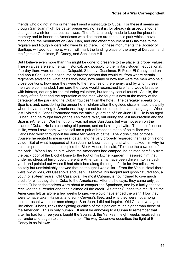friends who did not in his or her heart send a substitute to Cuba. For these it seems as though San Juan might be better preserved, not as it is, for already its aspect is too far changed to wish for that, but as it was. The efforts already made to keep the place in memory and to honor the Americans who died there are the public park which I have mentioned, the monument on San Juan, and one other monument at Guasimas to the regulars and Rough Riders who were killed there. To these monuments the Society of Santiago will add four more, which will mark the landing place of the army at Daiquairi and the fights at Guasimas, El Caney, and San Juan Hill.

But I believe even more than this might be done to preserve to the place its proper values. These values are sentimental, historical, and possibly to the military student, educational. If to-day there were erected at Daiquairi, Siboney, Guasimas, El Poso, El Caney, and on and about San Juan a dozen iron or bronze tablets that would tell from where certain regiments advanced, what posts they held, how many or how few were the men who held those positions, how near they were to the trenches of the enemy, and by whom these men were commanded, I am sure the place would reconstruct itself and would breathe with interest, not only for the returning volunteer, but for any casual tourist. As it is, the history of the fight and the reputation of the men who fought is now at the mercy of the caretaker of the park and the Cuban "guides" from the hotel. The caretaker speaks only Spanish, and, considering the amount of misinformation the guides disseminate, it is a pity when they are talking to Americans, they are not forced to use the same language. When last I visited it, Carlos Portuondo was the official guardian of San Juan Hill. He is an aged Cuban, and he fought through the Ten Years' War, but during the last insurrection and the Spanish-American War he not only was not near San Juan, but was not even on the Island of Cuba. He is a charming old person, and so is his aged wife. Their chief concern in life, when I saw them, was to sell me a pair of breeches made of palm-fibre which Carlos had worn throughout the entire ten years of battle. The vicissitudes of those trousers he recited to me in great detail, and he very properly regarded them as of historic value. But of what happened at San Juan he knew nothing, and when I asked him why he held his present post and occupied the Block-House, he said, "To keep the cows out of the park." When I asked him where the Americans had camped, he pointed carefully from the back door of the Block-House to the foot of his kitchen-garden. I assured him that under no stress of terror could the entire American army have been driven into his back yard, and pointed out where it had stretched along the ridge of hills for five miles. He politely but unmistakably showed that he thought I was a liar. From the Venus Hotel there were two guides, old Casanova and Jean Casanova, his languid and good-natured son, a youth of sixteen years. Old Casanova, like most Cubans, is not inclined to give much credit for what they did in Cuba to the Americans. After all, he says, they came only just as the Cubans themselves were about to conquer the Spaniards, and by a lucky chance received the surrender and then claimed all the credit. As other Cubans told me, "Had the Americans left us alone a few weeks longer, we would have ended the war." How they were to have taken Havana, and sunk Cervera's fleet, and why they were not among those present when our men charged San Juan, I did not inquire. Old Casanova, again like other Cubans, ranks the fighting qualities of the Spaniard much higher than those of the American. This is only human. It must be annoying to a Cuban to remember that after he had for three years fought the Spaniard, the Yankee in eight weeks received his surrender and began to ship him home. The way Casanova describes the fight at El Caney is as follows: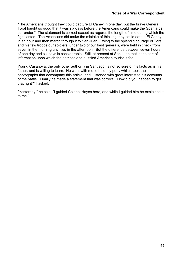"The Americans thought they could capture El Caney in one day, but the brave General Toral fought so good that it was six days before the Americans could make the Spaniards surrender." The statement is correct except as regards the length of time during which the fight lasted. The Americans did make the mistake of thinking they could eat up El Caney in an hour and then march through it to San Juan. Owing to the splendid courage of Toral and his few troops our soldiers, under two of our best generals, were held in check from seven in the morning until two in the afternoon. But the difference between seven hours of one day and six days is considerable. Still, at present at San Juan that is the sort of information upon which the patriotic and puzzled American tourist is fed.

Young Casanova, the only other authority in Santiago, is not so sure of his facts as is his father, and is willing to learn. He went with me to hold my pony while I took the photographs that accompany this article, and I listened with great interest to his accounts of the battle. Finally he made a statement that was correct. "How did you happen to get that right?" I asked.

"Yesterday," he said, "I guided Colonel Hayes here, and while I guided him he explained it to me."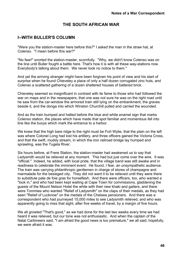### **THE SOUTH AFRICAN WAR**

### **I--WITH BULLER'S COLUMN**

"Were you the station-master here before this?" I asked the man in the straw hat, at Colenso. "I mean before this war?"

"No fear!" snorted the station-master, scornfully. "Why, we didn't know Colenso was on the line until Buller fought a battle here. That's how it is with all these way-stations now. Everybody's talking about them. We never took no notice to them."

And yet the arriving stranger might have been forgiven his point of view and his start of surprise when he found Chieveley a place of only a half dozen corrugated zinc huts, and Colenso a scattered gathering of a dozen shattered houses of battered brick.

Chieveley seemed so insignificant in contrast with its fame to those who had followed the war on maps and in the newspapers, that one was not sure he was on the right road until he saw from the car-window the armored train still lying on the embankment, the graves beside it, and the donga into which Winston Churchill pulled and carried the wounded.

And as the train bumped and halted before the blue and white enamel sign that marks Colenso station, the places which have made that spot familiar and momentous fell into line like the buoys which mark the entrance to a harbor.

We knew that the high bare ridge to the right must be Fort Wylie, that the plain on the left was where Colonel Long had lost his artillery, and three officers gained the Victoria Cross, and that the swift, muddy stream, in which the iron railroad bridge lay humped and sprawling, was the Tugela River.

Six hours before, at Frere Station, the station-master had awakened us to say that Ladysmith would be relieved at any moment. This had but just come over the wire. It was "official." Indeed, he added, with local pride, that the village band was still awake and in readiness to celebrate the imminent event. He found, I fear, an unsympathetic audience. The train was carrying philanthropic gentlemen in charge of stores of champagne and marmalade for the besieged city. They did not want it to be relieved until they were there to substitute pate de foie gras for horseflesh. And there were officers, too, who wanted a "look in," and who had been kept waiting at Cape Town for commissions, gladdening the guests of the Mount Nelson Hotel the while with their new khaki and gaiters, and there were Tommies who wanted "Relief of Ladysmith" on the claps of their medals, as they had seen "Relief of Lucknow" on the medals of the Chelsea pensioners. And there was a correspondent who had journeyed 15,000 miles to see Ladysmith relieved, and who was apparently going to miss that sight, after five weeks of travel, by a margin of five hours.

We all growled "That's good," as we had done for the last two weeks every time we had heard it was relieved, but our tone was not enthusiastic. And when the captain of the Natal Carbineers said, "I am afraid the good news is too premature," we all said, hopefully, we were afraid it was.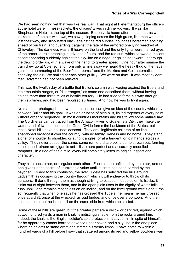We had seen nothing yet that was like real war. That night at Pietermaritzburg the officers at the hotel were in mess-jackets, the officers' wives in dinner-gowns. It was like Shepheard's Hotel, at the top of the season. But only six hours after that dinner, as we looked out of the car-windows, we saw galloping across the high grass, like men who had lost their way, and silhouetted black against the red sunrise, countless horsemen scouting ahead of our train, and guarding it against the fate of the armored one lying wrecked at Chieveley. The darkness was still heavy on the land and the only lights were the red eyes of the armored train creeping in advance of ours, and the red sun, which showed our silent escort appearing suddenly against the sky-line on a ridge, or galloping toward us through the dew to order us, with a wave of the hand, to greater speed. One hour after sunrise the train drew up at Colenso, and from only a mile away we heard the heavy thud of the naval guns, the hammering of the Boer "pom-poms," and the Maxims and Colt automatics spanking the air. We smiled at each other guiltily. We were on time. It was most evident that Ladysmith had not been relieved.

This was the twelfth day of a battle that Buller's column was waging against the Boers and their mountain ranges, or "disarranges," as some one described them, without having gained more than three miles of hostile territory. He had tried to force his way through them six times, and had been repulsed six times. And now he was to try it again.

No map, nor photograph, nor written description can give an idea of the country which lay between Buller and his goal. It was an eruption of high hills, linked together at every point without order or sequence. In most countries mountains and hills follow some natural law. The Cordilleras can be traced from the Amazon River to Guatemala City; they make the water-shed of two continents; the Great Divide forms the backbone of the States, but these Natal hills have no lineal descent. They are illegitimate children of no line, abandoned broadcast over the country, with no family likeness and no home. They stand alone, or shoulder to shoulder, or at right angles, or at a tangent, or join hands across a valley. They never appear the same; some run to a sharp point, some stretch out, forming a table-land, others are gigantic ant-hills, others perfect and accurately modelled ramparts. In a ride of half a mile, every hill completely loses its original aspect and character.

They hide each other, or disguise each other. Each can be enfiladed by the other, and not one gives up the secret of its strategic value until its crest has been carried by the bayonet. To add to this confusion, the river Tugela has selected the hills around Ladysmith as occupying the country through which it will endeavor to throw off its pursuers. It darts through them as though striving to escape, it doubles on its tracks, it sinks out of sight between them, and in the open plain rises to the dignity of water-falls. It runs uphill, and remains motionless on an incline, and on the level ground twists and turns so frequently that when one says he has crossed the Tugela, he means he has crossed it once at a drift, once at the wrecked railroad bridge, and once over a pontoon. And then he is not sure that he is not still on the same side from which he started.

Some of these hills are green, but the greater part are a yellow or dark red, against which at two hundred yards a man in khaki is indistinguishable from the rocks around him. Indeed, the khaki is the English soldier's sole protection. It saves him in spite of himself, for he apparently cannot learn to advance under cover, and a sky-line is the one place where he selects to stand erect and stretch his weary limbs. I have come to within a hundred yards of a hill before I saw that scattered among its red and yellow bowlders was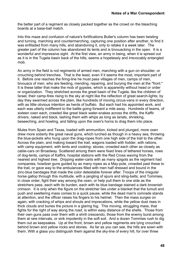the better part of a regiment as closely packed together as the crowd on the bleaching boards at a base-ball match.

Into this maze and confusion of nature's fortifications Buller's column has been twisting and turning, marching and countermarching, capturing one position after another, to find it was enfiladed from many hills, and abandoning it, only to retake it a week later. The greater part of the column has abandoned its tents and is bivouacking in the open. It is a wonderful and impressive sight. At the first view, an army in being, when it is spread out as it is in the Tugela basin back of the hills, seems a hopelessly and irrevocably entangled mob.

An army in the field is not regiments of armed men, marching with a gun on shoulder, or crouching behind trenches. That is the least, even if it seems the most, important part of it. Before one reaches the firing-line he must pass villages of men, camps of men, bivouacs of men, who are feeding, mending, repairing, and burying the men at the "front." It is these latter that make the mob of gypsies, which is apparently without head or order or organization. They stretched across the great basin of the Tugela, like the children of Israel, their camp-fires rising to the sky at night like the reflection of great search-lights; by day they swarmed across the plain, like hundreds of moving circus-vans in every direction, with as little obvious intention as herds of buffalo. But each had his appointed work, and each was utterly indifferent to the battle going forward a mile away. Hundreds of teams, of sixteen oxen each, crawled like great black water-snakes across the drifts, the Kaffir drivers, naked and black, lashing them with whips as long as lariats, shrieking, beseeching, and howling, and falling upon the oxen's horns to drag them into place.

Mules from Spain and Texas, loaded with ammunition, kicked and plunged, more oxen drew more soberly the great naval guns, which lurched as though in a heavy sea, throwing the blue-jackets who hung upon the drag-ropes from one high side of the trail to the other. Across the plain, and making toward the trail, wagons loaded with fodder, with rations, with camp equipment, with tents and cooking- stoves, crowded each other as closely as cable-cars on Broadway. Scattered among them were fixed lines of tethered horses, rows of dog-tents, camps of Kaffirs, hospital stations with the Red Cross waving from the nearest and highest tree. Dripping water-carts with as many spigots as the regiment had companies, howitzer guns guided by as many ropes as a May-pole, crowded past these to the trail, or gave way to the ambulances filled with men half dressed and bound in the zinc-blue bandages that made the color detestable forever after. Troops of the irregular horse gallop through this multitude, with a jangling of spurs and sling-belts; and Tommies, in close order, fight their way among the oxen, or help pull them to one side as the stretchers pass, each with its burden, each with its blue bandage stained a dark brownish crimson. It is only when the figure on the stretcher lies under a blanket that the tumult and push and sweltering mass comes to a quick pause, while the dead man's comrade stands at attention, and the officer raises his fingers to his helmet. Then the mass surges on again, with cracking of whips and shouts and imprecations, while the yellow dust rises in thick clouds and buries the picture in a glaring fog. This moving, struggling mass, that fights for the right of way along the road, is within easy distance of the shells. Those from their own guns pass over them with a shrill crescendo, those from the enemy burst among them at rare intervals, or sink impotently in the soft soil. And a dozen Tommies rush to dig them out as keepsakes. Up at the front, brown and yellow regiments are lying crouched behind brown and yellow rocks and stones. As far as you can see, the hills are sown with them. With a glass you distinguish them against the sky-line of every hill, for over three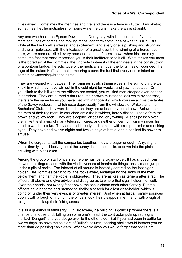miles away. Sometimes the men rise and fire, and there is a feverish flutter of musketry; sometimes they lie motionless for hours while the guns make the ways straight.

Any one who has seen Epsom Downs on a Derby day, with its thousands of vans and tents and lines of horses and moving mobs, can form some idea of what it is like. But while at the Derby all is interest and excitement, and every one is pushing and struggling, and the air palpitates with the intoxication of a great event, the winning of a horse-race- here, where men are killed every hour and no one of them knows when his turn may come, the fact that most impresses you is their indifference to it all. What strikes you most is the bored air of the Tommies, the undivided interest of the engineers in the construction of a pontoon bridge, the solicitude of the medical staff over the long lines of wounded, the rage of the naked Kaffirs at their lumbering steers; the fact that every one is intent on something--anything--but the battle.

They are wearied with battles. The Tommies stretch themselves in the sun to dry the wet khaki in which they have lain out in the cold night for weeks, and yawn at battles. Or, if you climb to the hill where the officers are seated, you will find men steeped even deeper in boredom. They are burned a dark red; their brown mustaches look white by contrast, theirs are the same faces you have met with in Piccadilly, which you see across the tables of the Savoy restaurant, which gaze depressedly from the windows of White's and the Bachelors' Club. If they were bored then, they are unbearably bored now. Below them the men of their regiment lie crouched amid the bowlders, hardly distinguishable from the brown and yellow rock. They are sleeping, or dozing, or yawning. A shell passes over them like the shaking of many telegraph wires, and neither officer nor Tommy raises his head to watch it strike. They are tired in body and in mind, with cramped limbs and aching eyes. They have had twelve nights and twelve days of battle, and it has lost its power to amuse.

When the sergeants call the companies together, they are eager enough. Anything is better than lying still looking up at the sunny, inscrutable hills, or down into the plain crawling with black oxen.

Among the group of staff officers some one has lost a cigar-holder. It has slipped from between his fingers, and, with the vindictiveness of inanimate things, has slid and jumped under a pile of rocks. The interest of all around is instantly centred on the lost cigarholder. The Tommies begin to roll the rocks away, endangering the limbs of the men below them, and half the kopje is obliterated. They are as keen as terriers after a rat. The officers sit above and give advice and disagree as to where that cigar-holder hid itself. Over their heads, not twenty feet above, the shells chase each other fiercely. But the officers have become accustomed to shells; a search for a lost cigar-holder, which is going on under their very eyes, is of greater interest. And when at last a Tommy pounces upon it with a laugh of triumph, the officers look their disappointment, and, with a sigh of resignation, pick up their field-glasses.

It is all a question of familiarity. On Broadway, if a building is going up where there is a chance of a loose brick falling on some one's head, the contractor puts up red signs marked "Danger!" and you dodge over to the other side. But if you had been in battle for twelve days, as have the soldiers of Buller's column, passing shells would interest you no more than do passing cable-cars. After twelve days you would forget that shells are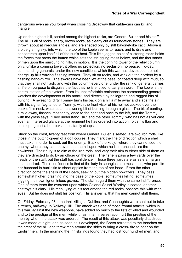dangerous even as you forget when crossing Broadway that cable-cars can kill and mangle.

Up on the highest hill, seated among the highest rocks, are General Buller and his staff. The hill is all of rocks, sharp, brown rocks, as clearly cut as foundation-stones. They are thrown about at irregular angles, and are shaded only by stiff bayonet-like cacti. Above is a blue glaring sky, into which the top of the kopje seems to reach, and to draw and concentrate upon itself all of the sun's heat. This little jagged point of blistering rocks holds the forces that press the button which sets the struggling mass below, and the thousands of men upon the surrounding hills, in motion. It is the conning tower of the relief column, only, unlike a conning tower, it offers no protection, no seclusion, no peace. To-day, commanding generals, under the new conditions which this war has developed, do not charge up hills waving flashing swords. They sit on rocks, and wink out their orders by a flashing hand-mirror. The swords have been left at the base, or coated deep with mud, so that they shall not flash, and with this column every one, under the rank of general, carries a rifle on purpose to disguise the fact that he is entitled to carry a sword. The kopje is the central station of the system. From its uncomfortable eminence the commanding general watches the developments of his attack, and directs it by heliograph and ragged bits of bunting. A sweating, dirty Tommy turns his back on a hill a mile away and slaps the air with his signal flag; another Tommy, with the front visor of his helmet cocked over the back of his neck, watches an answering bit of bunting through a glass. The bit of bunting, a mile away, flashes impatiently, once to the right and once to the left, and the Tommy with the glass says, "They understand, sir," and the other Tommy, who has not as yet cast even an interested glance at the regiment he has ordered into action, folds his flag and curls up against a hot rock and instantly sleeps.

Stuck on the crest, twenty feet from where General Buller is seated, are two iron rods, like those in the putting-green of a golf course. They mark the line of direction which a shell must take, in order to seek out the enemy. Back of the kopje, where they cannot see the enemy, where they cannot even see the hill upon which he is intrenched, are the howitzers. Their duty is to aim at the iron rods, and vary their aim to either side of them as they are directed to do by an officer on the crest. Their shells pass a few yards over the heads of the staff, but the staff has confidence. Those three yards are as safe a margin as a hundred. Their confidence is that of the lady in spangles at a music-hall, who permits her husband in buckskin to shoot apples from the top of her head. From the other direction come the shells of the Boers, seeking out the hidden howitzers. They pass somewhat higher, crashing into the base of the kopie, sometimes killing, sometimes digging their own ignominious graves. The staff regard them with the same indifference. One of them tears the overcoat upon which Colonel Stuart-Wortley is seated, another destroys his diary. His men, lying at his feet among the red rocks, observe this with wide eyes. But he does not shift his position. His answer is, that his men cannot shift theirs.

On Friday, February 23d, the Inniskillings, Dublins, and Connaughts were sent out to take a trench, half-way up Railway Hill. The attack was one of those frontal attacks, which in this war, against the new weapons, have added so much to the lists of killed and wounded and to the prestige of the men, while it has, in an inverse ratio, hurt the prestige of the men by whom the attack was ordered. The result of this attack was peculiarly disastrous. It was made at night, and as soon as it developed, the Boers retreated to the trenches on the crest of the hill, and threw men around the sides to bring a cross- fire to bear on the Englishmen. In the morning the Inniskillings found they had lost four hundred men, and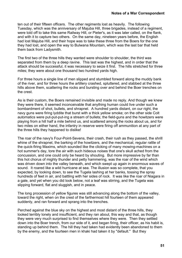ten out of their fifteen officers. The other regiments lost as heavily. The following Tuesday, which was the anniversary of Majuba Hill, three brigades, instead of a regiment, were told off to take this same Railway Hill, or Pieter's, as it was later called, on the flank, and with it to capture two others. On the same day, nineteen years before, the English had lost Majuba Hill, and their hope was to take these three from the Boers for the one they had lost, and open the way to Bulwana Mountain, which was the last bar that held them back from Ladysmith.

The first two of the three hills they wanted were shoulder to shoulder, the third was separated from them by a deep ravine. This last was the highest, and in order that the attack should be successful, it was necessary to seize it first. The hills stretched for three miles; they were about one thousand two hundred yards high.

For three hours a single line of men slipped and stumbled forward along the muddy bank of the river, and for three hours the artillery crashed, spluttered, and stabbed at the three hills above them, scattering the rocks and bursting over and behind the Boer trenches on the crest.

As is their custom, the Boers remained invisible and made no reply. And though we knew they were there, it seemed inconceivable that anything human could live under such a bombardment of shot, bullets, and shrapnel. A hundred yards distant, on our right, the navy guns were firing lyddite that burst with a thick yellow smoke; on the other side Colt automatics were put-put-put-ing a stream of bullets; the field-guns and the howitzers were playing from a hill half a mile behind us, and scattered among the rocks about us, and for two miles on either hand, the infantry in reserve were firing off ammunition at any part of the three hills they happened to dislike!

The roar of the navy's Four-Point-Sevens, their crash, their rush as they passed, the shrill whine of the shrapnel, the barking of the howitzers, and the mechanical, regular rattle of the quick-firing Maxims, which sounded like the clicking of many mowing-machines on a hot summer's day, tore the air with such hideous noises that one's skull ached from the concussion, and one could only be heard by shouting. But more impressive by far than this hot chorus of mighty thunder and petty hammering, was the roar of the wind which was driven down into the valley beneath, and which swept up again in enormous waves of sound. It roared like a wild hurricane at sea. The illusion was so complete, that you expected, by looking down, to see the Tugela lashing at her banks, tossing the spray hundreds of feet in air, and battling with her sides of rock. It was like the roar of Niagara in a gale, and yet when you did look below, not a leaf was stirring, and the Tugela was slipping forward, flat and sluggish, and in peace.

The long procession of yellow figures was still advancing along the bottom of the valley. toward the right, when on the crest of the farthermost hill fourteen of them appeared suddenly, and ran forward and sprang into the trenches.

Perched against the blue sky on the highest and most distant of the three hills, they looked terribly lonely and insufficient, and they ran about, this way and that, as though they were very much surprised to find themselves where they were. Then they settled down into the Boer trench, from our side of it, and began firing, their officer, as his habit is, standing up behind them. The hill they had taken had evidently been abandoned to them by the enemy, and the fourteen men in khaki had taken it by "default." But they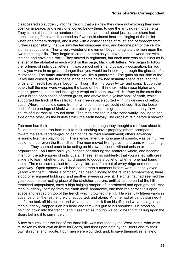disappeared so suddenly into the trench, that we knew they were not enjoying their new position in peace, and every one looked below them, to see the arriving reinforcements. They came at last, to the number of ten, and scampered about just as the others had done, looking for cover. It seemed as if we could almost hear the singing of the bullet when one of them dodged, and it was with a distinct sense of relief, and of freedom from further responsibility, that we saw the ten disappear also, and become part of the yellow stones about them. Then a very wonderful movement began to agitate the men upon the two remaining hills. They began to creep up them as you have seen seaweed rise with the tide and envelop a rock. They moved in regiments, but each man was as distinct as is a letter of the alphabet in each word on this page, black with letters. We began to follow the fortunes of individual letters. It was a most selfish and cowardly occupation, for you knew you were in no greater danger than you would be in looking through the glasses of a mutoscope. The battle unrolled before you like a panorama. The guns on our side of the valley had ceased, the hurricane in the depths below had instantly spent itself, and the birds and insects had again begun to fill our hill with drowsy twitter and song. But on the other, half the men were wrapping the base of the hill in khaki, which rose higher and higher, growing looser and less tightly wrapt as it spun upward. Halfway to the crest there was a broad open space of green grass, and above that a yellow bank of earth, which supported the track of the railroad. This green space spurted with tiny geysers of yellow dust. Where the bullets came from or who sent them we could not see. But the loose ends of the bandage of khaki were stretching across this green space and the yellow spurts of dust rose all around them. The men crossed this fire zone warily, looking to one side or the other, as the bullets struck the earth heavily, like drops of rain before a shower.

The men had their heads and shoulders bent as though they thought a roof was about to fall on them; some ran from rock to rock, seeking cover properly; others scampered toward the safe vantage-ground behind the railroad embankment; others advanced leisurely, like men playing golf. The silence, after the hurricane of sounds, was painful; we could not hear even the Boer rifles. The men moved like figures in a dream, without firing a shot. They seemed each to be acting on his own account, without unison or organization. As I have said, you ceased considering the scattered whole, and became intent on the adventures of individuals. These fell so suddenly, that you waited with great anxiety to learn whether they had dropped to dodge a bullet or whether one had found them. The men came at last from every side, and from out of every ridge and dried-up waterway. Open spaces which had been green a moment before were suddenly dyed yellow with them. Where a company had been clinging to the railroad embankment, there stood one regiment holding it, and another sweeping over it. Heights that had seemed the goal, became the resting-place of the stretcher-bearers, until at last no part of the hill remained unpopulated, save a high bulging rampart of unprotected and open ground. And then, suddenly, coming from the earth itself, apparently, one man ran across this open space and leaped on top of the trench which crowned the hill. He was fully fifteen yards in advance of all the rest, entirely unsupported, and alone. And he had evidently planned it so, for he took off his helmet and waved it, and stuck it on his rifle and waved it again, and then suddenly clapped it on his head and threw his gun to his shoulder. He stood so, pointing down into the trench, and it seemed as though we could hear him calling upon the Boers behind it to surrender.

A few minutes later the last of the three hills was mounted by the West Yorks, who were mistaken by their own artillery for Boers, and fired upon both by the Boers and by their own shrapnel and lyddite. Four men were wounded, and, to save themselves, a line of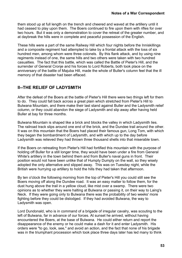them stood up at full length on the trench and cheered and waved at the artillery until it had ceased to play upon them. The Boers continued to fire upon them with rifles for over two hours. But it was only a demonstration to cover the retreat of the greater number, and at daybreak the hills were in complete and peaceful possession of the English.

These hills were a part of the same Railway Hill which four nights before the Inniskillings and a composite regiment had attempted to take by a frontal attack with the loss of six hundred men, among whom were three colonels. By this flank attack, and by using nine regiments instead of one, the same hills and two others were taken with two hundred casualties. The fact that this battle, which was called the Battle of Pieter's Hill, and the surrender of General Cronje and his forces to Lord Roberts, both took place on the anniversary of the battle of Majuba Hill, made the whole of Buller's column feel that the ill memory of that disaster had been effaced.

# **II--THE RELIEF OF LADYSMITH**

After the defeat of the Boers at the battle of Pieter's Hill there were two things left for them to do. They could fall back across a great plain which stretched from Pieter's Hill to Bulwana Mountain, and there make their last stand against Buller and the Ladysmith relief column, or they could abandon the siege of Ladysmith and slip away after having held Buller at bay for three months.

Bulwana Mountain is shaped like a brick and blocks the valley in which Ladysmith lies. The railroad track slips around one end of the brick, and the Dundee trail around the other. It was on this mountain that the Boers had placed their famous gun, Long Tom, with which they began the bombardment of Ladysmith, and with which up to the day before Ladysmith was relieved they had thrown three thousand shells into that miserable town.

If the Boers on retreating from Pieter's Hill had fortified this mountain with the purpose of holding off Buller for a still longer time, they would have been under a fire from General White's artillery in the town behind them and from Buller's naval guns in front. Their position would not have been unlike that of Humpty Dumpty on the wall, so they wisely adopted the only alternative and slipped away. This was on Tuesday night, while the British were hurrying up artillery to hold the hills they had taken that afternoon.

By ten o'clock the following morning from the top of Pieter's Hill you could still see the Boers moving off along the Dundee road. It was an easy matter to follow them, for the dust hung above the trail in a yellow cloud, like mist over a swamp. There were two opinions as to whether they were halting at Bulwana or passing it, on their way to Laing's Neck. If they were going only to Bulwana there was the probability of two weeks' more fighting before they could be dislodged. If they had avoided Bulwana, the way to Ladysmith was open.

Lord Dundonald, who is in command of a brigade of irregular cavalry, was scouting to the left of Bulwana, far in advance of our forces. At sunset he arrived, without having encountered the Boers, at the base of Bulwana. He could either return and report the disappearance of the enemy or he could make a dash for it and enter Ladysmith. His orders were "to go, look, see," and avoid an action, and the fact that none of his brigade was in the triumphant procession which took place three days later has led many to think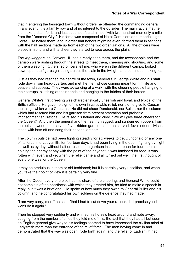that in entering the besieged town without orders he offended the commanding general. In any event, it is a family row and of no interest to the outsider. The main fact is that he did make a dash for it, and just at sunset found himself with two hundred men only a mile from the "Doomed City." His force was composed of Natal Carbiniers and Imperial Light Horse. He halted them, and in order that honors might be even, formed them in sections with the half sections made up from each of the two organizations. All the officers were placed in front, and with a cheer they started to race across the plain.

The wig-waggers on Convent Hill had already seen them, and the townspeople and the garrison were rushing through the streets to meet them, cheering and shouting, and some of them weeping. Others, so officers tell me, who were in the different camps, looked down upon the figures galloping across the plain in the twilight, and continued making tea.

Just as they had reached the centre of the town, General Sir George White and his staff rode down from head-quarters and met the men whose coming meant for him life and peace and success. They were advancing at a walk, with the cheering people hanging to their stirrups, clutching at their hands and hanging to the bridles of their horses.

General White's first greeting was characteristically unselfish and loyal, and typical of the British officer. He gave no sign of his own in calculable relief, nor did he give to Caesar the things which were Caesar's. He did not cheer Dundonald, nor Buller, nor the column which had rescued him and his garrison from present starvation and probable imprisonment at Pretoria. He raised his helmet and cried, "We will give three cheers for the Queen!" And then the general and the healthy, ragged, and sunburned troopers from the outside world, the starved, fever-ridden garrison, and the starved, fever-ridden civilians stood with hats off and sang their national anthem.

The column outside had been fighting steadily for six weeks to get Dundonald or any one of its force into Ladysmith; for fourteen days it had been living in the open, fighting by night as well as by day, without halt or respite; the garrison inside had been for four months holding the enemy at bay with the point of the bayonet; it was famished for food, it was rotten with fever, and yet when the relief came and all turned out well, the first thought of every one was for the Queen!

It may be credulous in them or old-fashioned; but it is certainly very unselfish, and when you take their point of view it is certainly very fine.

After the Queen every one else had his share of the cheering, and General White could not complain of the heartiness with which they greeted him, he tried to make a speech in reply, but it was a brief one. He spoke of how much they owed to General Buller and his column, and he congratulated his own soldiers on the defence they had made.

"I am very sorry, men," he said, "that I had to cut down your rations. I--I promise you I won't do it again."

Then he stopped very suddenly and whirled his horse's head around and rode away. Judging from the number of times they told me of this, the fact that they had all but seen an English general give way to his feelings seemed to have impressed the civilian mind of Ladysmith more than the entrance of the relief force. The men having come in and demonstrated that the way was open, rode forth again, and the relief of Ladysmith had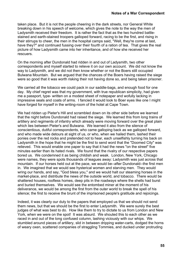taken place. But it is not the people cheering in the dark streets, nor General White breaking down in his speech of welcome, which gives the note to the way the men of Ladysmith received their freedom. It is rather the fact that as the two hundred battlestained and earth-stained troopers galloped forward, racing to be the first, and rising in their stirrups to cheer, the men in the hospital camps said, "Well, they're come at last, have they?" and continued fussing over their fourth of a ration of tea. That gives the real picture of how Ladysmith came into her inheritance, and of how she received her rescuers.

On the morning after Dundonald had ridden in and out of Ladysmith, two other correspondents and myself started to relieve it on our own account. We did not know the way to Ladysmith, and we did not then know whether or not the Boers still occupied Bulwana Mountain. But we argued that the chances of the Boers having raised the siege were so good that it was worth risking their not having done so, and being taken prisoner.

We carried all the tobacco we could pack in our saddle-bags, and enough food for one day. My chief regret was that my government, with true republican simplicity, had given me a passport, type- written on a modest sheet of notepaper and wofully lacking in impressive seals and coats of arms. I fancied it would look to Boer eyes like one I might have forged for myself in the writing-room of the hotel at Cape Town.

We had ridden up Pieter's Hill and scrambled down on its other side before we learned that the night before Dundonald had raised the siege. We learned this from long trains of artillery and regiments of infantry which already were moving forward over the great plain which lies between Pieter's and Bulwana. We learned it also from the silence of conscientious, dutiful correspondents, who came galloping back as we galloped forward, and who made wide detours at sight of us, or who, when we hailed them, lashed their ponies over the red rocks and pretended not to hear, each unselfishly turning his back on Ladysmith in the hope that he might be the first to send word that the "Doomed City" was relieved. This would enable one paper to say that it had the news "on the street" five minutes earlier than its hated rivals. We found that the rivalry of our respective papers bored us. We condemned it as being childish and weak. London, New York, Chicago were names, they were spots thousands of leagues away: Ladysmith was just across that mountain. If our horses held out at the pace, we would be--after Dundonald--the first men in. We imagined that we would see hysterical women and starving men. They would wring our hands, and say, "God bless you," and we would halt our steaming horses in the market-place, and distribute the news of the outside world, and tobacco. There would be shattered houses, roofless homes, deep pits in the roadways where the shells had burst and buried themselves. We would see the entombed miner at the moment of his deliverance, we would be among the first from the outer world to break the spell of his silence; the first to receive the brunt of the imprisoned people's gratitude and rejoicings.

Indeed, it was clearly our duty to the papers that employed us that we should not send them news, but that we should be the first to enter Ladysmith. We were surely the best judges of what was best to do. How like them to try to dictate to us from London and New York, when we were on the spot! It was absurd. We shouted this to each other as we raced in and out of the long confused column, lashing viciously with our whips. We stumbled around pieces of artillery, slid in between dripping water-carts, dodged the horns of weary oxen, scattered companies of straggling Tommies, and ducked under protruding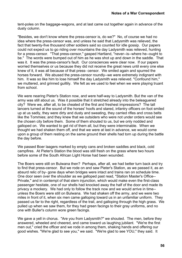tent-poles on the baggage-wagons, and at last came out together again in advance of the dusty column.

"Besides, we don't know where the press-censor is, do we?" No, of course we had no idea where the press-censor was, and unless he said that Ladysmith was relieved, the fact that twenty-five thousand other soldiers said so counted for idle gossip. Our papers could not expect us to go riding over mountains the day Ladysmith was relieved, hunting for a press-censor. "That press-censor," gasped Hartland, "never--is--where he--ought to be." The words were bumped out of him as he was shot up and down in the saddle. That was it. It was the press-censor's fault. Our consciences were clear now. If our papers worried themselves or us because they did not receive the great news until every one else knew of it, it was all because of that press- censor. We smiled again and spurred the horses forward. We abused the press-censor roundly--we were extremely indignant with him. It was so like him to lose himself the day Ladysmith was relieved. "Confound him," we muttered, and grinned guiltily. We felt as we used to feel when we were playing truant from school.

We were nearing Pieter's Station now, and were half-way to Ladysmith. But the van of the army was still about us. Was it possible that it stretched already into the beleaguered city? Were we, after all, to be cheated of the first and freshest impressions? The tall lancers turned at the sound of the horses' hoofs and stared, infantry officers on foot smiled up at us sadly, they were dirty and dusty and sweating, they carried rifles and cross belts like the Tommies; and they knew that we outsiders who were not under orders would see the chosen city before them. Some of them shouted to us, but we only nodded and galloped on. We wanted to get rid of them all, but they were interminable. When we thought we had shaken them off, and that we were at last in advance, we would come upon a group of them resting on the same ground their shells had torn up during the battle the day before.

We passed Boer laagers marked by empty cans and broken saddles and black, cold campfires. At Pieter's Station the blood was still fresh on the grass where two hours before some of the South African Light Horse had been wounded.

The Boers were still on Bulwana then? Perhaps, after all, we had better turn back and try to find that press-censor. But we rode on and saw Pieter's Station, as we passed it, as an absurd relic of by- gone days when bridges were intact and trains ran on schedule time. One door seen over the shoulder as we galloped past read, "Station Master's Office-- Private," and in contempt of that stern injunction, which would make even the first-class passenger hesitate, one of our shells had knocked away the half of the door and made its privacy a mockery. We had only to follow the track now and we would arrive in time- unless the Boers were still on Bulwana. We had shaken off the army, and we were two miles in front of it, when six men came galloping toward us in an unfamiliar uniform. They passed us far to the right, regardless of the trail, and galloping through the high grass. We pulled up when we saw them, for they had green facings to their gray uniforms, and no one with Buller's column wore green facings.

We gave a yell in chorus. "Are you from Ladysmith?" we shouted. The men, before they answered, wheeled and cheered, and came toward us laughing jubilant. "We're the first men out," cried the officer and we rode in among them, shaking hands and offering our good wishes. "We're glad to see you," we said. "We're glad to see YOU," they said. It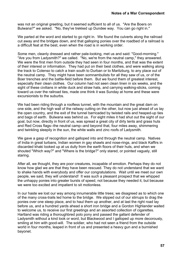was not an original greeting, but it seemed sufficient to all of us. "Are the Boers on Bulwana?" we asked. "No, they've trekked up Dundee way. You can go right in."

We parted at the word and started to go right in. We found the culverts along the railroad cut away and the bridges down, and that galloping ponies over the roadbed of a railroad is a difficult feat at the best, even when the road is in working order.

Some men, cleanly dressed and rather pale-looking, met us and said: "Good-morning." "Are you from Ladysmith?" we called. "No, we're from the neutral camp," they answered. We were the first men from outside they had seen in four months, and that was the extent of their interest or information. They had put on their best clothes, and were walking along the track to Colenso to catch a train south to Durban or to Maritzburg, to any place out of the neutral camp. They might have been somnambulists for all they saw of us, or of the Boer trenches and the battle-field before them. But we found them of greatest interest, especially their clean clothes. Our column had not seen clean linen in six weeks, and the sight of these civilians in white duck and straw hats, and carrying walking-sticks, coming toward us over the railroad ties, made one think it was Sunday at home and these were excursionists to the suburbs.

We had been riding through a roofless tunnel, with the mountain and the great dam on one side, and the high wall of the railway cutting on the other, but now just ahead of us lay the open country, and the exit of the tunnel barricaded by twisted rails and heaped-up ties and bags of earth. Bulwana was behind us. For eight miles it had shut out the sight of our goal, but now, directly in front of us, was spread a great city of dirty tents and grass huts and Red Cross flags--the neutral camp--and beyond that, four miles away, shimmering and twinkling sleepily in the sun, the white walls and zinc roofs of Ladysmith.

We gave a gasp of recognition and galloped into and through the neutral camp. Natives of India in great turbans, Indian women in gay shawls and nose-rings, and black Kaffirs in discarded khaki looked up at us dully from the earth floors of their huts, and when we shouted "Which way?" and "Where is the bridge?" only stared, or pointed vaguely, still staring.

After all, we thought, they are poor creatures, incapable of emotion. Perhaps they do not know how glad we are that they have been rescued. They do not understand that we want to shake hands with everybody and offer our congratulations. Wait until we meet our own people, we said, they will understand! It was such a pleasant prospect that we whipped the unhappy ponies into greater bursts of speed, not because they needed it, but because we were too excited and impatient to sit motionless.

In our haste we lost our way among innumerable little trees; we disagreed as to which one of the many cross-trails led home to the bridge. We slipped out of our stirrups to drag the ponies over one steep place, and to haul them up another, and at last the right road lay before us, and a hundred yards ahead a short iron bridge and a Gordon Highlander waited to welcome us, to receive our first greetings and an assorted collection of cigarettes. Hartland was riding a thoroughbred polo pony and passed the gallant defender of Ladysmith without a kind look or word, but Blackwood and I galloped up more decorously, smiling at him with good-will. The soldier, who had not seen a friend from the outside world in four months, leaped in front of us and presented a heavy gun and a burnished bayonet.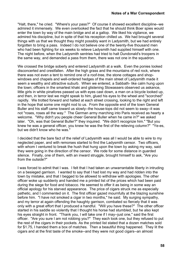"Halt, there," he cried. "Where's your pass?" Of course it showed excellent discipline--we admired it immensely. We even overlooked the fact that he should think Boer spies would enter the town by way of the main bridge and at a gallop. We liked his vigilance, we admired his discipline, but in spite of that his reception chilled us. We had brought several things with us that we thought they might possibly want in Ladysmith, but we had entirely forgotten to bring a pass. Indeed I do not believe one of the twenty-five thousand men who had been fighting for six weeks to relieve Ladysmith had supplied himself with one. The night before, when the Ladysmith sentries had tried to halt Dundonald's troopers in the same way, and demanded a pass from them, there was not one in the squadron.

We crossed the bridge soberly and entered Ladysmith at a walk. Even the ponies looked disconcerted and crestfallen. After the high grass and the mountains of red rock, where there was not even a tent to remind one of a roof-tree, the stone cottages and shopwindows and chapels and well-ordered hedges of the main street of Ladysmith made it seem a wealthy and attractive suburb. When we entered, a Sabbath- like calm hung upon the town; officers in the smartest khaki and glistening Stowassers observed us askance, little girls in white pinafores passed us with eyes cast down, a man on a bicycle looked up, and then, in terror lest we might speak to him, glued his eyes to the wheel and "scorched" rapidly. We trotted forward and halted at each street crossing, looking to the right and left in the hope that some one might nod to us. From the opposite end of the town General Buller and his staff came toward us slowly--the house-tops did not seem to sway--it was not "roses, roses all the way." The German army marching into Paris received as hearty a welcome. "Why didn't you people cheer General Buller when he came in?" we asked later. "Oh, was that General Buller?" they inquired. "We didn't recognize him." "But you knew he was a general officer, you knew he was the first of the relieving column?" "Ye-es, but we didn't know who he was."

I decided that the bare fact of the relief of Ladysmith was all I would be able to wire to my neglected paper, and with remorses started to find the Ladysmith censor. Two officers, with whom I ventured to break the hush that hung upon the town by asking my way, said they were going in the direction of the censor. We rode for some distance in guarded silence. Finally, one of them, with an inward struggle, brought himself to ask, "Are you from the outside?"

I was forced to admit that I was. I felt that I had taken an unwarrantable liberty in intruding on a besieged garrison. I wanted to say that I had lost my way and had ridden into the town by mistake, and that I begged to be allowed to withdraw with apologies. The other officer woke up suddenly and handed me a printed list of the prices which had been paid during the siege for food and tobacco. He seemed to offer it as being in some way an official apology for his starved appearance. The price of cigars struck me as especially pathetic, and I commented on it. The first officer gazed mournfully at the blazing sunshine before him. "I have not smoked a cigar in two months," he said. My surging sympathy, and my terror at again offending the haughty garrison, combated so fiercely that it was only with a great effort that I produced a handful. "Will you have these?" The other officer started in his saddle so violently that I thought his horse had stumbled, but he also kept his eyes straight in front. "Thank you, I will take one if I may--just one," said the first officer. "Are you sure I am not robbing you?" They each took one, but they refused to put the rest of the cigars in their pockets. As the printed list stated that a dozen matches sold for \$1.75, I handed them a box of matches. Then a beautiful thing happened. They lit the cigars and at the first taste of the smoke--and they were not good cigars--an almost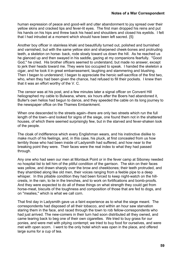human expression of peace and good-will and utter abandonment to joy spread over their yellow skins and cracked lips and fever-lit eyes. The first man dropped his reins and put his hands on his hips and threw back his head and shoulders and closed his eyelids. I felt that I had intruded at a moment which should have been left sacred. {5}

Another boy officer in stainless khaki and beautifully turned out, polished and burnished and varnished, but with the same yellow skin and sharpened cheek-bones and protruding teeth, a skeleton on horse- back, rode slowly toward us down the hill. As he reached us he glanced up and then swayed in his saddle, gazing at my companions fearfully. "Good God," he cried. His brother officers seemed to understand, but made no answer, except to jerk their heads toward me. They were too occupied to speak. I handed the skeleton a cigar, and he took it in great embarrassment, laughing and stammering and blushing. Then I began to understand; I began to appreciate the heroic self-sacrifice of the first two, who, when they had been given the chance, had refused to fill their pockets. I knew then that it was an effort worthy of the V. C.

The censor was at his post, and a few minutes later a signal officer on Convent Hill heliographed my cable to Bulwana, where, six hours after the Boers had abandoned it, Buller's own helios had begun to dance, and they speeded the cable on its long journey to the newspaper office on the Thames Embankment.

When one descended to the streets again--there are only two streets which run the full length of the town--and looked for signs of the siege, one found them not in the shattered houses, of which there seemed surprisingly few, but in the starved and fever-shaken look of the people.

The cloak of indifference which every Englishman wears, and his instinctive dislike to make much of his feelings, and, in this case, his pluck, at first concealed from us how terribly those who had been inside of Ladysmith had suffered, and how near to the breaking point they were. Their faces were the real index to what they had passed through.

Any one who had seen our men at Montauk Point or in the fever camp at Siboney needed no hospital list to tell him of the pitiful condition of the garrison. The skin on their faces was yellow, and drawn sharply over the brow and cheekbones; their teeth protruded, and they shambled along like old men, their voices ranging from a feeble pipe to a deep whisper. In this pitiable condition they had been forced to keep night-watch on the hillcrests, in the rain, to lie in the trenches, and to work on fortifications and bomb-proofs. And they were expected to do all of these things on what strength they could get from horse-meat, biscuits of the toughness and composition of those that are fed to dogs, and on "mealies," which is what we call corn.

That first day in Ladysmith gave us a faint experience as to what the siege meant. The correspondents had disposed of all their tobacco, and within an hour saw starvation staring them in the face, and raced through the town to rob fellow-correspondents who had just arrived. The new-comers in their turn had soon distributed all they owned, and came tearing back to beg one of their own cigarettes. We tried to buy grass for our ponies, and were met with pitying contempt; we tried to buy food for ourselves, and were met with open scorn. I went to the only hotel which was open in the place, and offered large sums for a cup of tea.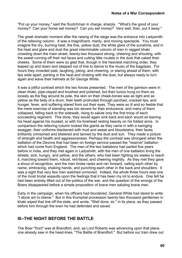"Put up your money," said the Scotchman in charge, sharply. "What's the good of your money? Can your horse eat money? Can you eat money? Very well, then, put it away."

The great dramatic moment after the raising of the siege was the entrance into Ladysmith of the relieving column. It was a magnificent, manly, and moving spectacle. You must imagine the dry, burning heat, the fine, yellow dust, the white glare of the sunshine, and in the heat and glare and dust the great interminable column of men in ragged khaki crowding down the main street, twenty-two thousand strong, cheering and shouting, with the sweat running off their red faces and cutting little rivulets in the dust that caked their cheeks. Some of them were so glad that, though in the heaviest marching order, they leaped up and down and stepped out of line to dance to the music of the bagpipes. For hours they crowded past, laughing, joking, and cheering, or staring ahead of them, with lips wide apart, panting in the heat and choking with the dust, but always ready to turn again and wave their helmets at Sir George White.

It was a pitiful contrast which the two forces presented. The men of the garrison were in clean khaki, pipe-clayed and brushed and polished, but their tunics hung on them as loosely as the flag around its pole, the skin on their cheek-bones was as tight and as yellow as the belly of a drum, their teeth protruded through parched, cracked lips, and hunger, fever, and suffering stared from out their eyes. They were so ill and so feeble that the mere exercise of standing was too severe for their endurance, and many of them collapsed, falling back to the sidewalk, rising to salute only the first troop of each succeeding regiment. This done, they would again sink back and each would sit leaning his head against his musket, or with his forehead resting heavily on his folded arms. In comparison the relieving column looked like giants as they came in with a swinging swagger, their uniforms blackened with mud and sweat and bloodstains, their faces brilliantly crimsoned and blistered and tanned by the dust and sun. They made a picture of strength and health and aggressiveness. Perhaps the contrast was strongest when the battalion of the Devons that had been on foreign service passed the "reserve" battalion which had come from England. The men of the two battalions had parted five years before in India, and they met again in Ladysmith, with the men of one battalion lining the streets, sick, hungry, and yellow, and the others, who had been fighting six weeks to reach it, marching toward them, robust, red-faced, and cheering mightily. As they met they gave a shout of recognition, and the men broke ranks and ran forward, calling each other by name, embracing, shaking hands, and punching each other in the back and shoulders. It was a sight that very few men watched unmoved. Indeed, the whole three hours was one of the most brutal assaults upon the feelings that it has been my lot to endure. One felt he had been entirely lifted out of the politics of the war, and the question of the wrongs of the Boers disappeared before a simple propostiton of brave men saluting brave men.

Early in the campaign, when his officers had blundered, General White had dared to write: "I alone am to blame." But in this triumphal procession twenty-two thousand gentlemen in khaki wiped that line off the slate, and wrote, "Well done, sir," in its place, as they passed before him through the town he had defended and saved.

### **III--THE NIGHT BEFORE THE BATTLE**

The Boer "front" was at Brandfort, and, as Lord Roberts was advancing upon that place, one already saw in the head-lines, "The Battle of Brandfort." But before our train drew out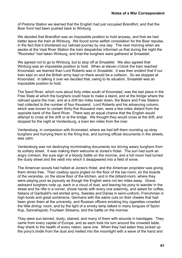of Pretoria Station we learned that the English had just occupied Brandfort, and that the Boer front had been pushed back to Winburg.

We decided that Brandfort was an impossible position to hold anyway, and that we had better leave the train at Winburg. We found some selfish consolation for the Boer repulse, in the fact that it shortened our railroad journey by one day. The next morning when we awoke at the Vaal River Station the train despatcher informed us that during the night the "Rooineks" had taken Winburg, and that the burghers were gathered at Smaaldel.

We agreed not to go to Winburg, but to stop off at Smaaldel. We also agreed that Winburg was an impossible position to hold. When at eleven o'clock the train reached Kroonstad, we learned than Lord Roberts was in Smaaldel. It was then evident that if our train kept on and the British army kept on there would be a collision. So we stopped at Kroonstad. In talking it over we decided that, owing to its situation, Smaaldel was an impossible position to hold.

The Sand River, which runs about forty miles south of Kroonstad, was the last place in the Free State at which the burghers could hope to make a stand, and at the bridge where the railroad spans the river, and at a drift ten miles lower down, the Boers and Free Staters had collected to the number of four thousand. Lord Roberts and his advancing column, which was known to contain thirty-five thousand men, were a few miles distant from the opposite bank of the Sand River. There was an equal chance that the English would attempt to cross at the drift or at the bridge. We thought they would cross at the drift, and stopped for the night at Ventersburg, a town ten miles from the river.

Ventersburg, in comparison with Kroonstad, where we had left them rounding up stray burghers and hurrying them to the firing-line, and burning official documents in the streets, was calm.

Ventersburg was not destroying incriminating documents nor driving weary burghers from its solitary street. It was making them welcome at Jones's Hotel. The sun had sunk an angry crimson, the sure sign of a bloody battle on the morrow, and a full moon had turned the dusty street and the veldt into which it disappeared into a field of snow.

The American scouts had halted at Jones's Hotel, and the American proprietor was giving them drinks free. Their cowboy spurs jingled on the floor of the bar-room, on the boards of the verandas, on the stone floor of the kitchen, and in the billiard-room, where they were playing pool as joyously as though the English were not ten miles away. Grave, awkward burghers rode up, each in a cloud of dust, and leaving his pony to wander in the street and his rifle in a corner, shook hands with every one solemnly, and asked for coffee. Italians of Garibaldi's red-shirted army, Swedes and Danes in semi-uniform, Frenchman in high boots and great sombreros, Germans with the sabre cuts on their cheeks that had been given them at the university, and Russian officers smoking tiny cigarettes crowded the little dining- room, and by the light of a smoky lamp talked in many tongues of Spion Kop, Sannahspost, Fourteen Streams, and the battle on the morrow.

They were sun-tanned, dusty, stained, and many of them with wounds in bandages. They came from every capital of Europe, and as each took his turn around the crowded table, they drank to the health of every nation, save one. When they had eaten they picked up the pony's bridle from the dust and melted into the moonlight with a wave of the hand and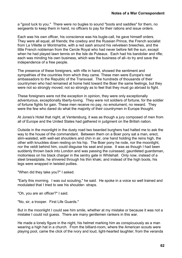a "good luck to you." There were no bugles to sound "boots and saddles" for them, no sergeants to keep them in hand, no officers to pay for their rations and issue orders.

Each was his own officer, his conscience was his bugle-call, he gave himself orders. They were all equal, all friends; the cowboy and the Russian Prince, the French socialist from La Villette or Montmartre, with a red sash around his velveteen breeches, and the little French nobleman from the Cercle Royal who had never before felt the sun, except when he had played lawn tennis on the Isle de Puteaux. Each had his bandolier and rifle; each was minding his own business, which was the business of all--to try and save the independence of a free people.

The presence of these foreigners, with rifle in hand, showed the sentiment and sympathies of the countries from which they came. These men were Europe's real ambassadors to the Republic of the Transvaal. The hundreds of thousands of their countrymen who had remained at home held toward the Boer the same feelings, but they were not so strongly moved; not so strongly as to feel that they must go abroad to fight.

These foreigners were not the exception in opinion, they were only exceptionally adventurous, exceptionally liberty-loving. They were not soldiers of fortune, for the soldier of fortune fights for gain. These men receive no pay, no emolument, no reward. They were the few who dared do what the majority of their countrymen in Europe thought.

At Jones's Hotel that night, at Ventersburg, it was as though a jury composed of men from all of Europe and the United States had gathered in judgment on the British nation.

Outside in the moonlight in the dusty road two bearded burghers had halted me to ask the way to the house of the commandant. Between them on a Boer pony sat a man, erect, slim-waisted, with well-set shoulders and chin in air, one hand holding the reins high, the other with knuckles down resting on his hip. The Boer pony he rode, nor the moonlight, nor the veldt behind him, could disguise his seat and pose. It was as though I had been suddenly thrown back into London and was passing the cuirassed, gauntleted guardsman, motionless on his black charger in the sentry gate in Whitehall. Only now, instead of a steel breastplate, he shivered through his thin khaki, and instead of the high boots, his legs were wrapped in twisted putties.

"When did they take you?" I asked.

"Early this morning. I was out scouting," he said. He spoke in a voice so well trained and modulated that I tried to see his shoulder- straps.

"Oh, you are an officer?" I said.

"No, sir, a trooper. First Life Guards."

But in the moonlight I could see him smile, whether at my mistake or because it was not a mistake I could not guess. There are many gentlemen rankers in this war.

He made a lonely figure in the night, his helmet marking him as conspicuously as a man wearing a high hat in a church. From the billiard-room, where the American scouts were playing pool, came the click of the ivory and loud, light-hearted laughter; from the veranda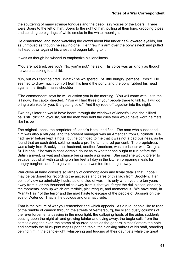the sputtering of many strange tongues and the deep, lazy voices of the Boers. There were Boers to the left of him, Boers to the right of him, pulling at their long, drooping pipes and sending up big rings of white smoke in the white moonlight.

He dismounted, and stood watching the crowd about him under half- lowered eyelids, but as unmoved as though he saw no one. He threw his arm over the pony's neck and pulled its head down against his chest and began talking to it.

It was as though he wished to emphasize his loneliness.

"You are not tired, are you? No, you're not," he said. His voice was as kindly as though he were speaking to a child.

"Oh, but you can't be tired. What?" he whispered. "A little hungry, perhaps. Yes?" He seemed to draw much comfort from his friend the pony, and the pony rubbed his head against the Englishman's shoulder.

"The commandant says he will question you in the morning. You will come with us to the jail now," his captor directed. "You will find three of your people there to talk to. I will go bring a blanket for you, it is getting cold." And they rode off together into the night.

Two days later he would have heard through the windows of Jones's Hotel the billiard balls still clicking joyously, but the men who held the cues then would have worn helmets like his own.

The original Jones, the proprietor of Jones's Hotel, had fled. The man who succeeded him was also a refugee, and the present manager was an American from Cincinnati. He had never before kept a hotel, but he confided to me that it was not a bad business, as he found that on each drink sold he made a profit of a hundred per cent. The proprietress was a lady from Brooklyn, her husband, another American, was a prisoner with Cronje at St. Helena. She was in considerable doubt as to whether she ought to run before the British arrived, or wait and chance being made a prisoner. She said she would prefer to escape, but what with standing on her feet all day in the kitchen preparing meals for hungry burghers and foreign volunteers, she was too tired to get away.

War close at hand consists so largely of commonplaces and trivial details that I hope I may be pardoned for recording the anxieties and cares of this lady from Brooklyn. Her point of view so admirably illustrates one side of war. It is only when you are ten years away from it, or ten thousand miles away from it, that you forget the dull places, and only the moments loom up which are terrible, picturesque, and momentous. We have read, in "Vanity Fair," of the terror and the mad haste to escape of the people of Brussels on the eve of Waterloo. That is the obvious and dramatic side.

That is the picture of war you remember and which appeals. As a rule, people like to read of the rumble of cannon through the streets of Ventersburg, the silent, dusty columns of the re-enforcements passing in the moonlight, the galloping hoofs of the aides suddenly beating upon the night air and growing fainter and dying away, the bugle-calls from the camps along the river, the stamp of spurred boots as the general himself enters the hotel and spreads the blue- print maps upon the table, the clanking sabres of his staff, standing behind him in the candle-light, whispering and tugging at their gauntlets while the great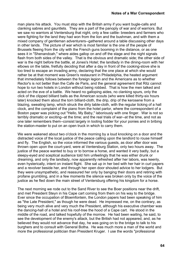man plans his attack. You must stop with the British army if you want bugle-calls and clanking sabres and gauntlets. They are a part of the panoply of war and of warriors. But we saw no warriors at Ventersburg that night, only a few cattle- breeders and farmers who were fighting for the land they had won from the lion and the bushman, and with them a mixed company of gentleman adventurers--gathered around a table discussing other days in other lands. The picture of war which is most familiar is the one of the people of Brussels fleeing from the city with the French guns booming in the distance, or as one sees it in "Shenandoah," where aides gallop on and off the stage and the night signals flash from both sides of the valley. That is the obvious and dramatic side; the other side of war is the night before the battle, at Jones's Hotel; the landlady in the dining-room with her elbows on the table, fretfully deciding that after a day in front of the cooking-stove she is too tired to escape an invading army, declaring that the one place at which she would rather be at that moment was Green's restaurant in Philadelphia, the heated argument that immediately follows between the foreign legion and the Americans as to whether Rector's is not better than the Cafe de Paris, and the general agreement that Ritz cannot hope to run two hotels in London without being robbed. That is how the men talked and acted on the eve of a battle. We heard no galloping aides, no clanking spurs, only the click of the clipped billiard balls as the American scouts (who were killed thirty-six hours later) knocked them about the torn billiard-cloth, the drip, drip of the kerosene from a blazing, sweating lamp, which struck the dirty table-cloth, with the regular ticking of a hall clock, and the complaint of the piano from the hotel parlor, where the correspondent of a Boston paper was picking out "Hello, My Baby," laboriously with one finger. War is not so terribly dramatic or exciting--at the time; and the real trials of war--at the time, and not as one later remembers them--consist largely in looting fodder for your ponies and in bribing the station-master to put on an open truck in which to carry them.

We were wakened about two o'clock in the morning by a loud knocking on a door and the distracted voice of the local justice of the peace calling upon the landlord to rouse himself and fly. The English, so the voice informed the various guests, as door after door was thrown open upon the court-yard, were at Ventersburg Station, only two hours away. The justice of the peace wanted to buy or to borrow a horse, and wanted it very badly, but a sleepy-eyed and sceptical audience told him unfeelingly that he was either drunk or dreaming, and only the landlady, now apparently refreshed after her labors, was keenly, even hysterically, intent on instant flight. She sat up in her bed with her hair in curl papers and a revolver beside her, and through her open door shouted advice to her lodgers. But they were unsympathetic, and reassured her only by banging their doors and retiring with profane grumbling, and in a few moments the silence was broken only by the voice of the justice as he fled down the main street of Ventersburg offering his kingdom for a horse.

The next morning we rode out to the Sand River to see the Boer positions near the drift, and met President Steyn in his Cape cart coming from them on his way to the bridge. Ever since the occupation of Bloemfontein, the London papers had been speaking of him as "the Late President," as though he were dead. He impressed me, on the contrary, as being very much alive and very much the President, although his executive chamber was the dancing-hall of a hotel and his roof-tree the hood of a Cape cart. He stood in the middle of the road, and talked hopefully of the morrow. He had been waiting, he said, to see the development of the enemy's attack, but the British had not appeared, and, as he believed they would not advance that day, he was going on to the bridge to talk to his burghers and to consult with General Botha. He was much more a man of the world and more the professional politician than President Kruger. I use the words "professional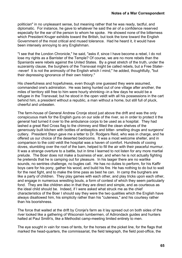politician" in no unpleasant sense, but meaning rather that he was ready, tactful, and diplomatic. For instance, he gave to whatever he said the air of a confidence reserved especially for the ear of the person to whom he spoke. He showed none of the bitterness which President Kruger exhibits toward the British, but took the tone toward the English Government of the most critical and mused tolerance. Had he heard it, it would have been intensely annoying to any Englishman.

"I see that the London Chronicle," he said, "asks if, since I have become a rebel, I do not lose my rights as a Barrister of the Temple? Of course, we are no more rebels than the Spaniards were rebels against the United States. By a great stretch of the truth, under the suzerainty clause, the burghers of the Transvaal might be called rebels, but a Free Stater- -never! It is not the animosity of the English which I mind," he added, thoughtfully, "but their depressing ignorance of their own history."

His cheerfulness and hopefulness, even though one guessed they were assumed, commanded one's admiration. He was being hunted out of one village after another, the miles of territory still free to him were hourly shrinking--in a few days he would be a refugee in the Transvaal; but he stood in the open veldt with all his possessions in the cart behind him, a president without a republic, a man without a home, but still full of pluck, cheerful and unbeaten.

The farm-house of General Andrew Cronje stood just above the drift and was the only conspicuous mark for the English guns on our side of the river, so in order to protect it the general had turned it over to the ambulance corps to be used as a hospital. They had lashed a great Red Cross flag to the chimney and filled the clean shelves of the generously built kitchen with bottles of antiseptics and bitter- smelling drugs and surgeons' cutlery. President Steyn gave me a letter to Dr. Rodgers Reid, who was in charge, and he offered us our choice of the deserted bedrooms. It was a most welcome shelter, and in comparison to the cold veldt the hospital was a haven of comfort. Hundreds of cooing doves, stumbling over the roof of the barn, helped to fill the air with their peaceful murmur. It was a strange overture to a battle, but in time I learned to not listen for any more martial prelude. The Boer does not make a business of war, and when he is not actually fighting he pretends that he is camping out for pleasure. In his laager there are no warlike sounds, no sentries challenge, no bugles call. He has no duties to perform, for his Kaffir boys care for his pony, gather his wood, and build his fire. He has nothing to do but to wait for the next fight, and to make the time pass as best he can. In camp the burghers are like a party of children. They play games with each other, and play tricks upon each other, and engage in numerous wrestling bouts, a form of contest of which they seem particularly fond. They are like children also in that they are direct and simple, and as courteous as the ideal child should be. Indeed, if I were asked what struck me as the chief characteristics of the Boer I should say they were the two qualities which the English have always disallowed him, his simplicity rather than his "cuteness," and his courtesy rather than his boorishness.

The force that waited at the drift by Cronje's farm as it lay spread out on both sides of the river looked like a gathering of Wisconsin lumbermen, of Adirondack guides and hunters halted at Paul Smith's, like a Methodist camp-meeting limited entirely to men.

The eye sought in vain for rows of tents, for the horses at the picket line, for the flags that marked the head-quarters, the commissariat, the field telegraph, the field post-office, the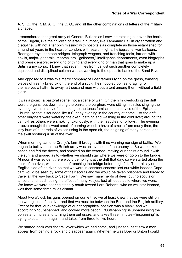A. S. C., the R. M. A. C., the C. O., and all the other combinations of letters of the military alphabet.

I remembered that great army of General Buller's as I saw it stretching out over the basin of the Tugela, like the children of Israel in number, like Tammany Hall in organization and discipline, with not a tent-pin missing; with hospitals as complete as those established for a hundred years in the heart of London; with search- lights, heliographs, war balloons, Roentgen rays, pontoon bridges, telegraph wagons, and trenching tools, farriers with anvils, major- generals, mapmakers, "gallopers," intelligence departments, even biographs and press-censors; every kind of thing and every kind of man that goes to make up a British army corps. I knew that seven miles from us just such another completely equipped and disciplined column was advancing to the opposite bank of the Sand River.

And opposed to it was this merry company of Boer farmers lying on the grass, toasting pieces of freshly killed ox on the end of a stick, their hobbled ponies foraging for themselves a half-mile away, a thousand men without a tent among them, without a fieldglass.

It was a picnic, a pastoral scene, not a scene of war. On the hills overlooking the drift were the guns, but down along the banks the burghers were sitting in circles singing the evening hymns, many of them sung to the tunes familiar in the service of the Episcopal Church, so that it sounded like a Sunday evening in the country at home. At the drift other burghers were watering the oxen, bathing and washing in the cold river; around the camp-fires others were smoking luxuriously, with their saddles for pillows. The evening breeze brought the sweet smell of burning wood, a haze of smoke from many fires, the lazy hum of hundreds of voices rising in the open air, the neighing of many horses, and the swift soothing rush of the river.

When morning came to Cronje's farm it brought with it no warning nor sign of battle. We began to believe that the British army was an invention of the enemy's. So we cooked bacon and fed the doves, and smoked on the veranda, moving our chairs around it with the sun, and argued as to whether we should stay where we were or go on to the bridge. At noon it was evident there would be no fight at the drift that day, so we started along the bank of the river, with the idea of reaching the bridge before nightfall. The trail lay on the English side of the river, so that we were in constant concern lest our white-hooded Cape cart would be seen by some of their scouts and we would be taken prisoners and forced to travel all the way back to Cape Town. We saw many herds of deer, but no scouts or lancers, and, such being the effect of many kopjes, lost all ideas as to where we were. We knew we were bearing steadily south toward Lord Roberts, who as we later learned, was then some three miles distant.

About two o'clock his guns opened on our left, so we at least knew that we were still on the wrong side of the river and that we must be between the Boer and the English artillery. Except for that, our knowledge of our geographical position was a blank, and we accordingly "out-spanned" and cooked more bacon. "Outspanning" is unharnessing the ponies and mules and turning them out graze, and takes three minutes--"inspanning" is trying to catch them again, and takes from three to five hours.

We started back over the trail over which we had come, and just at sunset saw a man appear from behind a rock and disappear again. Whether he was Boer or Briton I could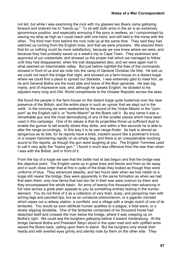not tell, but while I was examining the rock with my glasses two Boers came galloping forward and ordered me to "hands up." To sit with both arms in the air is an extremely ignominious position, and especially annoying if the pony is restless, so I compromised by waving my whip as high as I could reach with one hand, and still held in the horse with the other. The third man from behind the rock rode up at the same time. They said they had watched us coming from the English lines, and that we were prisoners. We assured them that for us nothing could be more satisfactory, because we now knew where we were, and because they had probably saved us a week's trip to Cape Town. They examined and approved of our credentials, and showed us the proper trail which we managed to follow until they had disappeared, when the trail disappeared also, and we were again lost in what seemed an interminable valley. But just before nightfall the fires of the commando showed in front of us and we rode into the camp of General Christian De Wet. He told us we could not reach the bridge that night, and showed us a farm-house on a distant kopje where we could find a place to spread our blankets. I was extremely glad to meet him, as he and General Botha are the most able and brave of the Boer generals. He was big, manly, and of impressive size, and, although he speaks English, he dictated to his adjutant many long and Old- World compliments to the Greater Republic across the seas.

We found the people in the farm-house on the distant kopie quite hysterical over the near presence of the British, and the entire place in such an uproar that we slept out in the veldt. In the morning we were awakened by the sound of the Vickar-Maxim or the "pompom" as the English call it, or "bomb-Maxim" as the Boers call it. By any name it was a remarkable gun and the most demoralizing of any of the smaller pieces which have been used in this campaign. One of its values is that its projectiles throw up sufficient dust to enable the gunner to tell exactly where they strike, and within a few seconds he is able to alter the range accordingly. In this way it is its own range-finder. Its bark is almost as dangerous as its bite, for its reports have a brisk, insolent sound like a postman's knock, or a cooper hammering rapidly on an empty keg, and there is an unexplainable mocking sound to the reports, as though the gun were laughing at you. The English Tommies used to call it very aptly the "hyena gun." I found it much less offensive from the rear than when I was with the British, and in front of it.

From the top of a kopje we saw that the battle had at last begun and that the bridge was the objective point. The English came up in great lines and blocks and from so far away and in such close order that at first in spite of the khaki they looked as though they wore uniforms of blue. They advanced steadily, and two hours later when we had ridden to a kopje still nearer the bridge, they were apparently in the same formation as when we had first seen them, only now farms that had lain far in their rear were overrun by them and they encompassed the whole basin. An army of twenty-five thousand men advancing in full view across a great plain appeals to you as something entirely lacking in the human element. You do not think of it as a collection of very tired, dusty, and perspiring men with aching legs and parched lips, but as an unnatural phenomenon, or a gigantic monster which wipes out a railway station, a cornfield, and a village with a single clutch of one of its tentacles. You would as soon attribute human qualities to a plague, a tidal wave, or a slowly slipping landslide. One of the tentacles composed of six thousand horse had detached itself and crossed the river below the bridge, where it was creeping up on Botha's right. We could see the burghers galloping before it toward Ventersburg. At the bridge General Botha and President Steyn stood in the open road and with uplifted arms waved the Boers back, calling upon them to stand. But the burghers only shook their heads and with averted eyes grimly and silently rode by them on the other side. They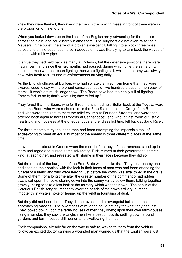knew they were flanked, they knew the men in the moving mass in front of them were in the proportion of nine to one.

When you looked down upon the lines of the English army advancing for three miles across the plain, one could hardly blame them. The burghers did not even raise their Mausers. One bullet, the size of a broken slate-pencil, falling into a block three miles across and a mile deep, seems so inadequate. It was like trying to turn back the waves of the sea with a blow-pipe.

It is true they had held back as many at Colenso, but the defensive positions there were magnificent, and since then six months had passed, during which time the same thirty thousand men who had been fighting then were fighting still, while the enemy was always new, with fresh recruits and re-enforcements arriving daily.

As the English officers at Durban, who had so lately arrived from home that they wore swords, used to say with the proud consciousness of two hundred thousand men back of them: "It won't last much longer now. The Boers have had their belly full of fighting. They're fed up on it; that's what it is; they're fed up."

They forgot that the Boers, who for three months had held Buller back at the Tugela, were the same Boers who were rushed across the Free State to rescue Cronje from Roberts, and who were then sent to meet the relief column at Fourteen Streams, and were then ordered back again to harass Roberts at Sannahspost, and who, at last, worn out, stale, heartsick, and hopeless at the unequal odds and endless fighting, fell back at Sand River.

For three months thirty thousand men had been attempting the impossible task of endeavoring to meet an equal number of the enemy in three different places at the same time.

I have seen a retreat in Greece when the men, before they left the trenches, stood up in them and raged and cursed at the advancing Turk, cursed at their government, at their king, at each other, and retreated with shame in their faces because they did so.

But the retreat of the burghers of the Free State was not like that. They rose one by one and saddled their ponies, with the look in their faces of men who had been attending the funeral of a friend and who were leaving just before the coffin was swallowed in the grave. Some of them, for a long time after the greater number of the commando had ridden away, sat upon the rocks staring down into the sunny valley below them, talking together gravely, rising to take a last look at the territory which was their own. The shells of the victorious British sang triumphantly over the heads of their own artillery, bursting impotently in white smoke or tearing up the veldt in fountains of dust.

But they did not heed them. They did not even send a revengeful bullet into the approaching masses. The sweetness of revenge could not pay for what they had lost. They looked down upon the farm- houses of men they knew; upon their own farm-houses rising in smoke; they saw the Englishmen like a pest of locusts settling down around gardens and farm-houses still nearer, and swallowing them up.

Their companions, already far on the way to safety, waved to them from the veldt to follow; an excited doctor carrying a wounded man warned us that the English were just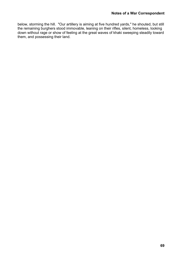below, storming the hill. "Our artillery is aiming at five hundred yards," he shouted, but still the remaining burghers stood immovable, leaning on their rifles, silent, homeless, looking down without rage or show of feeling at the great waves of khaki sweeping steadily toward them, and possessing their land.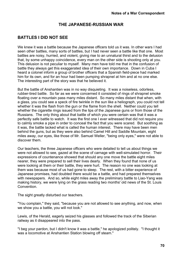### **THE JAPANESE-RUSSIAN WAR**

# **BATTLES I DID NOT SEE**

We knew it was a battle because the Japanese officers told us it was. In other wars I had seen other battles, many sorts of battles, but I had never seen a battle like that one. Most battles are noisy, hurried, and violent, giving rise to an unnatural thirst and to the delusion that, by some unhappy coincidence, every man on the other side is shooting only at you. This delusion is not peculiar to myself. Many men have told me that in the confusion of battle they always get this exaggerated idea of their own importance. Down in Cuba I heard a colonel inform a group of brother officers that a Spanish field-piece had marked him for its own, and for an hour had been pumping shrapnel at him and at no one else. The interesting part of the story was that he believed it.

But the battle of Anshantien was in no way disquieting. It was a noiseless, odorless, rubber-tired battle. So far as we were concerned it consisted of rings of shrapnel smoke floating over a mountain pass many miles distant. So many miles distant that when, with a glass, you could see a speck of fire twinkle in the sun like a heliograph, you could not tell whether it was the flash from the gun or the flame from the shell. Neither could you tell whether the cigarette rings issued from the lips of the Japanese guns or from those of the Russians. The only thing about that battle of which you were certain was that it was a perfectly safe battle to watch. It was the first one I ever witnessed that did not require you to calmly smoke a pipe in order to conceal the fact that you were scared. But soothing as it was, the battle lacked what is called the human interest. There may have been men behind the guns, but as they were also behind Camel Hill and Saddle Mountain, eight miles away, our eyes, like those of Mr. Samuel Weller, "being only eyes," were not able to discover them.

Our teachers, the three Japanese officers who were detailed to tell us about things we were not allowed to see, gazed at the scene of carnage with well-simulated horror. Their expressions of countenance showed that should any one move the battle eight miles nearer, they were prepared to sell their lives dearly. When they found that none of us were looking at them or their battle, they were hurt. The reason no one was looking at them was because most of us had gone to sleep. The rest, with a bitter experience of Japanese promises, had doubted there would be a battle, and had prepared themselves with newspapers. And so, while eight miles away the preliminary battle to Liao-Yang was making history, we were lying on the grass reading two months' old news of the St. Louis **Convention** 

The sight greatly disturbed our teachers.

"You complain," they said, "because you are not allowed to see anything, and now, when we show you a battle, you will not look."

Lewis, of the Herald, eagerly seized his glasses and followed the track of the Siberian railway as it disappeared into the pass.

"I beg your pardon, but I didn't know it was a battle," he apologized politely. "I thought it was a locomotive at Anshantien Station blowing off steam."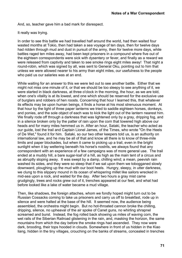And, so, teacher gave him a bad mark for disrespect.

It really was trying.

In order to see this battle we had travelled half around the world, had then waited four wasted months at Tokio, then had taken a sea voyage of ten days, then for twelve days had ridden through mud and dust in pursuit of the army, then for twelve more days, while battles raged ten miles away, had been kept prisoners in a compound where five out of the eighteen correspondents were sick with dysentery or fever, and finally as a reward we were released from captivity and taken to see smoke rings eight miles away! That night a round-robin, which was signed by all, was sent to General Oku, pointing out to him that unless we were allowed nearer to his army than eight miles, our usefulness to the people who paid us our salaries was at an end.

While waiting for an answer to this we were led out to see another battle. Either that we might not miss one minute of it, or that we should be too sleepy to see anything of it, we were started in black darkness, at three o'clock in the morning, the hour, as we are told, when one's vitality is at its lowest, and one which should be reserved for the exclusive use of burglars and robbers of hen roosts. Concerning that hour I learned this, that whatever its effects may be upon human beings, it finds a horse at his most strenuous moment. At that hour by the light of three paper lanterns we tried to saddle eighteen horses, donkeys, and ponies, and the sole object of each was to kick the light out of the lantern nearest him. We finally rode off through a darkness that was lightened only by a gray, dripping fog, and in a silence broken only by the patter of rain upon the corn that towered high above our heads and for many miles hemmed us in. After an hour, Sataki, the teacher who acted as our guide, lost the trail and Captain Lionel James, of the Times, who wrote "On the Heels of De Wet," found it for him. Sataki, so our two other keepers told us, is an authority on international law, and he may be all of that and know all there is to know of three-mile limits and paper blockades, but when it came to picking up a trail, even in the bright sunlight when it lay weltering beneath his horse's nostrils, we always found that any correspondent with an experience of a few campaigns was of more general use. The trail ended at a muddy hill, a bare sugar-loaf of a hill, as high as the main tent of a circus and as abruptly sloping away. It was swept by a damp, chilling wind; a mean, peevish rain washed its sides, and they were so steep that if we sat upon them we tobogganed slowly downward, ploughing up the mud with our boot heels. Hungry, sleepy, in utter darkness, we clung to this slippery mound in its ocean of whispering millet like sailors wrecked in mid-sea upon a rock, and waited for the day. After two hours a gray mist came grudgingly, trees and rocks grew out of it, trenches appeared at our feet, and what had before looked like a lake of water became a mud village.

Then, like shadows, the foreign attaches, whom we fondly hoped might turn out to be Russian Cossacks coming to take us prisoners and carry us off to breakfast, rode up in silence and were halted at the base of the hill. It seemed now, the audience being assembled, the orchestra might begin. But no hot-throated cannon broke the chilling, dripping, silence, no upheaval of the air spoke of Canet guns, no whirling shrapnel screamed and burst. Instead, the fog rolled back showing us miles of waving corn, the wet rails of the Siberian Railroad glistening in the rain, and, masking the horizon, the same mountains from which the day before the smoke rings had ascended. They now were dark, brooding, their tops hooded in clouds. Somewhere in front of us hidden in the Kiao liang, hidden in the tiny villages, crouching on the banks of streams, concealed in trenches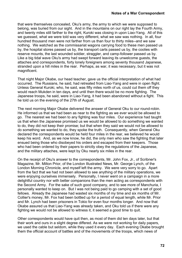that were themselves concealed, Oku's army, the army to which we were supposed to belong, was buried from our sight. And in the mountains on our right lay the Fourth Army, and twenty miles still farther to the right, Kuroki was closing in upon Liao-Yang. All of this we guessed, what we were told was very different, what we saw was nothing. In all, four hundred thousand men were not farther from us than four to thirty miles--and we saw nothing. We watched as the commissariat wagons carrying food to these men passed us by, the hospital stores passed us by, the transport carts passed us by, the coolies with reserve mounts, the last wounded soldier, straggler, and camp-follower passed us by. Like a big tidal wave Oku's army had swept forward leaving its unwelcome guests, the attaches and correspondents, forty lonely foreigners among seventy thousand Japanese, stranded upon a hill miles in the rear. Perhaps, as war, it was necessary, but it was not magnificent.

That night Major Okabe, our head teacher, gave us the official interpretation of what had occurred. The Russians, he said, had retreated from Liao-Yang and were in open flight. Unless General Kuroki, who, he said, was fifty miles north of us, could cut them off they would reach Mukden in ten days, and until then there would be no more fighting. The Japanese troops, he said, were in Liao-Yang, it had been abandoned without a fight. This he told us on the evening of the 27th of August.

The next morning Major Okabe delivered the answer of General Oku to our round-robin. He informed us that we had been as near to the fighting as we ever would be allowed to go. The nearest we had been to any fighting was four miles. Our experience had taught us that when the Japanese promised us we would be allowed to do something we wanted to do, they did not keep their promise; but that when they said we would not be allowed to do something we wanted to do, they spoke the truth. Consequently, when General Oku declared the correspondents would be held four miles in the rear, we believed he would keep his word. And, as we now know, he did, the only men who saw the fighting that later ensued being those who disobeyed his orders and escaped from their keepers. Those who had been ordered by their papers to strictly obey the regulations of the Japanese, and the military attaches, were kept by Oku nearly six miles in the rear.

On the receipt of Oku's answer to the correspondents, Mr. John Fox, Jr., of Scribner's Magazine, Mr. Milton Prior, of the London Illustrated News, Mr. George Lynch, of the London Morning Chronicle, and myself left the army. We were very sorry to go. Apart from the fact that we had not been allowed to see anything of the military operations, we were enjoying ourselves immensely. Personally, I never went on a campaign in a more delightful country nor with better companions than the men acting as correspondents with the Second Army. For the sake of such good company, and to see more of Manchuria, I personally wanted to keep on. But I was not being paid to go camping with a set of good fellows. Already the Japanese had wasted six months of my time and six months of Mr. Collier's money, Mr. Fox had been bottled up for a period of equal length, while Mr. Prior and Mr. Lynch had been prisoners in Tokio for even four months longer. And now that Okabe assured us that Liao-Yang was already taken, and Oku told us if there were any fighting we would not be allowed to witness it, it seemed a good time to quit.

Other correspondents would have quit then, as most of them did ten days later, but that their work and ours in a slight degree differed. As we were not working for daily papers, we used the cable but seldom, while they used it every day. Each evening Okabe brought them the official account of battles and of the movements of the troops, which news of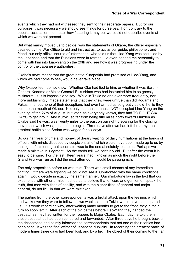events which they had not witnessed they sent to their separate papers. But for our purposes it was necessary we should see things for ourselves. For, contrary to the popular accusation, no matter how flattering it may be, we could not describe events at which we were not present.

But what mainly moved us to decide, was the statements of Okabe, the officer especially detailed by the War Office to aid and instruct us, to act as our guide, philosopher, and friend, our only official source of information, who told us that Liao-Yang was occupied by the Japanese and that the Russians were in retreat. He even begged me personally to come with him into Liao-Yang on the 29th and see how it was progressing under the control of the Japanese authorities.

Okabe's news meant that the great battle Kuropatkin had promised at Liao-Yang, and which we had come to see, would never take place.

Why Okabe lied I do not know. Whether Oku had lied to him, or whether it was Baron-General Kodama or Major-General Fukushima who had instructed him to so grossly misinform us, it is impossible to say. While in Tokio no one ever more frequently, nor more unblushingly, made statements that they knew were untrue than did Kodama and Fukushima, but none of their deceptions had ever harmed us so greatly as did the lie they put into the mouth of Okabe. Not only had the Japanese NOT occupied Liao-Yang on the evening of the 27th of August, but later, as everybody knows, they had TO FIGHT SIX DAYS to get into it. And Kuroki, so far from being fifty miles north toward Mukden as Okabe said he was, was twenty miles to the east on our right preparing for the closing in movement which was just about to begin. Three days after we had left the army, the greatest battle since Sedan was waged for six days.

So our half year of time and money, of dreary waiting, of daily humiliations at the hands of officers with minds diseased by suspicion, all of which would have been made up to us by the sight of this one great spectacle, was to the end absolutely lost to us. Perhaps we made a mistake in judgment. As the cards fell, we certainly did. But after the event it is easy to be wise. For the last fifteen years, had I known as much the night before the Grand Prix was run as I did the next afternoon, I would be passing rich.

The only proposition before us was this: There was small chance of any immediate fighting. If there were fighting we could not see it. Confronted with the same conditions again, I would decide in exactly the same manner. Our misfortune lay in the fact that our experience with other armies had led us to believe that officers and gentlemen speak the truth, that men with titles of nobility, and with the higher titles of general and majorgeneral, do not lie. In that we were mistaken.

The parting from the other correspondents was a brutal attack upon the feelings which, had we known they were to follow us two weeks later to Tokio, would have been spared us. It is worth recording why, after waiting many months to get to the front, they in their turn so soon left it. After each of the big battles before Liao-Yang they handed the despatches they had written for their papers to Major Okabe. Each day he told them these despatches had been censored and forwarded. After three days he brought back all the despatches and calmly informed the correspondents that not one of their cables had been sent. It was the final affront of Japanese duplicity. In recording the greatest battle of modern times three days had been lost, and by a lie. The object of their coming to the Far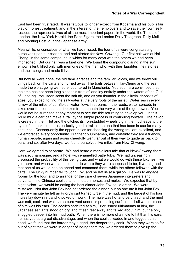East had been frustrated. It was fatuous to longer expect from Kodama and his pupils fair play or honest treatment, and in the interest of their employers and to save their own selfrespect, the representatives of all the most important papers in the world, the Times, of London, the New York Herald, the Paris Figaro, the London Daily Telegraph, Daily Mail, and Morning Post, quit the Japanese army.

Meanwhile, unconscious of what we had missed, the four of us were congratulating ourselves upon our escape, and had started for New- Chwang. Our first halt was at Hai-Cheng, in the same compound in which for many days with the others we had been imprisoned. But our halt was a brief one. We found the compound glaring in the sun, empty, silent, filled only with memories of the men who, with their laughter, their stories, and their songs had made it live.

But now all were gone, the old familiar faces and the familiar voices, and we threw our things back on the carts and hurried away. The trails between Hai-Cheng and the sea made the worst going we had encountered in Manchuria. You soon are convinced that the time has not been long since this tract of land lay entirely under the waters of the Gulf of Liaotung. You soon scent the salt air, and as you flounder in the alluvial deposits of ages, you expect to find the salt-water at the very roots of the millet. Water lies in every furrow of the miles of cornfields, water flows in streams in the roads, water spreads in lakes over the compounds, it oozes from beneath the very walls of the go-downs. You would not be surprised at any moment to see the tide returning to envelop you. In this liquid mud a cart can make a trail by the simple process of continuing forward. The havoc is created in the millet and the ditches its iron-studded wheels dig in the mud leave to the eyes of the next comer as perfectly good a trail as the one that has been in use for many centuries. Consequently the opportunities for choosing the wrong trail are excellent, and we embraced every opportunity. But friendly Chinamen, and certainly they are a friendly, human people, again and again cheerfully went far out of their way to guide us back to ours, and so, after two days, we found ourselves five miles from New-Chwang.

Here we agreed to separate. We had heard a marvellous tale that at New-Chwang there was ice, champagne, and a hotel with enamelled bath- tubs. We had unceasingly discussed the probability of this being true, and what we would do with these luxuries if we got them, and when we came so near to where they were supposed to be, it was agreed that one of us would ride on ahead and command them, while the others followed with the carts. The lucky number fell to John Fox, and he left us at a gallop. He was to engage rooms for the four, and to arrange for the care of seven Japanese interpreters and servants, nine Chinese coolies, and nineteen horses and mules. We expected that by eight o'clock we would be eating the best dinner John Fox could order. We were mistaken. Not that John Fox had not ordered the dinner, but no one ate it but John Fox. The very minute he left us Priory's cart turned turtle in the mud, and the largest of his four mules lay down in it and knocked off work. The mule was hot and very tired, and the mud was soft, cool, and wet, so he burrowed under its protecting surface until all we could see of him was his ears. The coolies shrieked at him, Prior issued ultimatums at him, the Japanese servants stood on dry land fifteen feet away and talked about him, but he only snuggled deeper into his mud bath. When there is no more of a mule to hit than his ears, he has you at a great disadvantage, and when the coolies waded in and tugged at his head, we found that the harder they tugged, the deeper they sank. When they were so far out of sight that we were in danger of losing them too, we ordered them to give up the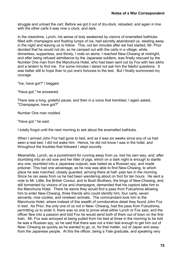struggle and unload the cart. Before we got it out of dry-dock, reloaded, and again in line with the other carts it was nine o clock, and dark.

In the meantime, Lynch, his sense of duty weakened by visions of enamelled bathtubs filled with champagne and floating lumps of ice, had secretly abandoned us, stealing away in the night and leaving us to follow. This, not ten minutes after we had started, Mr. Prior decided that he would not do, so he camped out with the carts in a village, while, dinnerless, supperless, and thirsty, I rode on alone. I reached New-Chwang at midnight, and after being refused admittance by the Japanese soldiers, was finally rescued by the Number One man from the Manchuria Hotel, who had been sent out by Fox with two sikhs and a lantern to find me. For some minutes I dared not ask him the fateful questions. It was better still to hope than to put one's fortunes to the test. But I finally summoned my courage.

"Ice, have got?" I begged.

"Have got," he answered.

There was a long, grateful pause, and then in a voice that trembled, I again asked, "Champagne, have got?"

Number One man nodded.

"Have got," he said.

I totally forgot until the next morning to ask about the enamelled bathtubs.

When I arrived John Fox had gone to bed, and as it was six weeks since any of us had seen a real bed, I did not wake him. Hence, he did not know I was in the hotel, and throughout the troubles that followed I slept soundly.

Meanwhile, Lynch, as a punishment for running away from us, lost his own way, and, after stumbling into an old sow and her litter of pigs, which on a dark night is enough to startle any one, stumbled into a Japanese outpost, was hailed as a Russian spy, and made prisoner. This had one advantage, as he now was able to find New-Chwang, to which place he was marched, closely guarded, arriving there at half- past two in the morning. Since he ran away from us he had been wandering about on foot for ten hours. He sent a note to Mr. Little, the British Consul, and to Bush Brothers, the kings of New-Chwang, and, still tormented by visions of ice and champagne, demanded that his captors take him to the Manchuria Hotel. There he swore they would find a pass from Fukushima allowing him to enter New-Chwang, three friends who could identify him, four carts, seven servants, nine coolies, and nineteen animals. The commandant took him to the Manchuria Hotel, where instead of this wealth of corroborative detail they found John Fox in bed. As Prior, the only one of us not in New- Chwang, had the pass from Fukushima, permitting us to enter it, there was no one to prove what either Lynch or Fox said, and the officer flew into a passion and told Fox he would send both of them out of town on the first train. Mr. Fox was annoyed at being pulled from his bed at three in the morning to be told he was a Russian spy, so he said that there was not a train fast enough to get him out of New- Chwang as quickly as he wanted to go, or, for that matter, out of Japan and away from the Japanese people. At this the officer, being a Yale graduate, and speaking very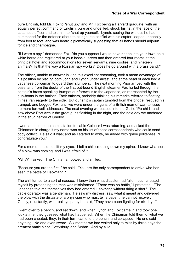pure English, told Mr. Fox to "shut up," and Mr. Fox being a Harvard graduate, with an equally perfect command of English, pure and undefiled, shook his fist in the face of the Japanese officer and told him to "shut up yourself." Lynch, seeing the witness he had summoned for the defence about to plunge into conflict with his captor, leaped unhappily from foot to foot, and was heard diplomatically suggesting that all hands should adjourn for ice and champagne.

"If I were a spy," demanded Fox, "do you suppose I would have ridden into your town on a white horse and registered at your head-quarters and then ordered four rooms at the principal hotel and accommodations for seven servants, nine coolies, and nineteen animals? Is that the way a Russian spy works? Does he go around with a brass band?"

The officer, unable to answer in kind this excellent reasoning, took a mean advantage of his position by placing both John and Lynch under arrest, and at the head of each bed a Japanese policeman to guard their slumbers. The next morning Prior arrived with the pass, and from the decks of the first out-bound English steamer Fox hurled through the captain's brass speaking-trumpet our farewells to the Japanese, as represented by the gun-boats in the harbor. Their officers, probably thinking his remarks referred to floating mines, ran eagerly to the side. But our ship's captain tumbled from the bridge, rescued his trumpet, and begged Fox, until we were under the guns of a British man-of-war, to issue no more farewell addresses. The next evening we passed into the Gulf of Pe-chi-li, and saw above Port Arthur the great guns flashing in the night, and the next day we anchored in the snug harbor of Chefoo.

I went at once to the cable station to cable Collier's I was returning, and asked the Chinaman in charge if my name was on his list of those correspondents who could send copy collect. He said it was; and as I started to write, he added with grave politeness, "I congratulate you."

For a moment I did not lift my eyes. I felt a chill creeping down my spine. I knew what sort of a blow was coming, and I was afraid of it.

"Why?" I asked. The Chinaman bowed and smiled.

"Because you are the first," he said. "You are the only correspondent to arrive who has seen the battle of Liao-Yang."

The chill turned to a sort of nausea. I knew then what disaster had fallen, but I cheated myself by pretending the man was misinformed. "There was no battle," I protested. "The Japanese told me themselves they had entered Liao-Yang without firing a shot." The cable operator was a gentleman. He saw my distress, saw what it meant and delivered the blow with the distaste of a physician who must tell a patient he cannot recover. Gently, reluctantly, with real sympathy he said, "They have been fighting for six days."

I went over to a bench, and sat down; and when Lynch and Fox came in and took one look at me, they guessed what had happened. When the Chinaman told them of what we had been cheated, they, in their turn, came to the bench, and collapsed. No one said anything. No one even swore. Six months we had waited only to miss by three days the greatest battle since Gettysburg and Sedan. And by a lie.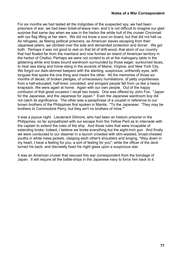For six months we had tasted all the indignities of the suspected spy, we had been prisoners of war, we had been ticket-of-leave men, and it is not difficult to imagine our glad surprise that same day when we saw in the harbor the white hull of the cruiser Cincinnati with our flag lifting at her stern. We did not know a soul on board, but that did not halt us. As refugees, as fleeing political prisoners, as American slaves escaping from their Japanese jailers, we climbed over the side and demanded protection and dinner. We got both. Perhaps it was not good to rest on that bit of drift-wood, that atom of our country that had floated far from the mainland and now formed an island of American territory in the harbor of Chefoo. Perhaps we were not content to sit at the mahogany table in the glistening white and brass bound wardroom surrounded by those eager, sunburned faces, to hear sea slang and home slang in the accents of Maine, Virginia, and New York City. We forgot our dark-skinned keepers with the slanting, suspicious, unfriendly eyes, with tongues that spoke the one thing and meant the other. All the memories of those six months of deceit, of broken pledges, of unnecessary humiliations, of petty unpoliteness from a half-educated, half-bred, conceited, and arrogant people fell from us like a heavy knapsack. We were again at home. Again with our own people. Out of the happy confusion of that great occasion I recall two toasts. One was offered by John Fox. "Japan for the Japanese, and the Japanese for Japan." Even the Japanese wardroom boy did not catch its significance. The other was a paraphrase of a couplet in reference to our brown brothers of the Philippines first spoken in Manila. "To the Japanese: 'They may be brothers to Commodore Perry, but they ain't no brothers of mine.'"

It was a joyous night. Lieutenant Gilmore, who had been an historic prisoner in the Philippines, so far sympathized with our escape from the Yellow Peril as to intercede with the captain to extend the rules of the ship. And those rules that were incapable of extending broke. Indeed, I believe we broke everything but the eight-inch gun. And finally we were conducted to our steamer in a launch crowded with slim-waisted, broad-chested youths in white mess jackets, clasping each other's shoulders and singing, "Way down in my heart, I have a feeling for you, a sort of feeling for you"; while the officer of the deck turned his back, and discreetly fixed his night glass upon a suspicious star.

It was an American cruiser that rescued this war correspondent from the bondage of Japan. It will require all the battle-ships in the Japanese navy to force him back to it.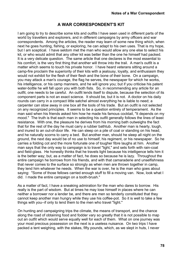## **A WAR CORRESPONDENT'S KIT**

I am going to try to describe some kits and outfits I have seen used in different parts of the world by travellers and explorers, and in different campaigns by army officers and war correspondents. Among the articles, the reader may learn of some new thing which, when next he goes hunting, fishing, or exploring, he can adapt to his own uses. That is my hope, but I am sceptical. I have seldom met the man who would allow any one else to select his kit, or who would admit that any other kit was better than the one he himself had packed. It is a very delicate question. The same article that one declares is the most essential to his comfort, is the very first thing that another will throw into the trail. A man's outfit is a matter which seems to touch his private honor. I have heard veterans sitting around a camp-fire proclaim the superiority of their kits with a jealousy, loyalty, and enthusiasm they would not exhibit for the flesh of their flesh and the bone of their bone. On a campaign, you may attack a man's courage, the flag he serves, the newspaper for which he works, his intelligence, or his camp manners, and he will ignore you; but if you criticise his patent water-bottle he will fall upon you with both fists. So, in recommending any article for an outfit, one needs to be careful. An outfit lends itself to dispute, because the selection of its component parts is not an exact science. It should be, but it is not. A doctor on his daily rounds can carry in a compact little satchel almost everything he is liable to need; a carpenter can stow away in one box all the tools of his trade. But an outfit is not selected on any recognized principles. It seems to be a question entirely of temperament. As the man said when his friends asked him how he made his famous cocktail, "It depends on my mood." The truth is that each man in selecting his outfit generally follows the lines of least resistance. With one, the pleasure he derives from his morning bath outweighs the fact that for the rest of the day he must carry a rubber bathtub. Another man is hearty, tough, and inured to an out-of-door life. He can sleep on a pile of coal or standing on his head, and he naturally scorns to carry a bed. But another man, should he sleep all night on the ground, the next day would be of no use to himself, his regiment, or his newspaper. So he carries a folding cot and the more fortunate one of tougher fibre laughs at him. Another man says that the only way to campaign is to travel "light," and sets forth with rain-coat and field-glass. He honestly thinks that he travels light because his intelligence tells him it is the better way; but, as a matter of fact, he does so because he is lazy. Throughout the entire campaign he borrows from his friends, and with that camaraderie and unselfishness that never comes to the surface so strongly as when men are thrown together in camp, they lend him whatever he needs. When the war is over, he is the man who goes about saying: "Some of those fellows carried enough stuff to fill a moving van. Now, look what I did. I made the entire campaign on a tooth-brush."

As a matter of fact, I have a sneaking admiration for the man who dares to borrow. His really is the part of wisdom. But at times he may lose himself in places where he can neither a borrower nor a lender be, and there are men so tenderly constituted that they cannot keep another man hungry while they use his coffee-pot. So it is well to take a few things with you--if only to lend them to the men who travel "light."

On hunting and campaigning trips the climate, the means of transport, and the chance along the road of obtaining food and fodder vary so greatly that it is not possible to map out an outfit which would serve equally well for each of them. What on one journey was your most precious possession on the next is a useless nuisance. On two trips I have packed a tent weighing, with the stakes, fifty pounds, which, as we slept in huts, I never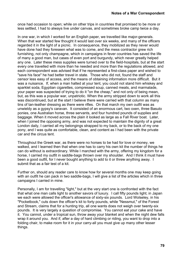once had occasion to open; while on other trips in countries that promised to be more or less settled, I had to always live under canvas, and sometimes broke camp twice a day.

In one war, in which I worked for an English paper, we travelled like major-generals. When that war started few thought it would last over six weeks, and many of the officers regarded it in the light of a picnic. In consequence, they mobilized as they never would have done had they foreseen what was to come, and the mess contractor grew rich furnishing, not only champagne, which in campaigns in fever countries has saved the life of many a good man, but cases of even port and burgundy, which never greatly helped any one. Later these mess supplies were turned over to the field-hospitals, but at the start every one travelled with more than he needed and more than the regulations allowed, and each correspondent was advised that if he represented a first-class paper and wished to "save his face" he had better travel in state. Those who did not, found the staff and censor less easy of access, and the means of obtaining information more difficult. But it was a nuisance. If, when a man halted at your tent, you could not stand him whiskey and sparklet soda, Egyptian cigarettes, compressed soup, canned meats, and marmalade, your paper was suspected of trying to do it "on the cheap," and not only of being mean, but, as this was a popular war, unpatriotic. When the army stripped down to work all this was discontinued, but at the start I believe there were carried with that column as many tins of tan-leather dressing as there were rifles. On that march my own outfit was as unwieldy as a gypsy's caravan. It consisted of an enormous cart, two oxen, three Basuto ponies, one Australian horse, three servants, and four hundred pounds of supplies and baggage. When it moved across the plain it looked as large as a Fall River boat. Later, when I joined the opposing army, and was not expected to maintain the dignity of a great London daily, I carried all my belongings strapped to my back, or to the back of my one pony, and I was quite as comfortable, clean, and content as I had been with the private car and the circus tent.

Throughout the Greek war, as there were no horses to be had for love or money, we walked, and I learned then that when one has to carry his own kit the number of things he can do without is extraordinary. While I marched with the army, offering my kingdom for a horse, I carried my outfit in saddle-bags thrown over my shoulder. And I think it must have been a good outfit, for I never bought anything to add to it or threw anything away. I submit that as a fair test of a kit.

Further on, should any reader care to know how for several months one may keep going with an outfit he can pack in two saddle-bags. I will give a list of the articles which in three campaigns I carried in mine.

Personally, I am for travelling "light," but at the very start one is confronted with the fact that what one man calls light to another savors of luxury. I call fifty pounds light; in Japan we each were allowed the officer's allowance of sixty-six pounds. Lord Wolseley, in his "Pocketbook," cuts down the officer's kit to forty pounds, while "Nessmut," of the Forest and Stream, claims that for a hunting trip, all one wants does not weigh over twenty-six pounds. It is very largely a question of compromise. You cannot eat your cake and have it. You cannot, under a tropical sun, throw away your blanket and when the night dew falls wrap it around you. And if, after a day of hard climbing or riding, you want to drop into a folding chair, to make room for it in your carry-all you must give up many other lesser things.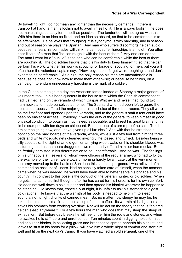By travelling light I do not mean any lighter than the necessity demands. If there is transport at hand, a man is foolish not to avail himself of it. He is always foolish if he does not make things as easy for himself as possible. The tenderfoot will not agree with this. With him there is no idea so fixed, and no idea so absurd, as that to be comfortable is to be effeminate. He believes that "roughing it" is synonymous with hardship, and in season and out of season he plays the Spartan. Any man who suffers discomforts he can avoid because he fears his comrades will think he cannot suffer hardships is an idiot. You often hear it said of a man that "he can rough it with the best of them." Any one can do that. The man I want for a "bunkie" is the one who can be comfortable while the best of them are roughing it. The old soldier knows that it is his duty to keep himself fit, so that he can perform his work, whether his work is scouting for forage or scouting for men, but you will often hear the volunteer captain say: "Now, boys, don't forget we're roughing it; and don't expect to be comfortable." As a rule, the only reason his men are uncomfortable is because he does not know how to make them otherwise; or because he thinks, on a campaign, to endure unnecessary hardship is the mark of a soldier.

In the Cuban campaign the day the American forces landed at Siboney a major-general of volunteers took up his head-quarters in the house from which the Spanish commandant had just fled, and on the veranda of which Caspar Whitney and myself had found two hammocks and made ourselves at home. The Spaniard who had been left to guard the house courteously offered the major-general his choice of three bed-rooms. They all were on the first floor and opened upon the veranda, and to the general's staff a tent could have been no easier of access. Obviously, it was the duty of the general to keep himself in good physical condition, to obtain as much sleep as possible, and to rest his great brain and his limbs cramped with ten days on shipboard. But in a tone of stern reproof he said, "No; I am campaigning now, and I have given up all luxuries." And with that he stretched a poncho on the hard boards of the veranda, where, while just a few feet from him the three beds and white mosquito nets gleamed invitingly, he tossed and turned. Besides being a silly spectacle, the sight of an old gentleman lying wide awake on his shoulder-blades was disturbing, and as the hours dragged on we repeatedly offered him our hammocks. But he fretfully persisted in his determination to be uncomfortable. And he was. The feelings of his unhappy staff, several of whom were officers of the regular army, who had to follow the example of their chief, were toward morning hardly loyal. Later, at the very moment the army moved up to the battle of San Juan this same major-general was relieved of his command on account of illness. Had he sensibly taken care of himself, when the moment came when he was needed, he would have been able to better serve his brigade and his country. In contrast to this pose is the conduct of the veteran hunter, or old soldier. When he gets into camp his first thought, after he has cared for his horse, is for his own comfort. He does not wolf down a cold supper and then spread his blanket wherever he happens to be standing. He knows that, especially at night, it is unfair to ask his stomach to digest cold rations. He knows that the warmth of his body is needed to help him to sleep soundly, not to fight chunks of canned meat. So, no matter how sleepy he may be, he takes the time to build a fire and boil a cup of tea or coffee. Its warmth aids digestion and saves his stomach from working overtime. Nor will he act on the theory that he is "so tired he can sleep anywhere." For a few hours the man who does that may sleep the sleep of exhaustion. But before day breaks he will feel under him the roots and stones, and when he awakes he is stiff, sore and unrefreshed. Ten minutes spent in digging holes for hips and shoulder-blades, in collecting grass and branches to spread beneath his blanket, and leaves to stuff in his boots for a pillow, will give him a whole night of comfort and start him well and fit on the next day's tramp. If you have watched an old sergeant, one of the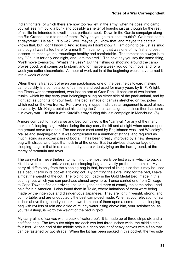Indian fighters, of which there are now too few left in the army, when he goes into camp, you will see him build a bunk and possibly a shelter of boughs just as though for the rest of his life he intended to dwell in that particular spot. Down in the Garcia campaign along the Rio Grande I said to one of them: "Why do you go to all that trouble? We break camp at daybreak." He said: "Do we? Well, maybe you know that, and maybe the captain knows that, but I don't know it. And so long as I don't know it, I am going to be just as snug as though I was halted here for a month." In camping, that was one of my first and best lessons--to make your surroundings healthy and comfortable. The temptation always is to say, "Oh, it is for only one night, and I am too tired." The next day you say the same thing, "We'll move to-morrow. What's the use?" But the fishing or shooting around the camp proves good, or it comes on to storm, and for maybe a week you do not move, and for a week you suffer discomforts. An hour of work put in at the beginning would have turned it into a week of ease.

When there is transport of even one pack-horse, one of the best helps toward making camp quickly is a combination of panniers and bed used for many years by E. F. Knight, the Times war correspondent, who lost an arm at Gras Pan. It consists of two leather trunks, which by day carry your belongings slung on either side of the pack-animal, and by night act as uprights for your bed. The bed is made of canvas stretched on two poles which rest on the two trunks. For travelling in upper India this arrangement is used almost universally. Mr. Knight obtained his during the Chitral campaign, and since then has used it in every war. He had it with Kuroki's army during this last campaign in Manchuria.  $\{6\}$ 

A more compact form of valise and bed combined is the "carry-all," or any of the many makes of sleeping-bags, which during the day carry the kit and at night when spread upon the ground serve for a bed. The one once most used by Englishmen was Lord Wolseley's "valise and sleeping-bag." It was complicated by a number of strings, and required as much lacing as a dozen pairs of boots. It has been greatly improved by a new sleepingbag with straps, and flaps that tuck in at the ends. But the obvious disadvantage of all sleeping- bags is that in rain and mud you are virtually lying on the hard ground, at the mercy of tarantula and fever.

The carry-all is, nevertheless, to my mind, the most nearly perfect way in which to pack a kit. I have tried the trunk, valise, and sleeping-bag, and vastly prefer it to them all. My carry-all differs only from the sleeping-bag in that, instead of lining it so that it may be used as a bed, I carry in its pocket a folding cot. By omitting the extra lining for the bed, I save almost the weight of the cot. The folding cot I pack is the Gold Medal Bed, made in this country, but which you can purchase almost anywhere. I once carried one from Chicago to Cape Town to find on arriving I could buy the bed there at exactly the same price I had paid for it in America. I also found them in Tokio, where imitations of them were being made by the ingenious and disingenuous Japanese. They are light in weight, strong, and comfortable, and are undoubtedly the best camp-bed made. When at your elevation of six inches above the ground you look down from one of them upon a comrade in a sleepingbag with rivulets of rain and a tide of muddy water rising above him, your satisfaction, as you fall asleep, is worth the weight of the bed in gold.

My carry-all is of canvas with a back of waterproof. It is made up of three strips six and a half feet long. The two outer strips are each two feet three inches wide, the middle strip four feet. At one end of the middle strip is a deep pocket of heavy canvas with a flap that can be fastened by two straps. When the kit has been packed in this pocket, the two side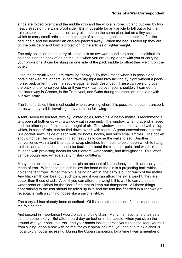strips are folded over it and the middle strip and the whole is rolled up and buckled by two heavy straps on the waterproof side. It is impossible for any article to fall out or for the rain to soak in. I have a smaller carry-all made on the same plan, but on a tiny scale, in which to carry small articles and a change of clothing. It goes into the pocket after the bed, chair, and the heavier articles are packed away. When the bag is rolled up they are on the outside of and form a protection to the articles of lighter weight.

The only objection to the carry-all is that it is an awkward bundle to pack. It is difficult to balance it on the back of an animal, but when you are taking a tent with you or carrying your provisions, it can be slung on one side of the pack saddle to offset their weight on the other.

I use the carry-all when I am travelling "heavy." By that I mean when it is possible to obtain pack-animal or cart. When travelling light and bivouacking by night without a packhorse, bed, or tent, I use the saddle-bags, already described. These can be slung over the back of the horse you ride, or if you walk, carried over your shoulder. I carried them in this latter way in Greece, in the Transvaal, and Cuba during the rebellion, and later with our own army.

The list of articles I find most useful when travelling where it is possible to obtain transport, or, as we may call it, travelling heavy, are the following:

A tent, seven by ten feet, with fly, jointed poles, tent-pins, a heavy mallet. I recommend a tent open at both ends with a window cut in one end. The window, when that end is laced and the other open, furnishes a draught of air. The window should be covered with a flap which, in case of rain, can be tied down over it with tapes. A great convenience in a tent is a pocket sewn inside of each wall, for boots, books, and such small articles. The pocket should not be filled with anything so heavy as to cause the walls to sag. Another convenience with a tent is a leather strap stretched from pole to pole, upon which to hang clothes, and another is a strap to be buckled around the front tent-pole, and which is studded with projecting hooks for your lantern, water-bottle, and field-glasses. This latter can be bough ready-made at any military outfitter's.

Many men object to the wooden tent-pin on account of its tendency to split, and carry pins made of iron. With these, an inch below the head of the pin is a projecting barb which holds the tent rope. When the pin is being driven in, the barb is out of reach of the mallet. Any blacksmith can beat out such pins, and if you can afford the extra weight, they are better than those of ash. Also, if you can afford the weight, it is well to carry a strip of water-proof or oilcloth for the floor of the tent to keep out dampness. All these things appertaining to the tent should be tolled up in it, and the tent itself carried in a light-weight receptacle, with a running noose like a sailor's kit-bag.

The carry-all has already been described. Of its contents, I consider first in importance the folding bed.

And second in importance I would place a folding chair. Many men scoff at a chair as a cumbersome luxury. But after a hard day on foot or in the saddle, when you sit on the ground with your back to a rock and your hands locked across your knees to keep yourself from sliding, or on a box with no rest for your spinal column, you begin to think a chair is not a luxury, but a necessity. During the Cuban campaign, for a time I was a member of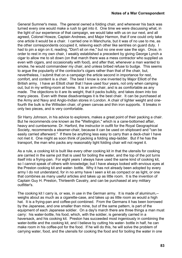General Sumner's mess. The general owned a folding chair, and whenever his back was turned every one would make a rush to get into it. One time we were discussing what, in the light of our experience of that campaign, we would take with us on our next, and all agreed, Colonel Howze, Captain Andrews, and Major Harmon, that if one could only take one article it would be a chair. I carried one in Manchuria, but it was of no use to me, as the other correspondents occupied it, relieving each other like sentries on guard duty. I had to pin a sign on it, reading, "Don't sit on me," but no one ever saw the sign. Once, in order to rest in my own chair, I weakly established a precedent by giving George Lynch a cigar to allow me to sit down (on that march there was a mess contractor who supplied us even with cigars, and occasionally with food), and after that, whenever a man wanted to smoke, he would commandeer my chair, and unless bribed refuse to budge. This seems to argue the popularity of the contractor's cigars rather than that of the chair, but, nevertheless, I submit that on a campaign the article second in importance for rest, comfort, and content is a chair. The best I know is one invented by Major Elliott of the British army. I have an Elliott chair that I have used four years, not only when camping out, but in my writing-room at home. It is an arm-chair, and is as comfortable as any made. The objections to it are its weight, that it packs bulkily, and takes down into too many pieces. Even with these disadvantages it is the best chair. It can be purchased at the Army and Navy and Anglo-Indian stores in London. A chair of lighter weight and onefourth the bulk is the Willisden chair, of green canvas and thin iron supports. It breaks in only two pieces, and is very comfortable.

Sir Harry Johnson, in his advice to explorers, makes a great point of their packing a chair. But he recommends one known as the "Wellington," which is a cane-bottomed affair, heavy and cumbersome. Dr. Harford, the instructor in outfit for the Royal Geographical Society, recommends a steamer-chair, because it can be used on shipboard and "can be easily carried afterward." If there be anything less easy to carry than a deck-chair I have not met it. One might as soon think of packing a folding step-ladder. But if he has the transport, the man who packs any reasonably light folding chair will not regret it.

As a rule, a cooking kit is built like every other cooking kit in that the utensils for cooking are carried in the same pot that is used for boiling the water, and the top of the pot turns itself into a frying-pan. For eight years I always have used the same kind of cooking kit, so I cannot speak of others with knowledge; but I have always looked with envious eyes at the Preston cooking kit and water- bottle. Why it has not already been adopted by every army I do not understand, for in no army have I seen a kit as compact or as light, or one that combines as many useful articles and takes up as little room. It is the invention of Captain Guy H. Preston, Thirteenth Cavalry, and can be purchased at any military outfitter's.

The cooking kit I carry is, or was, in use in the German army. It is made of aluminum,- weighs about as much as a cigarette-case, and takes up as little room as would a high hat. It is a frying-pan and coffee-pot combined. From the Germans it has been borrowed by the Japanese, and one smaller than mine, but of the same pattern, is part of the equipment of each Japanese soldier. On a day's march there are three things a man must carry: his water-bottle, his food, which, with the soldier, is generally carried in a haversack, and his cooking kit. Preston has succeeded most ingeniously in combining the water-bottle and the cooking kit, and I believe by cutting his water- bottle in half, he can make room in his coffee-pot for the food. If he will do this, he will solve the problem of carrying water, food, and the utensils for cooking the food and for boiling the water in one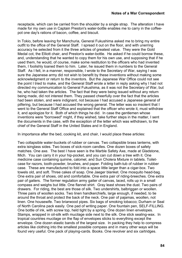receptacle, which can be carried from the shoulder by a single strap. The alteration I have made for my own use in Captain Preston's water-bottle enables me to carry in the coffeepot one day's rations of bacon, coffee, and biscuit.

In Tokio, before leaving for Manchuria, General Fukushima asked me to bring my entire outfit to the office of the General Staff. I spread it out on the floor, and with unerring accuracy he selected from it the three articles of greatest value. They were the Gold Medal cot, the Elliott chair, and Preston's water-bottle. He asked if he could borrow these, and, understanding that he wanted to copy them for his own use, and supposing that if he used them, he would, of course, make some restitution to the officers who had invented them, I foolishly loaned them to him. Later, he issued them in numbers to the General Staff. As I felt, in a manner, responsible, I wrote to the Secretary of War, saying I was sure the Japanese army did not wish to benefit by these inventions without making some acknowledgment or return to the inventors. But the Japanese War Office could not see the point I tried to make, and the General Staff wrote a letter in reply asking why I had not directed my communication to General Fukushima, as it was not the Secretary of War, but he, who had taken the articles. The fact that they were being issued without any return being made, did not interest them. They passed cheerfully over the fact that the articles had been stolen, and were indignant, not because I had accused a Japanese general of pilfering, but because I had accused the wrong general. The letter was so insolent that I went to the General Staff Office and explained that the officer who wrote it, must withdraw it, and apologize for it. Both of which things he did. In case the gentlemen whose inventions were "borrowed" might, if they wished, take further steps in the matter, I sent the documents in the case, with the exception of the letter which was withdrawn, to the chief of the General Staff in the United States and in England.

In importance after the bed, cooking kit, and chair, I would place these articles:

Two collapsible water-buckets of rubber or canvas. Two collapsible brass lanterns, with extra isinglass sides. Two boxes of sick-room candles. One dozen boxes of safety matches. One axe. The best I have seen is the Marble Safety Axe, made at Gladstone, Mich. You can carry it in your hip-pocket, and you can cut down a tree with it. One medicine case containing quinine, calomel, and Sun Cholera Mixture in tablets. Toiletcase for razors, tooth-powder, brushes, and paper. Folding bath-tub of rubber in rubber case. These are manufactured to fold into a space little larger than a cigar-box. Two towels old, and soft. Three cakes of soap. One Jaeger blanket. One mosquito head-bag. One extra pair of shoes, old and comfortable. One extra pair of riding-breeches. One extra pair of gaiters. The former regulation army gaiter of canvas, laced, rolls up in a small compass and weighs but little. One flannel shirt. Gray least shows the dust. Two pairs of drawers. For riding, the best are those of silk. Two undershirts, balbriggan or woollen. Three pairs of woollen socks. Two linen handkerchiefs, large enough, if needed, to tie around the throat and protect the back of the neck. One pair of pajamas, woollen, not linen. One housewife. Two briarwood pipes. Six bags of smoking tobacco; Durham or Seal of North Carolina pack easily. One pad of writing paper. One fountain pen, SELF-FILLING. One bottle of ink, with screw top, held tight by a spring. One dozen linen envelopes. Stamps, wrapped in oil-silk with mucilage side next to the silk. One stick sealing-wax. In tropical countries mucilage on the flap of envelopes sticks to everything except the envelope. One dozen elastic bands of the largest size. In packing they help to compress articles like clothing into the smallest possible compass and in many other ways will be found very useful. One pack of playing-cards. Books. One revolver and six cartridges.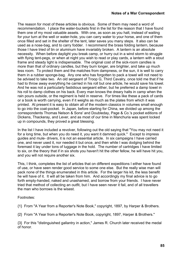The reason for most of these articles is obvious. Some of them may need a word of recommendation. I place the water-buckets first in the list for the reason that I have found them one of my most valuable assets. With one, as soon as you halt, instead of waiting for your turn at the well or water-hole, you can carry water to your horse, and one of them once filled and set in the shelter of the tent, later saves you many steps. It also can be used as a nose-bag, and to carry fodder. I recommend the brass folding lantern, because those I have tried of tin or aluminum have invariably broken. A lantern is an absolute necessity. When before daylight you break camp, or hurry out in a wind storm to struggle with flying tent-pegs, or when at night you wish to read or play cards, a lantern with a stout frame and steady light is indispensable. The original cost of the sick-room candles is more than that of ordinary candles, but they burn longer, are brighter, and take up much less room. To protect them and the matches from dampness, or the sun, it is well to carry them in a rubber sponge-bag. Any one who has forgotten to pack a towel will not need to be advised to take two. An old sergeant of Troop G, Third Cavalry, once told me that if he had to throw away everything he carried in his roll but one article, he would save his towel. And he was not a particularly fastidious sergeant either, but he preferred a damp towel in his roll to damp clothes on his back. Every man knows the dreary halts in camp when the rain pours outside, or the regiment is held in reserve. For times like these a pack of cards or a book is worth carrying, even if it weighs as much as the plates from which it was printed. At present it is easy to obtain all of the modern classics in volumes small enough to go into the coat-pocket. In Japan, before starting for China, we divided up among the correspondents Thomas Nelson & Sons' and Doubleday, Page & Co.'s pocket editions of Dickens, Thackeray, and Lever, and as most of our time in Manchuria was spent locked up in compounds, they proved a great blessing.

In the list I have included a revolver, following out the old saying that "You may not need it for a long time, but when you do need it, you want it damned quick." Except to impress guides and mule- drivers, it is not an essential article. In six campaigns I have carried one, and never used it, nor needed it but once, and then while I was dodging behind the foremast it lay under tons of luggage in the hold. The number of cartridges I have limited to six, on the theory that if in six shots you haven't hit the other fellow, he will have hit you, and you will not require another six.

This, I think, completes the list of articles that on different expeditions I either have found of use, or have seen render good service to some one else. But the really wise man will pack none of the things enumerated in this article. For the larger his kit, the less benefit he will have of it. It will all be taken from him. And accordingly my final advice is to go forth empty-handed, naked and unashamed, and borrow from your friends. I have never tried that method of collecting an outfit, but I have seen never it fail, and of all travellers the man who borrows is the wisest.

Footnotes:

{1} From "A Year from a Reporter's Note Book," copyright, 1897, by Harper & Brothers.

{2} From "A Year from a Reporter's Note Book, copyright, 1897, Harper & Brothers."

{3} For this "distinguished gallantry in action," James R. Church later received the medal of honor.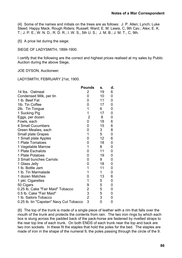{4} Some of the names and initials on the trees are as follows: J. P. Allen; Lynch; Luke Steed; Happy Mack, Rough Riders; Russell; Ward; E. M. Lewis, C, 9th Cav.; Alex; E. K. T.; J. P. E.; W. N. D.; R. D. R.; I. W. S., 5th U. S.; J. M. B.; J. M. T., C, 9th.

{5} A price list during the siege:

SIEGE OF LADYSMITH, 1899-1900.

I certify that the following are the correct and highest prices realised at my sales by Public Auction during the above Siege,

JOE DYSON, Auctioneer.

LADYSMITH, FEBRUARY 21st, 1900.

|                                         | <b>Pounds</b>  | S. | d. |
|-----------------------------------------|----------------|----|----|
| 14 lbs. Oatmeal                         | 2              | 19 | 6  |
| Condensed Milk, per tin                 | 0              | 10 | 0  |
| 1 lb. Beef Fat                          | 0              | 11 | 0  |
| 1lb. Tin Coffee                         | 0              | 17 | 0  |
| 2lb. Tin Tongue                         | 1              | 6  | 0  |
| 1 Sucking Pig                           | 1              | 17 | 0  |
| Eggs, per dozen                         | $\overline{2}$ | 8  | 0  |
| Fowls, each                             | 0              | 18 | 6  |
| <b>4 Small Cucumbers</b>                | 0              | 15 | 6  |
| Green Mealies, each                     | 0              | 3  | 8  |
| <b>Small plate Grapes</b>               | 1              | 5  | 0  |
| 1 Small plate Apples                    | 0              | 12 | 6  |
| 1 Plate Tomatoes                        | 0              | 18 | 0  |
| 1 Vegetable Marrow                      | 1              | 8  | 0  |
| 1 Plate Eschalots                       | 0              | 11 | 0  |
| 1 Plate Potatoes                        | 0              | 19 | 0  |
| 3 Small bunches Carrots                 | 0              | 9  | 0  |
| 1 Glass Jelly                           | 0              | 18 | 0  |
| 1 lb. Bottle Jam                        | 1              | 11 | 0  |
| 1 lb. Tin Marmalade                     | 1              | 1  | 0  |
| 1 dozen Matches                         | 0              | 13 | 6  |
| 1 pkt. Cigarettes                       | 1              | 5  | 0  |
| 50 Cigars                               | 9              | 5  | 0  |
| 0.25 lb. Cake "Fair Maid" Tobacco       | $\overline{c}$ | 5  | 0  |
| 0.5 lb. Cake "Fair Maid"                | 3              | 5  | 0  |
| 1 lb. Sailors Tobacco                   | $\overline{2}$ | 3  | 0  |
| 0.25 lb. tin "Capstan" Navy Cut Tobacco | 3              | 0  | 0  |

{6} The top of the trunk is made of a single piece of leather with a rim that falls over the mouth of the trunk and protects the contents from rain. The two iron rings by which each box is slung across the padded back of the pack-horse are fastened by rivetted straps to the rear top line of each trunk. On both ENDS of each trunk near the top and back are two iron sockets. In these fit the staples that hold the poles for the bed. The staples are made of iron in the shape of the numeral 9, the poles passing through the circle of the 9.